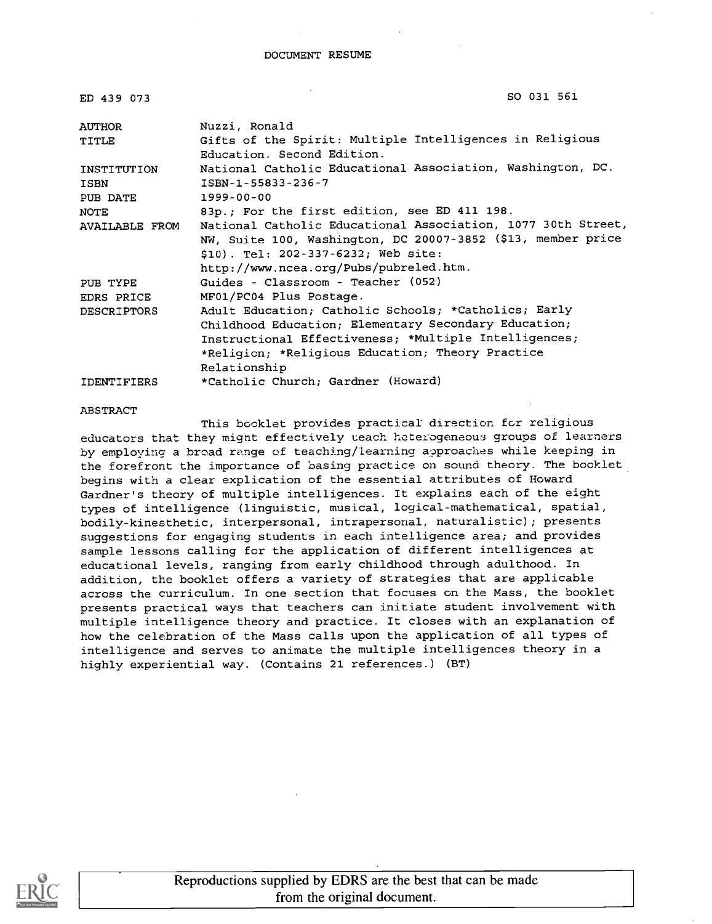| ED 439 073          | SO 031 561                                                                                                                                                                                                                                |
|---------------------|-------------------------------------------------------------------------------------------------------------------------------------------------------------------------------------------------------------------------------------------|
| AUTHOR              | Nuzzi, Ronald                                                                                                                                                                                                                             |
| TITLE               | Gifts of the Spirit: Multiple Intelligences in Religious<br>Education. Second Edition.                                                                                                                                                    |
| INSTITUTION<br>ISBN | National Catholic Educational Association, Washington, DC.<br>ISBN-1-55833-236-7                                                                                                                                                          |
| PUB DATE            | 1999-00-00                                                                                                                                                                                                                                |
| NOTE                | 83p.; For the first edition, see ED 411 198.                                                                                                                                                                                              |
| AVAILABLE FROM      | National Catholic Educational Association, 1077 30th Street,<br>NW, Suite 100, Washington, DC 20007-3852 (\$13, member price<br>\$10). Tel: 202-337-6232; Web site:<br>http://www.ncea.org/Pubs/pubreled.htm.                             |
| PUB TYPE            | Guides - Classroom - Teacher (052)                                                                                                                                                                                                        |
| EDRS PRICE          | MF01/PC04 Plus Postage.                                                                                                                                                                                                                   |
| DESCRIPTORS         | Adult Education; Catholic Schools; *Catholics; Early<br>Childhood Education; Elementary Secondary Education;<br>Instructional Effectiveness; *Multiple Intelligences;<br>*Religion; *Religious Education; Theory Practice<br>Relationship |
| <b>IDENTIFIERS</b>  | *Catholic Church; Gardner (Howard)                                                                                                                                                                                                        |

#### ABSTRACT

This booklet provides practical direction for religious educators that they might effectively Leach heterogeneous groups of learners by employing a broad range of teaching /learning approaches while keeping in the forefront the importance of basing practice on sound theory. The booklet begins with a clear explication of the essential attributes of Howard Gardner's theory of multiple intelligences. It explains each of the eight types of intelligence (linguistic, musical, logical-mathematical, spatial, bodily-kinesthetic, interpersonal, intrapersonal, naturalistic); presents suggestions for engaging students in each intelligence area; and provides sample lessons calling for the application of different intelligences at educational levels, ranging from early childhood through adulthood. In addition, the booklet offers a variety of strategies that are applicable across the curriculum. In one section that focuses on the Mass, the booklet presents practical ways that teachers can initiate student involvement with multiple intelligence theory and practice. It closes with an explanation of how the celebration of the Mass calls upon the application of all types of intelligence and serves to animate the multiple intelligences theory in a highly experiential way. (Contains 21 references.) (BT)

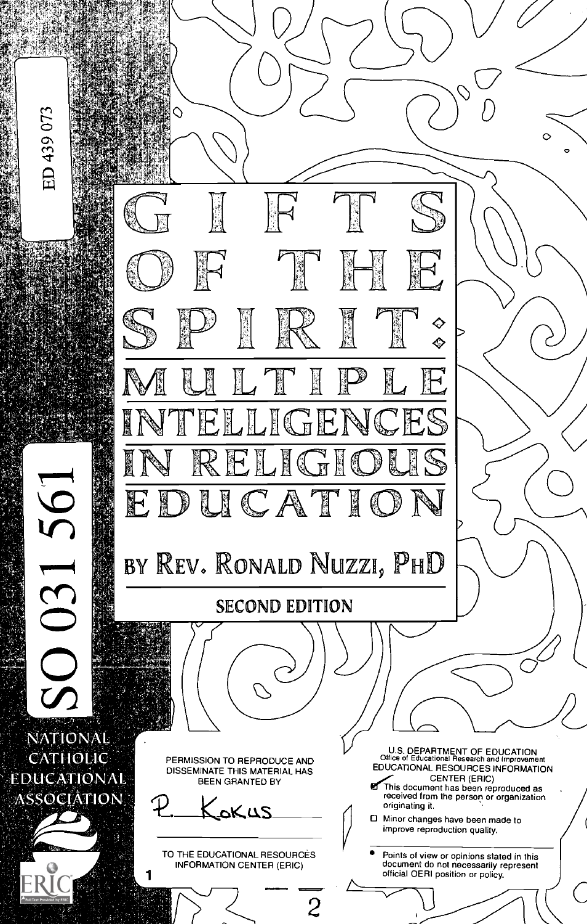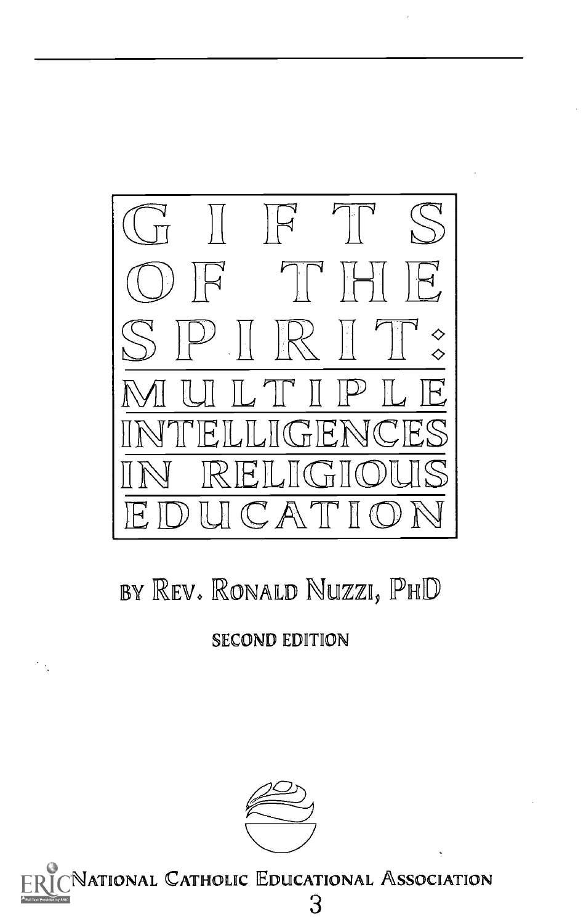

# BY REV. RONALD NUZZI, PHD

### SECOND EDITION



NATIONAL CATHOLIC EDUCATIONAL ASSOCIATION 3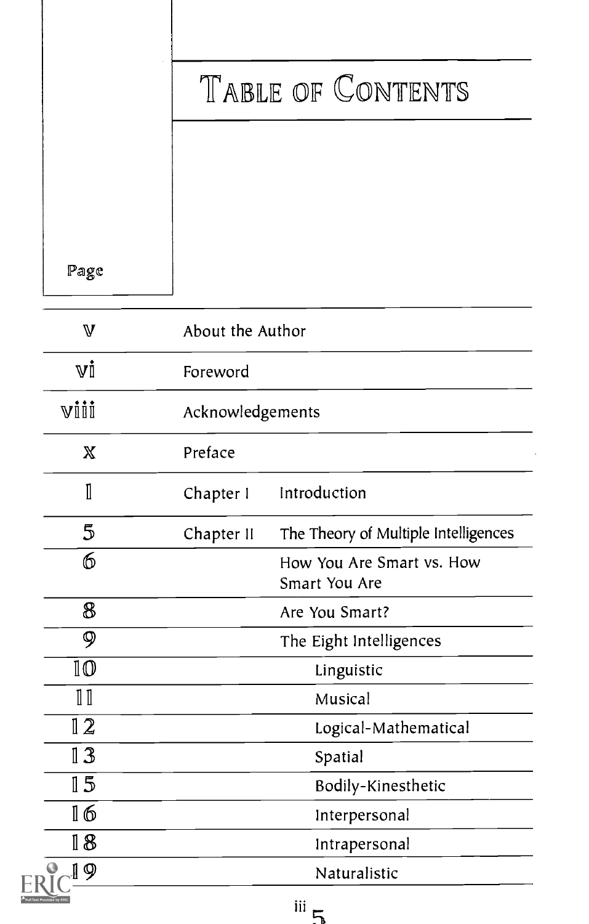Page TABLE OF CONTENTS

V About the Author vi  $V$ iii x Preface 11 5 Chapter II  $\sigma$  $8^{\circ}$  $\mathcal{P}$ 110  $\P$  $\P$  $\overline{1}$  2 113  $\overline{15}$ 116 18  $\mathbb{I} \mathfrak{D}$ Foreword Acknowledgements Chapter I Introduction The Theory of Multiple Intelligences How You Are Smart vs. How Smart You Are Are You Smart? The Eight Intelligences Linguistic Musical Logical-Mathematical Spatial Bodily-Kinesthetic Interpersonal Intrapersonal Naturalistic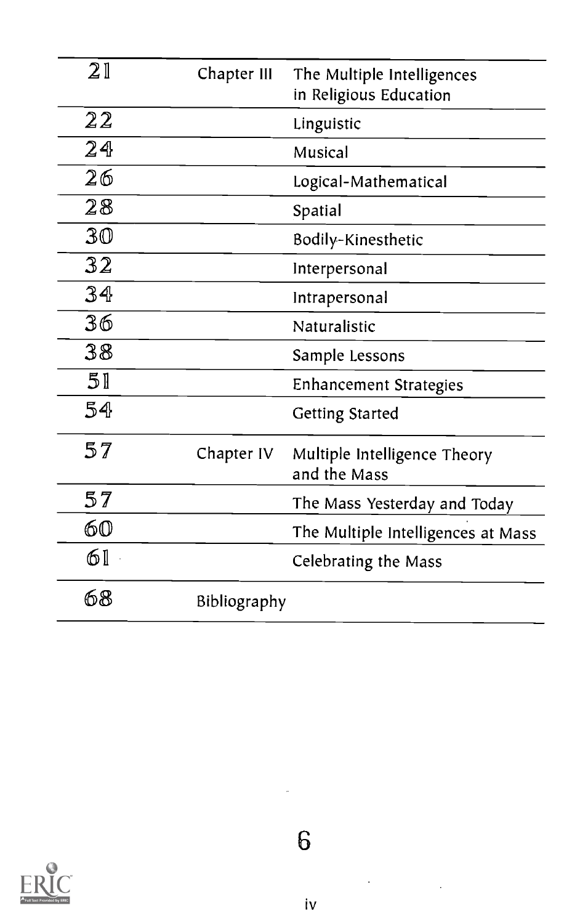| 21 | Chapter III    | The Multiple Intelligences<br>in Religious Education |
|----|----------------|------------------------------------------------------|
| 22 |                | Linguistic                                           |
| 24 |                | Musical                                              |
| 26 |                | Logical-Mathematical                                 |
| 28 |                | Spatial                                              |
| 30 |                | Bodily-Kinesthetic                                   |
| 32 |                | Interpersonal                                        |
| 34 |                | Intrapersonal                                        |
| 36 | Naturalistic   |                                                      |
| 38 | Sample Lessons |                                                      |
| 51 |                | <b>Enhancement Strategies</b>                        |
| 54 |                | <b>Getting Started</b>                               |
| 57 | Chapter IV     | Multiple Intelligence Theory<br>and the Mass         |
| 57 |                | The Mass Yesterday and Today                         |
| 60 |                | The Multiple Intelligences at Mass                   |
| 61 |                | Celebrating the Mass                                 |
| 68 | Bibliography   |                                                      |
|    |                |                                                      |

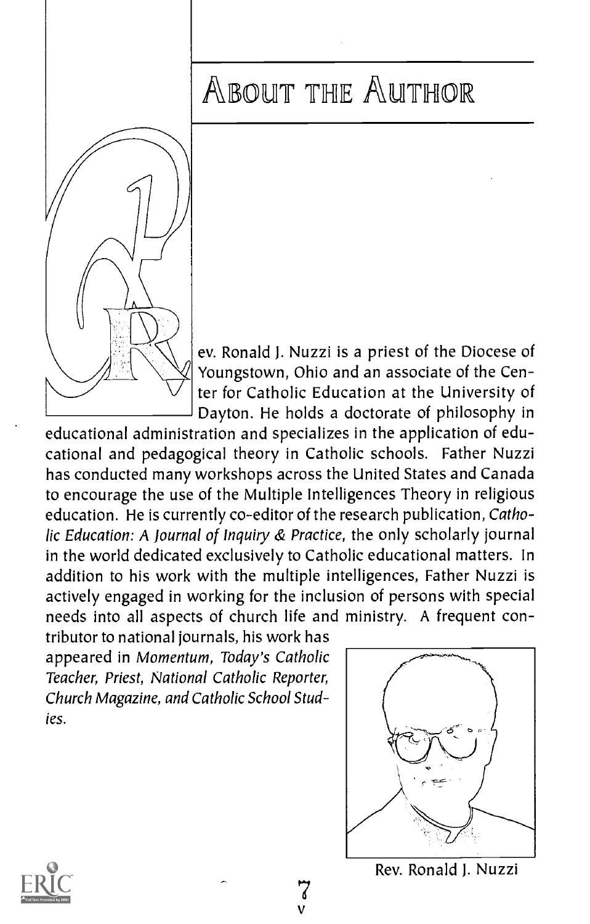# About the Author



ev. Ronald J. Nuzzi is a priest of the Diocese of Youngstown, Ohio and an associate of the Center for Catholic Education at the University of Dayton. He holds a doctorate of philosophy in

educational administration and specializes in the application of educational and pedagogical theory in Catholic schools. Father Nuzzi has conducted many workshops across the United States and Canada to encourage the use of the Multiple Intelligences Theory in religious education. He is currently co-editor of the research publication, Catholic Education: A Journal of Inquiry & Practice, the only scholarly journal in the world dedicated exclusively to Catholic educational matters. In addition to his work with the multiple intelligences, Father Nuzzi is actively engaged in working for the inclusion of persons with special needs into all aspects of church life and ministry. A frequent con-

tributor to national journals, his work has appeared in Momentum, Today's Catholic Teacher, Priest, National Catholic Reporter, Church Magazine, and Catholic School Studies.



Rev. Ronald J. Nuzzi

7

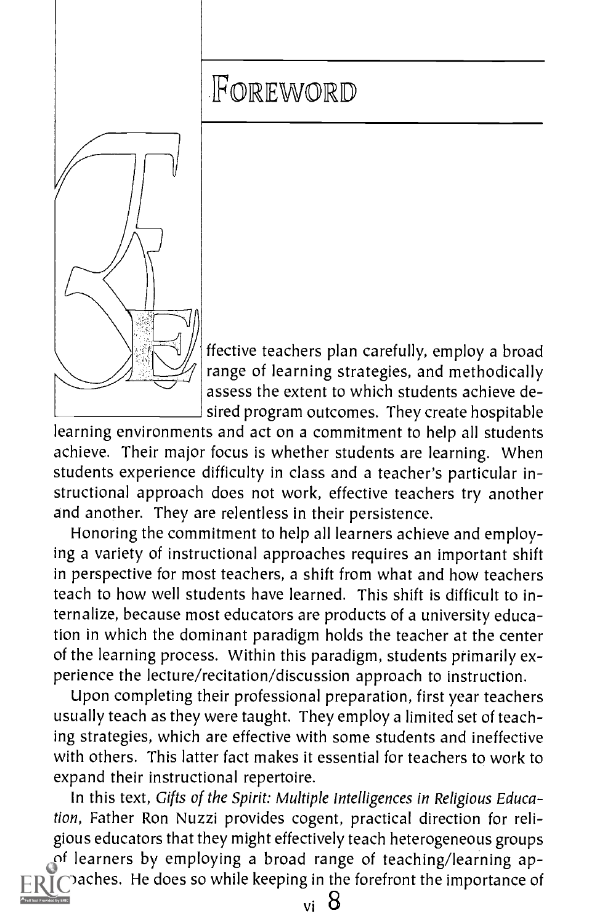### FOREWORD



ffective teachers plan carefully, employ a broad range of learning strategies, and methodically assess the extent to which students achieve desired program outcomes. They create hospitable

learning environments and act on a commitment to help all students achieve. Their major focus is whether students are learning. When students experience difficulty in class and a teacher's particular instructional approach does not work, effective teachers try another and another. They are relentless in their persistence.

Honoring the commitment to help all learners achieve and employing a variety of instructional approaches requires an important shift in perspective for most teachers, a shift from what and how teachers teach to how well students have learned. This shift is difficult to internalize, because most educators are products of a university education in which the dominant paradigm holds the teacher at the center of the learning process. Within this paradigm, students primarily experience the lecture/recitation/discussion approach to instruction.

Upon completing their professional preparation, first year teachers usually teach as they were taught. They employ a limited set of teaching strategies, which are effective with some students and ineffective with others. This latter fact makes it essential for teachers to work to expand their instructional repertoire.

In this text, Gifts of the Spirit: Multiple Intelligences in Religious Education, Father Ron Nuzzi provides cogent, practical direction for religious educators that they might effectively teach heterogeneous groups

of learners by employing a broad range of teaching/learning appaches. He does so while keeping in the forefront the importance of vi 8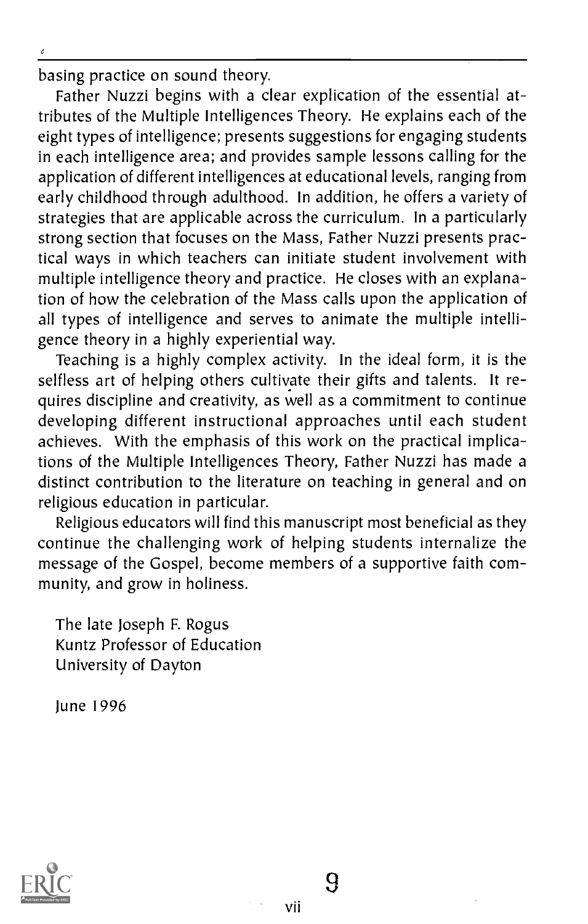basing practice on sound theory.

Father Nuzzi begins with a clear explication of the essential attributes of the Multiple Intelligences Theory. He explains each of the eight types of intelligence; presents suggestions for engaging students in each intelligence area; and provides sample lessons calling for the application of different intelligences at educational levels, ranging from early childhood through adulthood. In addition, he offers a variety of strategies that are applicable across the curriculum. In a particularly strong section that focuses on the Mass, Father Nuzzi presents practical ways in which teachers can initiate student involvement with multiple intelligence theory and practice. He closes with an explanation of how the celebration of the Mass calls upon the application of all types of intelligence and serves to animate the multiple intelligence theory in a highly experiential way.

Teaching is a highly complex activity. In the ideal form, it is the selfless art of helping others cultivate their gifts and talents. It requires discipline and creativity, as well as a commitment to continue developing different instructional approaches until each student achieves. With the emphasis of this work on the practical implications of the Multiple Intelligences Theory, Father Nuzzi has made a distinct contribution to the literature on teaching in general and on religious education in particular.

Religious educators will find this manuscript most beneficial as they continue the challenging work of helping students internalize the message of the Gospel, become members of a supportive faith community, and grow in holiness.

The late Joseph F. Rogus Kuntz Professor of Education University of Dayton

June 1996



vii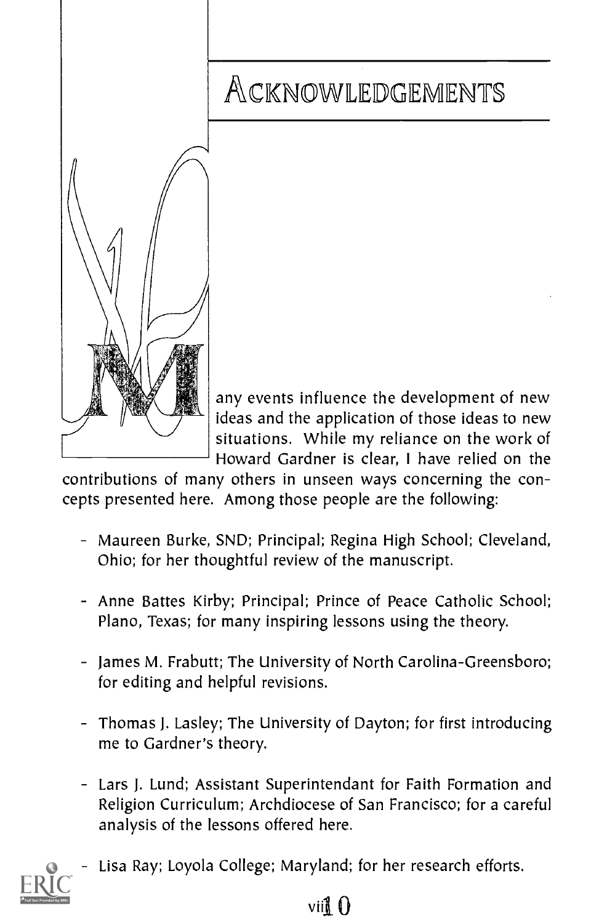## ACKNOWLEDGEMENTS



any events influence the development of new ideas and the application of those ideas to new situations. While my reliance on the work of Howard Gardner is clear, I have relied on the

contributions of many others in unseen ways concerning the concepts presented here. Among those people are the following:

- Maureen Burke, SND; Principal; Regina High School; Cleveland, Ohio; for her thoughtful review of the manuscript.
- Anne Battes Kirby; Principal; Prince of Peace Catholic School; Plano, Texas; for many inspiring lessons using the theory.
- James M. Frabutt; The University of North Carolina-Greensboro; for editing and helpful revisions.
- Thomas J. Lasley; The University of Dayton; for first introducing me to Gardner's theory.
- Lars J. Lund; Assistant Superintendant for Faith Formation and Religion Curriculum; Archdiocese of San Francisco; for a careful analysis of the lessons offered here.



Lisa Ray; Loyola College; Maryland; for her research efforts.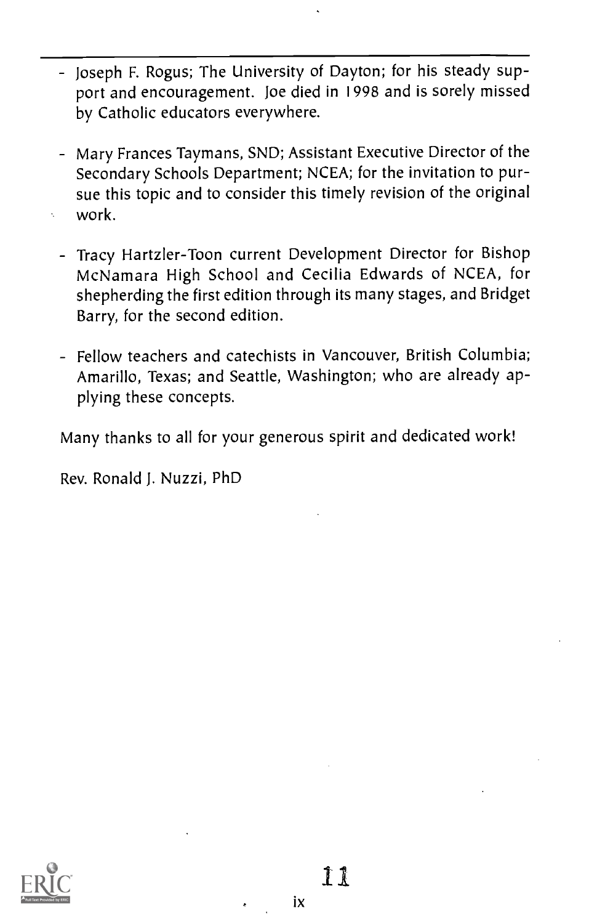- Joseph F. Rogus; The University of Dayton; for his steady support and encouragement. Joe died in 1998 and is sorely missed by Catholic educators everywhere.
- Mary Frances Taymans, SND; Assistant Executive Director of the Secondary Schools Department; NCEA; for the invitation to pursue this topic and to consider this timely revision of the original work.
- Tracy Hartzler-Toon current Development Director for Bishop McNamara High School and Cecilia Edwards of NCEA, for shepherding the first edition through its many stages, and Bridget Barry, for the second edition.
- Fellow teachers and catechists in Vancouver, British Columbia; Amarillo, Texas; and Seattle, Washington; who are already applying these concepts.

Many thanks to all for your generous spirit and dedicated work!

Rev. Ronald J. Nuzzi, PhD



 $11$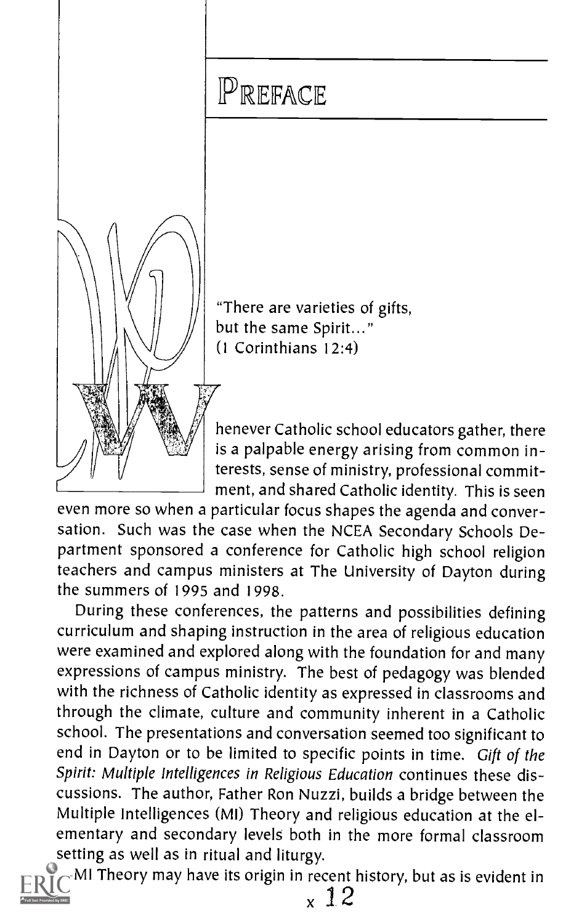

ment, and shared Catholic identity. This is seen even more so when a particular focus shapes the agenda and conversation. Such was the case when the NCEA Secondary Schools Department sponsored a conference for Catholic high school religion teachers and campus ministers at The University of Dayton during the summers of 1995 and 1998.

During these conferences, the patterns and possibilities defining curriculum and shaping instruction in the area of religious education were examined and explored along with the foundation for and many expressions of campus ministry. The best of pedagogy was blended with the richness of Catholic identity as expressed in classrooms and through the climate, culture and community inherent in a Catholic school. The presentations and conversation seemed too significant to end in Dayton or to be limited to specific points in time. Gift of the Spirit: Multiple Intelligences in Religious Education continues these discussions. The author, Father Ron Nuzzi, builds a bridge between the Multiple Intelligences (MI) Theory and religious education at the elementary and secondary levels both in the more formal classroom setting as well as in ritual and liturgy.



MI Theory may have its origin in recent history, but as is evident in.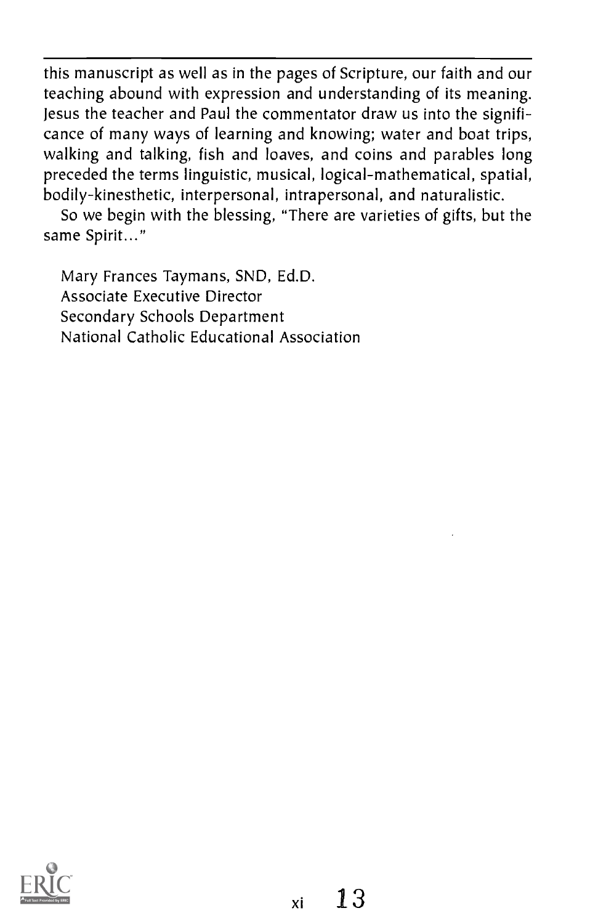this manuscript as well as in the pages of Scripture, our faith and our teaching abound with expression and understanding of its meaning. Jesus the teacher and Paul the commentator draw us into the significance of many ways of learning and knowing; water and boat trips, walking and talking, fish and loaves, and coins and parables long preceded the terms linguistic, musical, logical-mathematical, spatial, bodily-kinesthetic, interpersonal, intrapersonal, and naturalistic.

So we begin with the blessing, "There are varieties of gifts, but the same Spirit..."

Mary Frances Taymans, SND, Ed.D. Associate Executive Director Secondary Schools Department National Catholic Educational Association

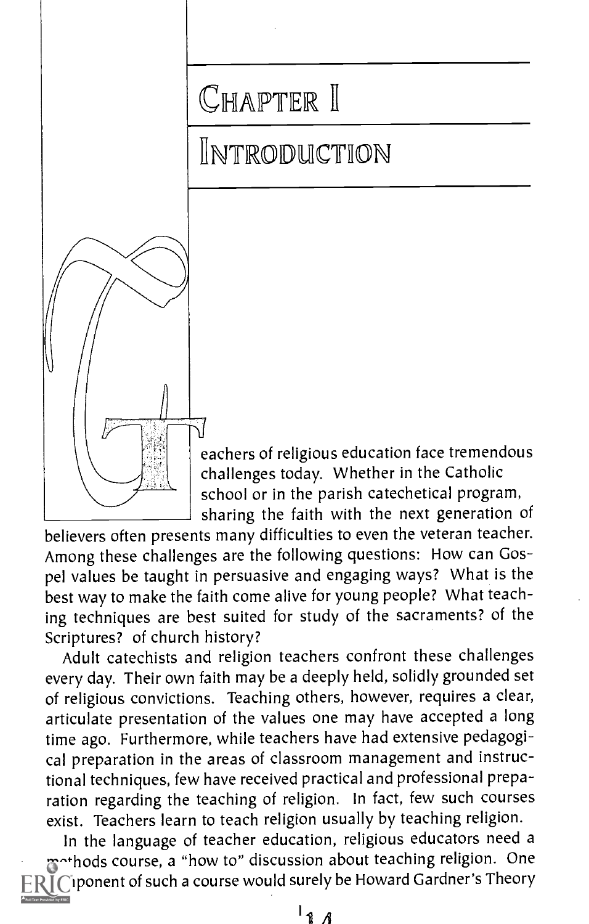Chapter I

### INTRODUCTION



eachers of religious education face tremendous challenges today. Whether in the Catholic school or in the parish catechetical program, sharing the faith with the next generation of

believers often presents many difficulties to even the veteran teacher. Among these challenges are the following questions: How can Gospel values be taught in persuasive and engaging ways? What is the best way to make the faith come alive for young people? What teaching techniques are best suited for study of the sacraments? of the Scriptures? of church history?

Adult catechists and religion teachers confront these challenges every day. Their own faith may be a deeply held, solidly grounded set of religious convictions. Teaching others, however, requires a clear, articulate presentation of the values one may have accepted a long time ago. Furthermore, while teachers have had extensive pedagogical preparation in the areas of classroom management and instructional techniques, few have received practical and professional preparation regarding the teaching of religion. In fact, few such courses exist. Teachers learn to teach religion usually by teaching religion.

In the language of teacher education, religious educators need a methods course, a "how to" discussion about teaching religion. One  $\tilde{\Gamma}$ ponent of such a course would surely be Howard Gardner's Theory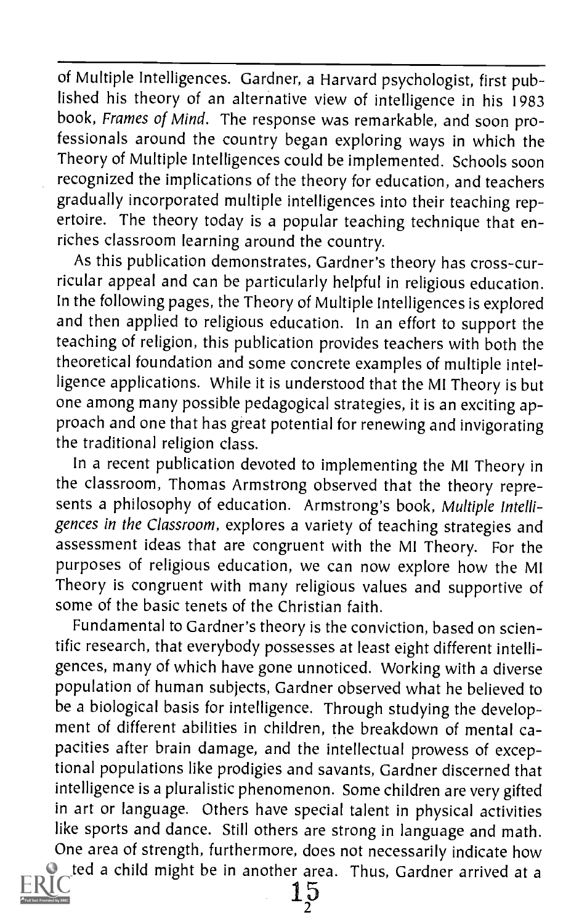of Multiple Intelligences. Gardner, a Harvard psychologist, first published his theory of an alternative view of intelligence in his 1983 book, Frames of Mind. The response was remarkable, and soon professionals around the country began exploring ways in which the Theory of Multiple Intelligences could be implemented. Schools soon recognized the implications of the theory for education, and teachers gradually incorporated multiple intelligences into their teaching repertoire. The theory today is a popular teaching technique that enriches classroom learning around the country.

As this publication demonstrates, Gardner's theory has cross-curricular appeal and can be particularly helpful in religious education. In the following pages, the Theory of Multiple Intelligences is explored and then applied to religious education. In an effort to support the teaching of religion, this publication provides teachers with both the theoretical foundation and some concrete examples of multiple intelligence applications. While it is understood that the MI Theory is but one among many possible pedagogical strategies, it is an exciting approach and one that has great potential for renewing and invigorating the traditional religion class.

In a recent publication devoted to implementing the MI Theory in the classroom, Thomas Armstrong observed that the theory represents a philosophy of education. Armstrong's book, Multiple Intelligences in the Classroom, explores a variety of teaching strategies and assessment ideas that are congruent with the MI Theory. For the purposes of religious education, we can now explore how the MI Theory is congruent with many religious values and supportive of some of the basic tenets of the Christian faith.

Fundamental to Gardner's theory is the conviction, based on scientific research, that everybody possesses at least eight different intelligences, many of which have gone unnoticed. Working with a diverse population of human subjects, Gardner observed what he believed to be a biological basis for intelligence. Through studying the development of different abilities in children, the breakdown of mental capacities after brain damage, and the intellectual prowess of exceptional populations like prodigies and savants, Gardner discerned that intelligence is a pluralistic phenomenon. Some children are very gifted in art or language. Others have special talent in physical activities like sports and dance. Still others are strong in language and math. One area of strength, furthermore, does not necessarily indicate how gifted a child might be in another area. Thus, Gardner arrived at a

15

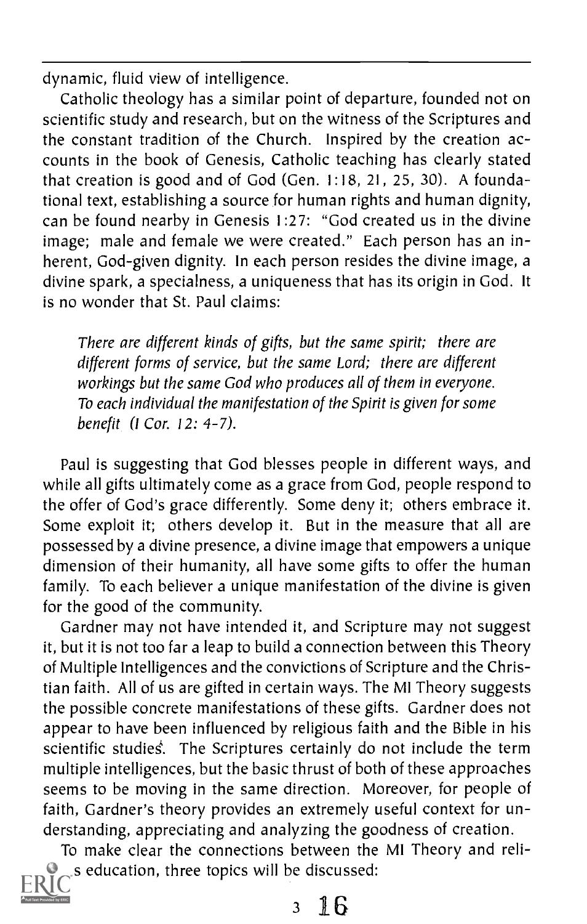dynamic, fluid view of intelligence.

Catholic theology has a similar point of departure, founded not on scientific study and research, but on the witness of the Scriptures and the constant tradition of the Church. Inspired by the creation accounts in the book of Genesis, Catholic teaching has clearly stated that creation is good and of God (Gen. 1:18, 21, 25, 30). A foundational text, establishing a source for human rights and human dignity, can be found nearby in Genesis 1:27: "God created us in the divine image; male and female we were created." Each person has an inherent, God-given dignity. In each person resides the divine image, a divine spark, a specialness, a uniqueness that has its origin in God. It is no wonder that St. Paul claims:

There are different kinds of gifts, but the same spirit; there are different forms of service, but the same Lord; there are different workings but the same God who produces all of them in everyone. To each individual the manifestation of the Spirit is given for some benefit (1 Cor. 12: 4-7).

Paul is suggesting that God blesses people in different ways, and while all gifts ultimately come as a grace from God, people respond to the offer of God's grace differently. Some deny it; others embrace it. Some exploit it; others develop it. But in the measure that all are possessed by a divine presence, a divine image that empowers a unique dimension of their humanity, all have some gifts to offer the human family. To each believer a unique manifestation of the divine is given for the good of the community.

Gardner may not have intended it, and Scripture may not suggest it, but it is not too far a leap to build a connection between this Theory of Multiple Intelligences and the convictions of Scripture and the Christian faith. All of us are gifted in certain ways. The MI Theory suggests the possible concrete manifestations of these gifts. Gardner does not appear to have been influenced by religious faith and the Bible in his scientific studies. The Scriptures certainly do not include the term multiple intelligences, but the basic thrust of both of these approaches seems to be moving in the same direction. Moreover, for people of faith, Gardner's theory provides an extremely useful context for understanding, appreciating and analyzing the goodness of creation.

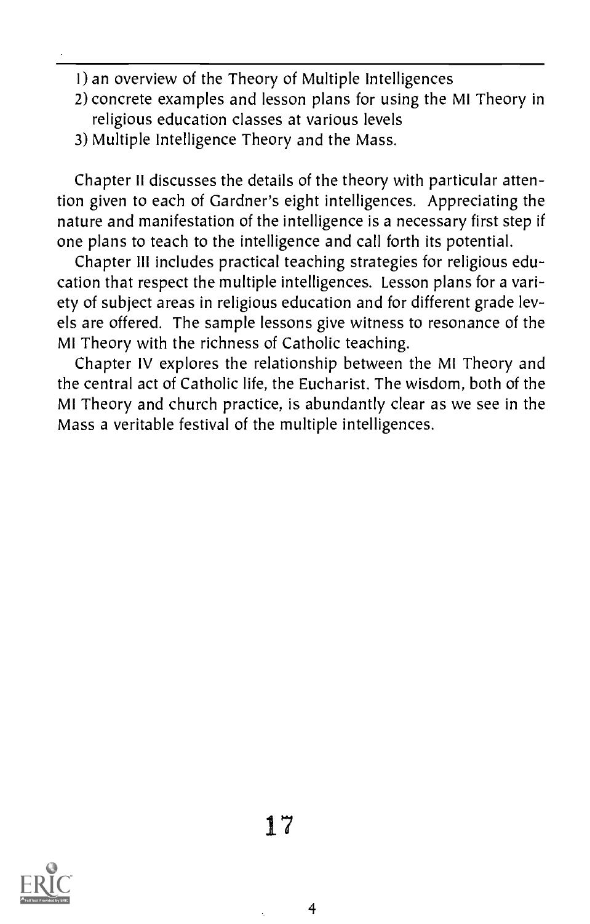- 1) an overview of the Theory of Multiple Intelligences
- 2) concrete examples and lesson plans for using the MI Theory in religious education classes at various levels
- 3) Multiple Intelligence Theory and the Mass.

Chapter II discusses the details of the theory with particular attention given to each of Gardner's eight intelligences. Appreciating the nature and manifestation of the intelligence is a necessary first step if one plans to teach to the intelligence and call forth its potential.

Chapter III includes practical teaching strategies for religious education that respect the multiple intelligences. Lesson plans for a variety of subject areas in religious education and for different grade levels are offered. The sample lessons give witness to resonance of the MI Theory with the richness of Catholic teaching.

Chapter IV explores the relationship between the MI Theory and the central act of Catholic life, the Eucharist. The wisdom, both of the MI Theory and church practice, is abundantly clear as we see in the Mass a veritable festival of the multiple intelligences.

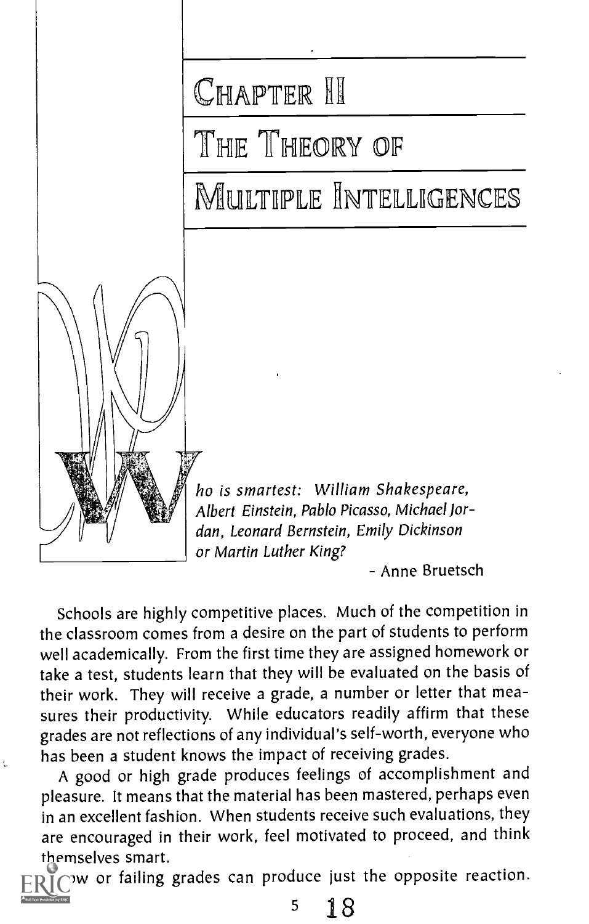

Anne Bruetsch

Schools are highly competitive places. Much of the competition in the classroom comes from a desire on the part of students to perform well academically. From the first time they are assigned homework or take a test, students learn that they will be evaluated on the basis of their work. They will receive a grade, a number or letter that measures their productivity. While educators readily affirm that these grades are not reflections of any individual's self-worth, everyone who has been a student knows the impact of receiving grades.

A good or high grade produces feelings of accomplishment and pleasure. It means that the material has been mastered, perhaps even in an excellent fashion. When students receive such evaluations, they are encouraged in their work, feel motivated to proceed, and think themselves smart.

w or failing grades can produce just the opposite reaction.

<sup>5</sup> 18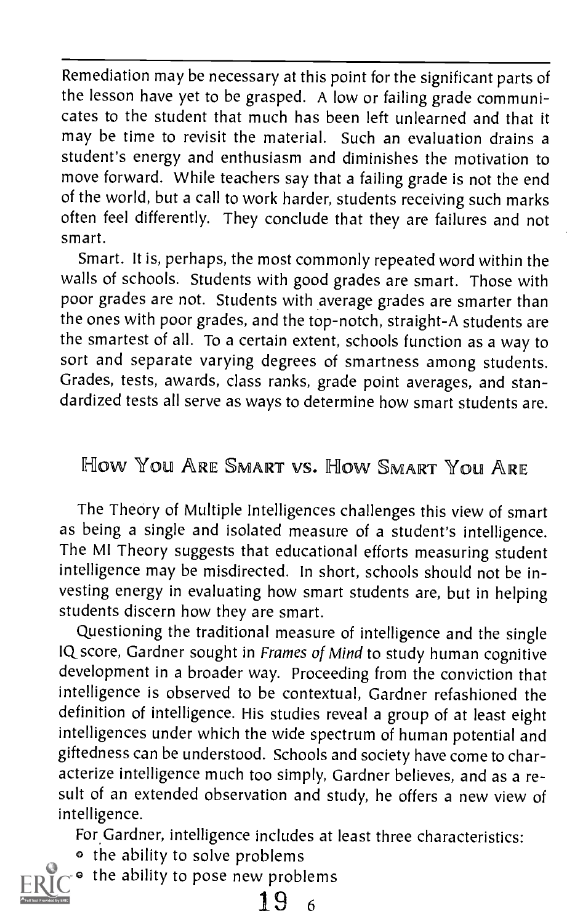Remediation may be necessary at this point for the significant parts of the lesson have yet to be grasped. A low or failing grade communicates to the student that much has been left unlearned and that it may be time to revisit the material. Such an evaluation drains a student's energy and enthusiasm and diminishes the motivation to move forward. While teachers say that a failing grade is not the end of the world, but a call to work harder, students receiving such marks often feel differently. They conclude that they are failures and not smart.

Smart. It is, perhaps, the most commonly repeated word within the walls of schools. Students with good grades are smart. Those with poor grades are not. Students with average grades are smarter than the ones with poor grades, and the top-notch, straight-A students are the smartest of all. To a certain extent, schools function as a way to sort and separate varying degrees of smartness among students. Grades, tests, awards, class ranks, grade point averages, and standardized tests all serve as ways to determine how smart students are.

### HOW YOU ARE SMART VS. HOW SMART YOU ARE

The Theory of Multiple Intelligences challenges this view of smart as being a single and isolated measure of a student's intelligence. The MI Theory suggests that educational efforts measuring student intelligence may be misdirected. In short, schools should not be investing energy in evaluating how smart students are, but in helping students discern how they are smart.

Questioning the traditional measure of intelligence and the single IQ score, Gardner sought in Frames of Mind to study human cognitive development in a broader way. Proceeding from the conviction that intelligence is observed to be contextual, Gardner refashioned the definition of intelligence. His studies reveal a group of at least eight intelligences under which the wide spectrum of human potential and giftedness can be understood. Schools and society have come to characterize intelligence much too simply, Gardner believes, and as a result of an extended observation and study, he offers a new view of intelligence.

For Gardner, intelligence includes at least three characteristics:

o the ability to solve problems



® the ability to pose new problems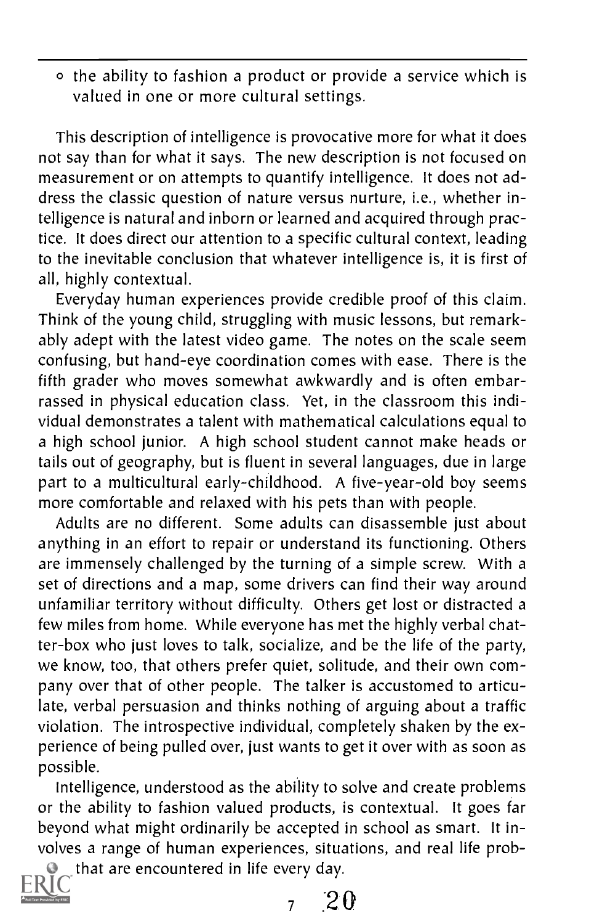o the ability to fashion a product or provide a service which is valued in one or more cultural settings.

This description of intelligence is provocative more for what it does not say than for what it says. The new description is not focused on measurement or on attempts to quantify intelligence. It does not address the classic question of nature versus nurture, i.e., whether intelligence is natural and inborn or learned and acquired through practice. It does direct our attention to a specific cultural context, leading to the inevitable conclusion that whatever intelligence is, it is first of all, highly contextual.

Everyday human experiences provide credible proof of this claim. Think of the young child, struggling with music lessons, but remarkably adept with the latest video game. The notes on the scale seem confusing, but hand-eye coordination comes with ease. There is the fifth grader who moves somewhat awkwardly and is often embarrassed in physical education class. Yet, in the classroom this individual demonstrates a talent with mathematical calculations equal to a high school junior. A high school student cannot make heads or tails out of geography, but is fluent in several languages, due in large part to a multicultural early-childhood. A five-year-old boy seems more comfortable and relaxed with his pets than with people.

Adults are no different. Some adults can disassemble just about anything in an effort to repair or understand its functioning. Others are immensely challenged by the turning of a simple screw. With a set of directions and a map, some drivers can find their way around unfamiliar territory without difficulty. Others get lost or distracted a few miles from home. While everyone has met the highly verbal chatter-box who just loves to talk, socialize, and be the life of the party, we know, too, that others prefer quiet, solitude, and their own company over that of other people. The talker is accustomed to articulate, verbal persuasion and thinks nothing of arguing about a traffic violation. The introspective individual, completely shaken by the experience of being pulled over, just wants to get it over with as soon as possible.

Intelligence, understood as the ability to solve and create problems or the ability to fashion valued products, is contextual. It goes far beyond what might ordinarily be accepted in school as smart. It involves a range of human experiences, situations, and real life prob-



that are encountered in life every day.

 $7 \t20$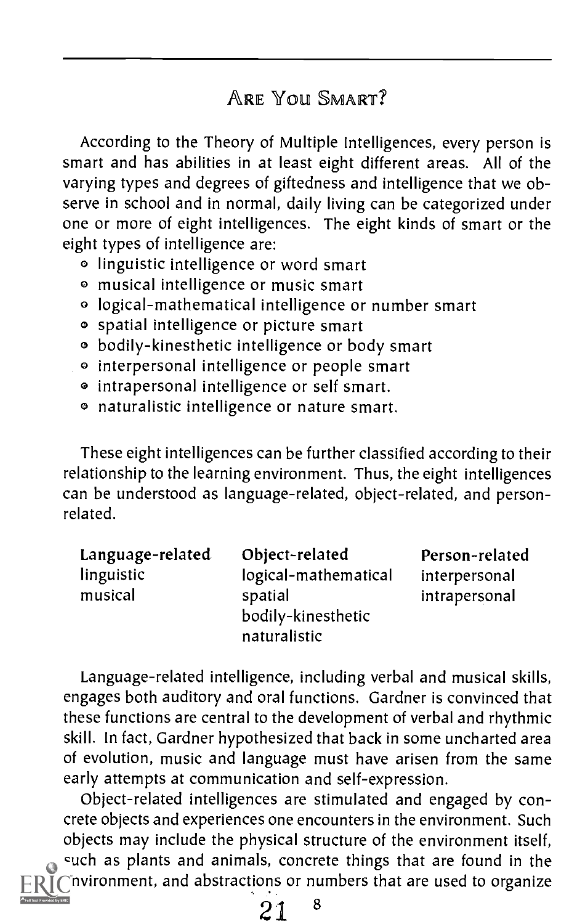### ARE You SMART?

According to the Theory of Multiple Intelligences, every person is smart and has abilities in at least eight different areas. All of the varying types and degrees of giftedness and intelligence that we observe in school and in normal, daily living can be categorized under one or more of eight intelligences. The eight kinds of smart or the eight types of intelligence are:

- $\circ$  linguistic intelligence or word smart
- G musical intelligence or music smart
- G logical-mathematical intelligence or number smart
- o spatial intelligence or picture smart
- o bodily-kinesthetic intelligence or body smart
- G interpersonal intelligence or people smart
- G intrapersonal intelligence or self smart.
- o naturalistic intelligence or nature smart.

These eight intelligences can be further classified according to their relationship to the learning environment. Thus, the eight intelligences can be understood as language-related, object-related, and personrelated.

| Language-related | Object-related       | Person-related |
|------------------|----------------------|----------------|
| linguistic       | logical-mathematical | interpersonal  |
| musical          | spatial              | intrapersonal  |
|                  | bodily-kinesthetic   |                |
|                  | naturalistic         |                |

Language-related intelligence, including verbal and musical skills, engages both auditory and oral functions. Gardner is convinced that these functions are central to the development of verbal and rhythmic skill. In fact, Gardner hypothesized that back in some uncharted area of evolution, music and language must have arisen from the same early attempts at communication and self-expression.

Object-related intelligences are stimulated and engaged by concrete objects and experiences one encounters in the environment. Such objects may include the physical structure of the environment itself, such as plants and animals, concrete things that are found in the environment, and abstractions or numbers that are used to organize

21 <sup>8</sup>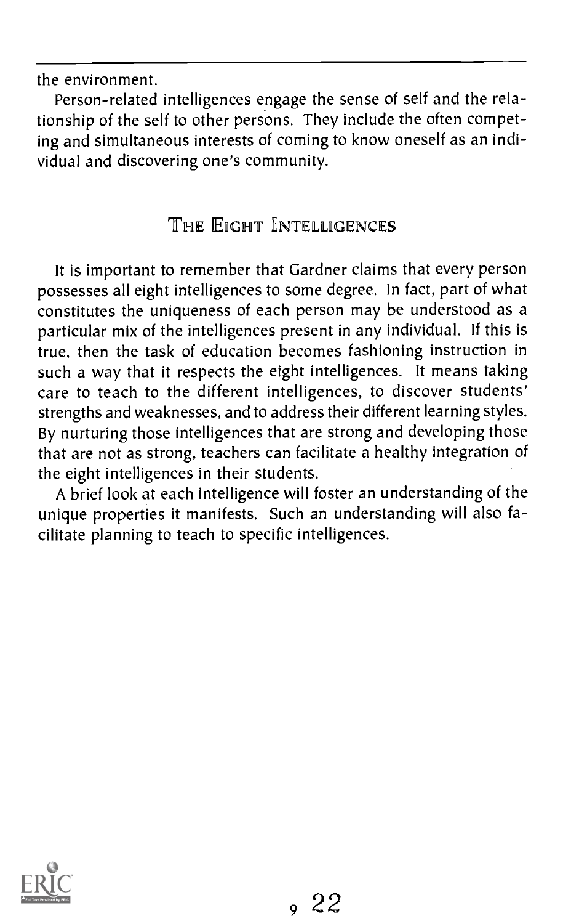the environment.

Person-related intelligences engage the sense of self and the relationship of the self to other persons. They include the often competing and simultaneous interests of coming to know oneself as an individual and discovering one's community.

#### THE EIGHT INTELLIGENCES

it is important to remember that Gardner claims that every person possesses all eight intelligences to some degree. In fact, part of what constitutes the uniqueness of each person may be understood as a particular mix of the intelligences present in any individual. If this is true, then the task of education becomes fashioning instruction in such a way that it respects the eight intelligences. It means taking care to teach to the different intelligences, to discover students' strengths and weaknesses, and to address their different learning styles. By nurturing those intelligences that are strong and developing those that are not as strong, teachers can facilitate a healthy integration of the eight intelligences in their students.

A brief look at each intelligence will foster an understanding of the unique properties it manifests. Such an understanding will also facilitate planning to teach to specific intelligences.

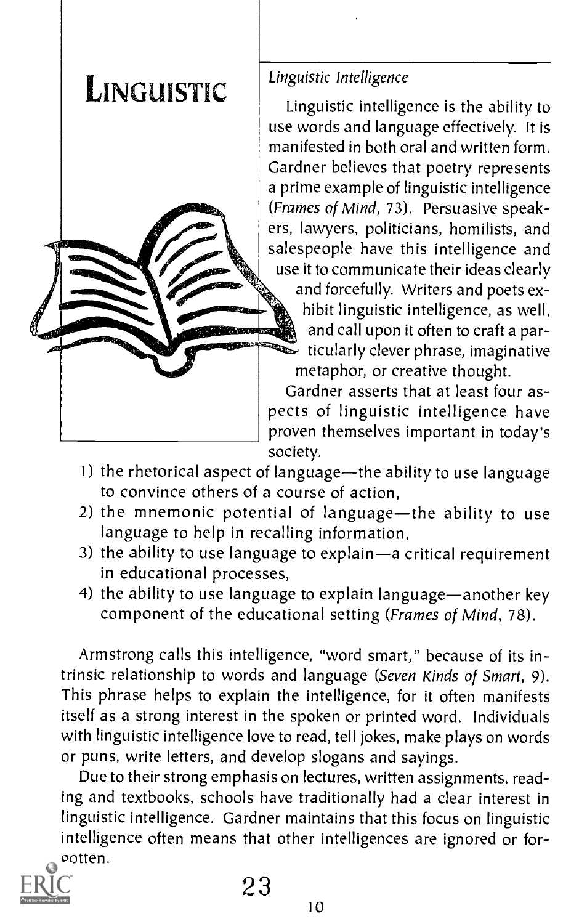



#### Linguistic Intelligence

 $\textbf{LMGUISTIC}$   $\begin{array}{r} \begin{array}{c} \textit{Linguistic intelligence} \\ \textit{Linguistic intelligence is the ability to} \end{array} \end{array}$ use words and language effectively. It is manifested in both oral and written form. Gardner believes that poetry represents a prime example of linguistic intelligence (Frames of Mind, 73). Persuasive speakers, lawyers, politicians, homilists, and salespeople have this intelligence and use it to communicate their ideas clearly and forcefully. Writers and poets ex-

hibit linguistic intelligence, as well, and call upon it often to craft a particularly clever phrase, imaginative metaphor, or creative thought.

Gardner asserts that at least four aspects of linguistic intelligence have proven themselves important in today's society.

- 1) the rhetorical aspect of language—the ability to use language to convince others of a course of action,
- 2) the mnemonic potential of language-the ability to use language to help in recalling information,
- 3) the ability to use language to explain-a critical requirement in educational processes,
- 4) the ability to use language to explain language-another key component of the educational setting (Frames of Mind, 78).

Armstrong calls this intelligence, "word smart," because of its intrinsic relationship to words and language (Seven Kinds of Smart, 9). This phrase helps to explain the intelligence, for it often manifests itself as a strong interest in the spoken or printed word. Individuals with linguistic intelligence love to read, tell jokes, make plays on words or puns, write letters, and develop slogans and sayings.

Due to their strong emphasis on lectures, written assignments, reading and textbooks, schools have traditionally had a clear interest in linguistic intelligence. Gardner maintains that this focus on linguistic intelligence often means that other intelligences are ignored or forgotten.

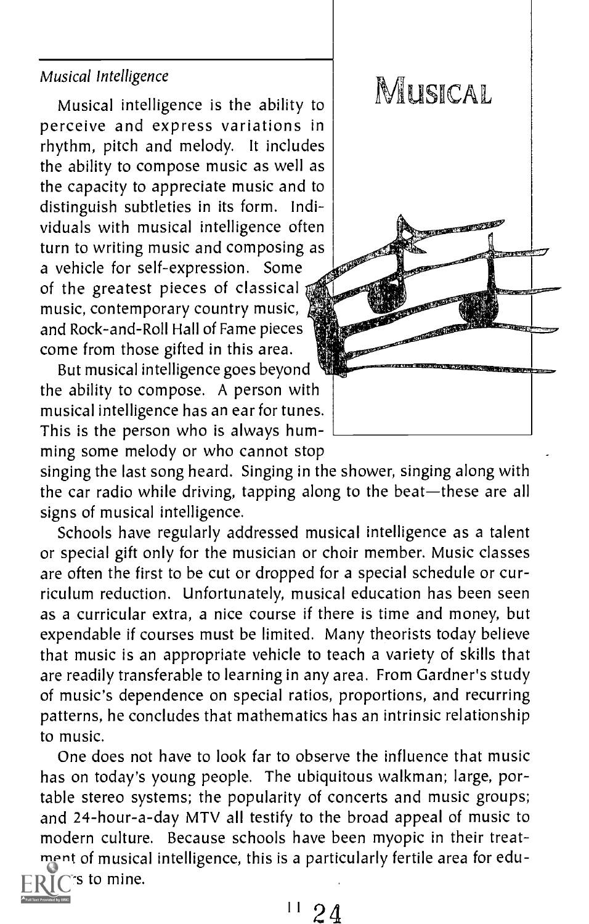#### Musical Intelligence

Musical intelligence is the ability to perceive and express variations in rhythm, pitch and melody. It includes the ability to compose music as well as the capacity to appreciate music and to distinguish subtleties in its form. Individuals with musical intelligence often turn to writing music and composing as a vehicle for self-expression. Some of the greatest pieces of classical  $\mathbb{Z}$ music, contemporary country music, and Rock-and-Roll Hall of Fame pieces come from those gifted in this area.

But musical intelligence goes beyond the ability to compose. A person with musical intelligence has an ear for tunes. This is the person who is always humming some melody or who cannot stop



singing the last song heard. Singing in the shower, singing along with the car radio while driving, tapping along to the beat—these are all signs of musical intelligence.

Schools have regularly addressed musical intelligence as a talent or special gift only for the musician or choir member. Music classes are often the first to be cut or dropped for a special schedule or curriculum reduction. Unfortunately, musical education has been seen as a curricular extra, a nice course if there is time and money, but expendable if courses must be limited. Many theorists today believe that music is an appropriate vehicle to teach a variety of skills that are readily transferable to learning in any area. From Gardner's study of music's dependence on special ratios, proportions, and recurring patterns, he concludes that mathematics has an intrinsic relationship to music.

One does not have to look far to observe the influence that music has on today's young people. The ubiquitous walkman; large, portable stereo systems; the popularity of concerts and music groups; and 24-hour-a-day MTV all testify to the broad appeal of music to modern culture. Because schools have been myopic in their treatment of musical intelligence, this is a particularly fertile area for edus to mine.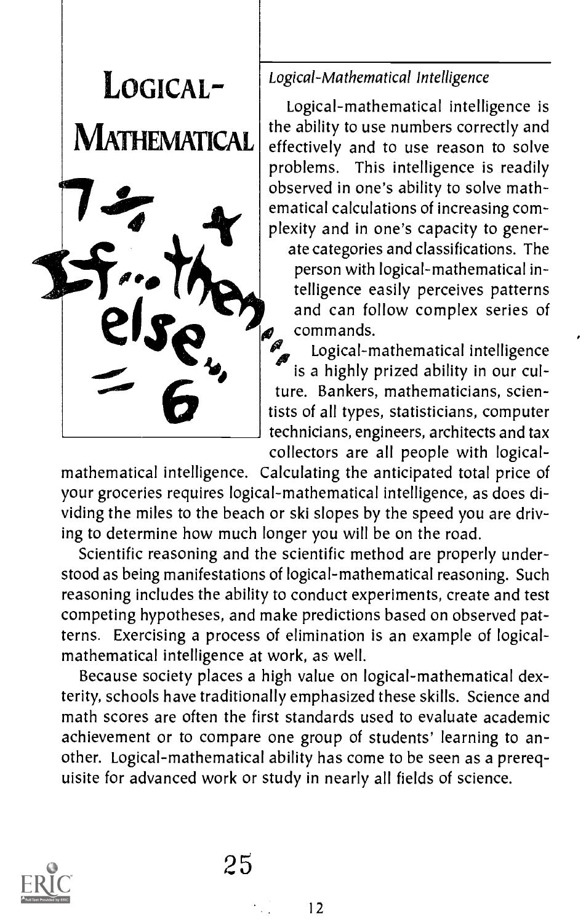

#### Logical-Mathematical Intelligence

Logical-mathematical intelligence is the ability to use numbers correctly and effectively and to use reason to solve problems. This intelligence is readily observed in one's ability to solve mathematical calculations of increasing complexity and in one's capacity to generate categories and classifications. The person with logical-mathematical intelligence easily perceives patterns and can follow complex series of commands.

Logical-mathematical intelligence is a highly prized ability in our culture. Bankers, mathematicians, scientists of all types, statisticians, computer technicians, engineers, architects and tax collectors are all people with logical-

mathematical intelligence. Calculating the anticipated total price of your groceries requires logical-mathematical intelligence, as does dividing the miles to the beach or ski slopes by the speed you are driving to determine how much longer you will be on the road.

Scientific reasoning and the scientific method are properly understood as being manifestations of logical-mathematical reasoning. Such reasoning includes the ability to conduct experiments, create and test competing hypotheses, and make predictions based on observed patterns. Exercising a process of elimination is an example of logicalmathematical intelligence at work, as well.

Because society places a high value on logical-mathematical dexterity, schools have traditionally emphasized these skills. Science and math scores are often the first standards used to evaluate academic achievement or to compare one group of students' learning to another. Logical-mathematical ability has come to be seen as a prerequisite for advanced work or study in nearly all fields of science.

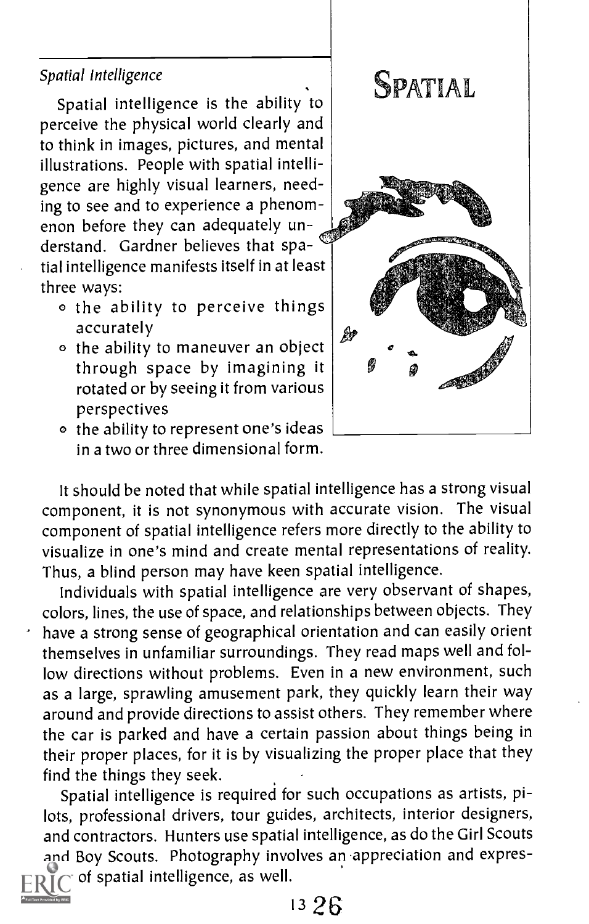#### Spatial Intelligence

Spatial intelligence is the ability to perceive the physical world clearly and to think in images, pictures, and mental illustrations. People with spatial intelligence are highly visual learners, needing to see and to experience a phenomenon before they can adequately understand. Gardner believes that spatial intelligence manifests itself in at least three ways:

- o the ability to perceive things accurately
- accurately<br>• the ability to maneuver an object  $\beta$ through space by imagining it rotated or by seeing it from various perspectives
- o the ability to represent one's ideas in a two or three dimensional form.



It should be noted that while spatial intelligence has a strong visual component, it is not synonymous with accurate vision. The visual component of spatial intelligence refers more directly to the ability to visualize in one's mind and create mental representations of reality. Thus, a blind person may have keen spatial intelligence.

Individuals with spatial intelligence are very observant of shapes, colors, lines, the use of space, and relationships between objects. They have a strong sense of geographical orientation and can easily orient themselves in unfamiliar surroundings. They read maps well and follow directions without problems. Even in a new environment, such as a large, sprawling amusement park, they quickly learn their way around and provide directions to assist others. They remember where the car is parked and have a certain passion about things being in their proper places, for it is by visualizing the proper place that they find the things they seek.

Spatial intelligence is required for such occupations as artists, pilots, professional drivers, tour guides, architects, interior designers, and contractors. Hunters use spatial intelligence, as do the Girl Scouts and Boy Scouts. Photography involves an appreciation and expresof spatial intelligence, as well.

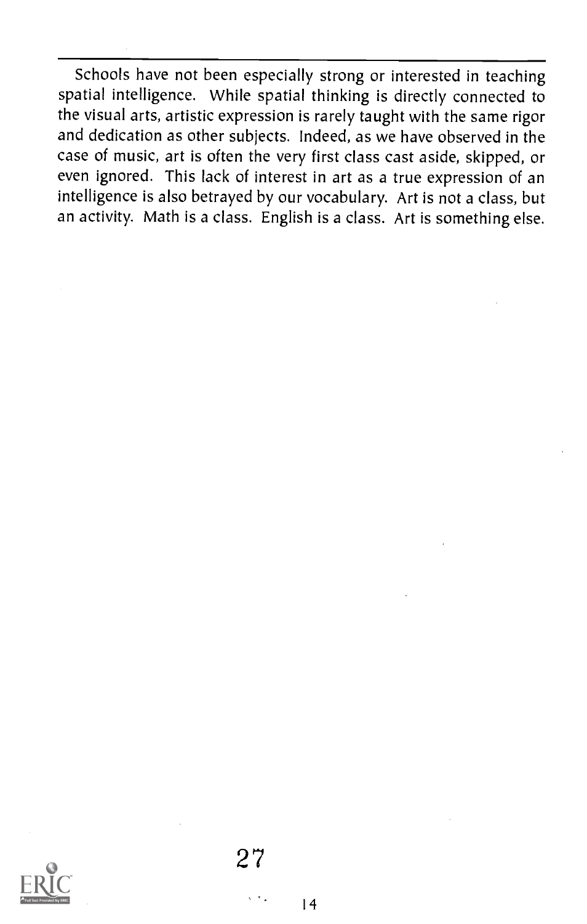Schools have not been especially strong or interested in teaching spatial intelligence. While spatial thinking is directly connected to the visual arts, artistic expression is rarely taught with the same rigor and dedication as other subjects. Indeed, as we have observed in the case of music, art is often the very first class cast aside, skipped, or even ignored. This lack of interest in art as a true expression of an intelligence is also betrayed by our vocabulary. Art is not a class, but an activity. Math is a class. English is a class. Art is something else.

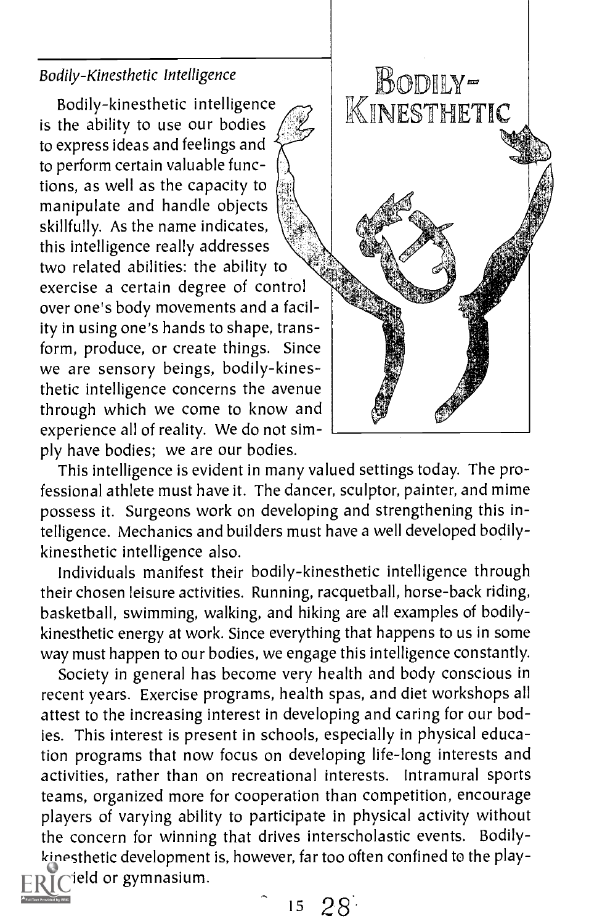#### Bodily-Kinesthetic Intelligence

is the ability to use our bodies to express ideas and feelings and to perform certain valuable functions, as well as the capacity to manipulate and handle objects skillfully. As the name indicates, this intelligence really addresses two related abilities: the ability to exercise a certain degree of control over one's body movements and a facility in using one's hands to shape, transform, produce, or create things. Since we are sensory beings, bodily-kinesthetic intelligence concerns the avenue through which we come to know and experience all of reality. We do not simply have bodies; we are our bodies.



This intelligence is evident in many valued settings today. The professional athlete must have it. The dancer, sculptor, painter, and mime possess it. Surgeons work on developing and strengthening this intelligence. Mechanics and builders must have a well developed bodilykinesthetic intelligence also.

Individuals manifest their bodily-kinesthetic intelligence through their chosen leisure activities. Running, racquetball, horse-back riding, basketball, swimming, walking, and hiking are all examples of bodilykinesthetic energy at work. Since everything that happens to us in some way must happen to our bodies, we engage this intelligence constantly.

Society in general has become very health and body conscious in recent years. Exercise programs, health spas, and diet workshops all attest to the increasing interest in developing and caring for our bodies. This interest is present in schools, especially in physical education programs that now focus on developing life-long interests and activities, rather than on recreational interests. Intramural sports teams, organized more for cooperation than competition, encourage players of varying ability to participate in physical activity without the concern for winning that drives interscholastic events. Bodilykinesthetic development is, however, far too often confined to the playield or gymnasium.

$$
15\quad28^{\circ}
$$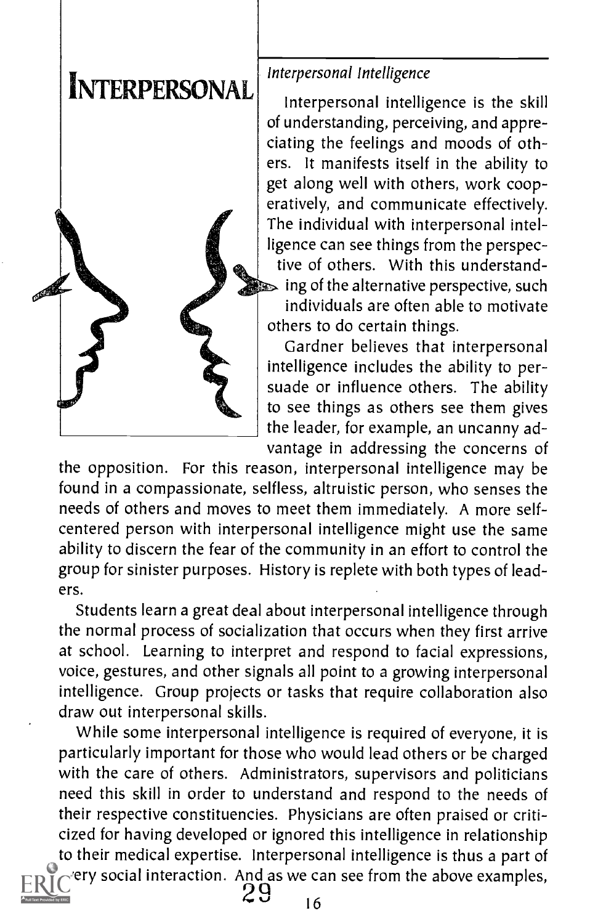INTERPERSONAL Interpersonal intelligence is the skill



#### Interpersonal Intelligence

of understanding, perceiving, and appreciating the feelings and moods of others. It manifests itself in the ability to get along well with others, work cooperatively, and communicate effectively. The individual with interpersonal intelligence can see things from the perspective of others. With this understand- $\sum$  ing of the alternative perspective, such

individuals are often able to motivate others to do certain things.

Gardner believes that interpersonal intelligence includes the ability to persuade or influence others. The ability to see things as others see them gives the leader, for example, an uncanny advantage in addressing the concerns of

the opposition. For this reason, interpersonal intelligence may be found in a compassionate, selfless, altruistic person, who senses the needs of others and moves to meet them immediately. A more selfcentered person with interpersonal intelligence might use the same ability to discern the fear of the community in an effort to control the group for sinister purposes. History is replete with both types of leade rs.

Students learn a great deal about interpersonal intelligence through the normal process of socialization that occurs when they first arrive at school. Learning to interpret and respond to facial expressions, voice, gestures, and other signals all point to a growing interpersonal intelligence. Group projects or tasks that require collaboration also draw out interpersonal skills.

While some interpersonal intelligence is required of everyone, it is particularly important for those who would lead others or be charged with the care of others. Administrators, supervisors and politicians need this skill in order to understand and respond to the needs of their respective constituencies. Physicians are often praised or criticized for having developed or ignored this intelligence in relationship to their medical expertise. Interpersonal intelligence is thus a part of ery social interaction. And as we can see from the above examples,<br> $29<sup>16</sup>$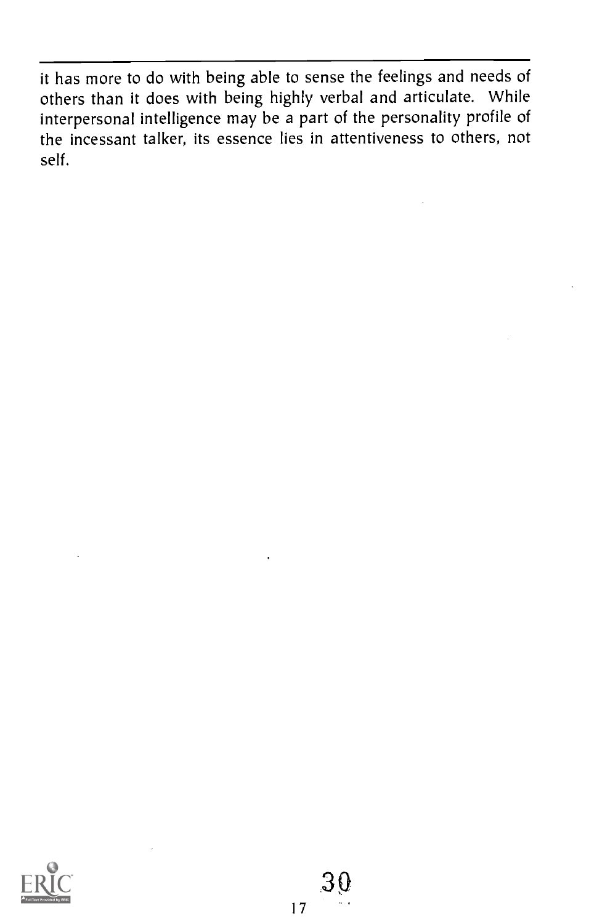it has more to do with being able to sense the feelings and needs of others than it does with being highly verbal and articulate. While interpersonal intelligence may be a part of the personality profile of the incessant talker, its essence lies in attentiveness to others, not self.

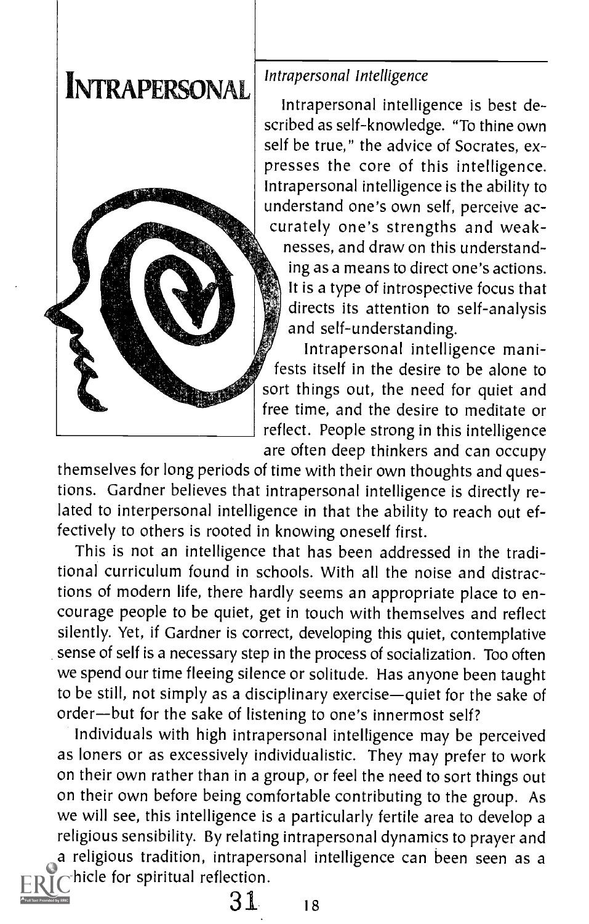INTRAPERSONAL



#### Intrapersonal Intelligence

Intrapersonal intelligence is best described as self-knowledge. "To thine own self be true," the advice of Socrates, expresses the core of this intelligence. Intrapersonal intelligence is the ability to understand one's own self, perceive accurately one's strengths and weak-

nesses, and draw on this understanding as a means to direct one's actions. It is a type of introspective focus that directs its attention to self-analysis and self-understanding.

Intrapersonal intelligence manifests itself in the desire to be alone to sort things out, the need for quiet and free time, and the desire to meditate or reflect. People strong in this intelligence are often deep thinkers and can occupy

themselves for long periods of time with their own thoughts and questions. Gardner believes that intrapersonal intelligence is directly related to interpersonal intelligence in that the ability to reach out effectively to others is rooted in knowing oneself first.

This is not an intelligence that has been addressed in the traditional curriculum found in schools. With all the noise and distractions of modern life, there hardly seems an appropriate place to encourage people to be quiet, get in touch with themselves and reflect silently. Yet, if Gardner is correct, developing this quiet, contemplative sense of self is a necessary step in the process of socialization. Too often we spend our time fleeing silence or solitude. Has anyone been taught to be still, not simply as a disciplinary exercise—quiet for the sake of order-but for the sake of listening to one's innermost self?

Individuals with high intrapersonal intelligence may be perceived as loners or as excessively individualistic. They may prefer to work on their own rather than in a group, or feel the need to sort things out on their own before being comfortable contributing to the group. As we will see, this intelligence is a particularly fertile area to develop a religious sensibility. By relating intrapersonal dynamics to prayer and

a religious tradition, intrapersonal intelligence can been seen as a hicle for spiritual reflection.

31 Is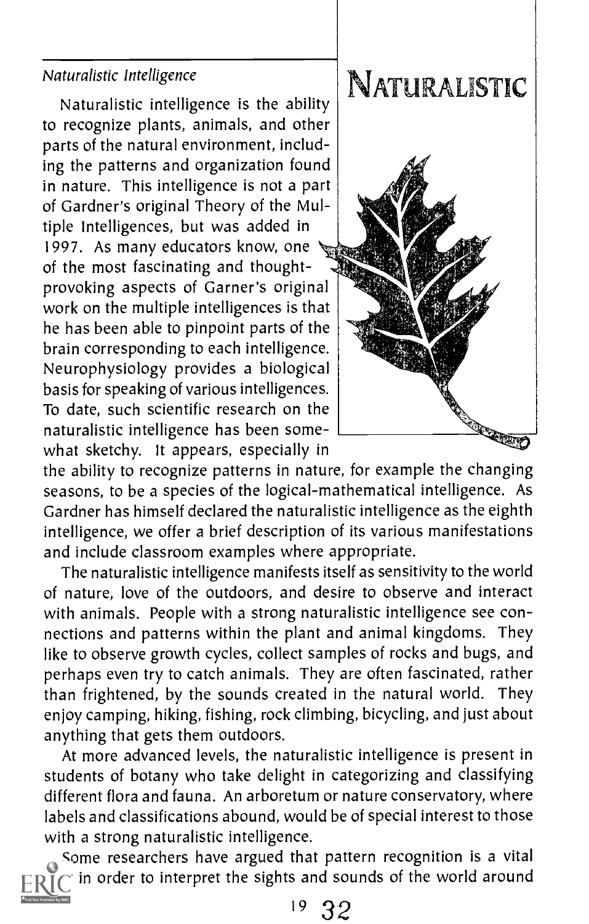#### Naturalistic Intelligence

Naturalistic intelligence is the ability to recognize plants, animals, and other parts of the natural environment, including the patterns and organization found in nature. This intelligence is not a part of Gardner's original Theory of the Multiple Intelligences, but was added in 1997. As many educators know, one of the most fascinating and thoughtprovoking aspects of Garner's original work on the multiple intelligences is that he has been able to pinpoint parts of the brain corresponding to each intelligence. Neurophysiology provides a biological basis for speaking of various intelligences. To date, such scientific research on the naturalistic intelligence has been somewhat sketchy. It appears, especially in



the ability to recognize patterns in nature, for example the changing seasons, to be a species of the logical-mathematical intelligence. As Gardner has himself declared the naturalistic intelligence as the eighth intelligence, we offer a brief description of its various manifestations and include classroom examples where appropriate.

The naturalistic intelligence manifests itself as sensitivity to the world of nature, love of the outdoors, and desire to observe and interact with animals. People with a strong naturalistic intelligence see connections and patterns within the plant and animal kingdoms. They like to observe growth cycles, collect samples of rocks and bugs, and perhaps even try to catch animals. They are often fascinated, rather than frightened, by the sounds created in the natural world. They enjoy camping, hiking, fishing, rock climbing, bicycling, and just about anything that gets them outdoors.

At more advanced levels, the naturalistic intelligence is present in students of botany who take delight in categorizing and classifying different flora and fauna. An arboretum or nature conservatory, where labels and classifications abound, would be of special interest to those with a strong naturalistic intelligence.



Some researchers have argued that pattern recognition is a vital in order to interpret the sights and sounds of the world around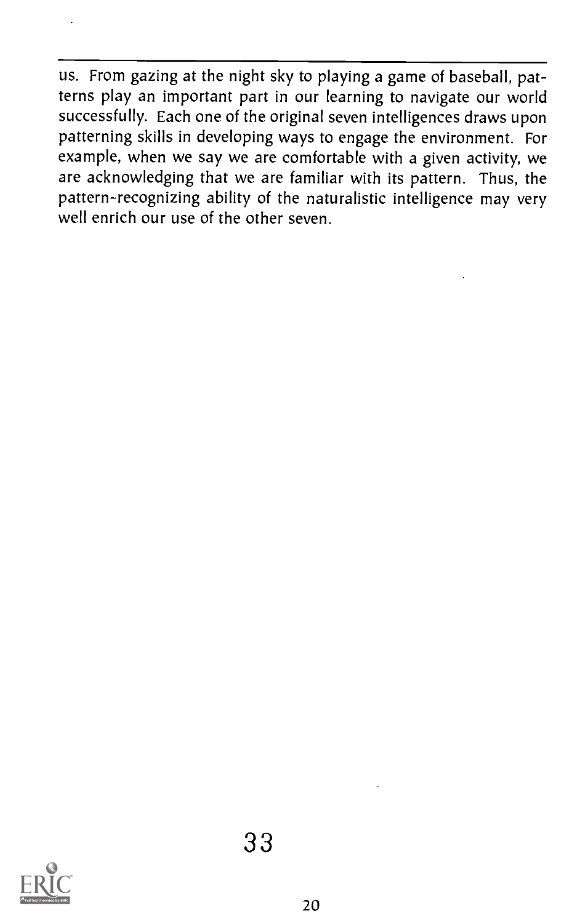us. From gazing at the night sky to playing a game of baseball, patterns play an important part in our learning to navigate our world successfully. Each one of the original seven intelligences draws upon patterning skills in developing ways to engage the environment. For example, when we say we are comfortable with a given activity, we are acknowledging that we are familiar with its pattern. Thus, the pattern-recognizing ability of the naturalistic intelligence may very well enrich our use of the other seven.

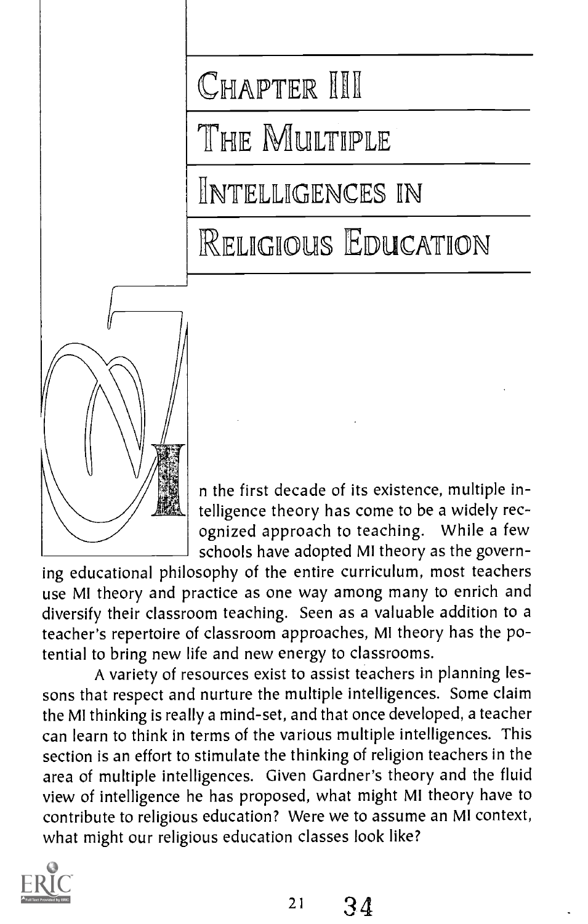Chapter III

THE MULTIPLE

Intelligences in

RELIGIOUS EDUCATION



n the first decade of its existence, multiple intelligence theory has come to be a widely recognized approach to teaching. While a few schools have adopted MI theory as the govern-

ing educational philosophy of the entire curriculum, most teachers use MI theory and practice as one way among many to enrich and diversify their classroom teaching. Seen as a valuable addition to a teacher's repertoire of classroom approaches, MI theory has the potential to bring new life and new energy to classrooms.

A variety of resources exist to assist teachers in planning lessons that respect and nurture the multiple intelligences. Some claim the MI thinking is really a mind-set, and that once developed, a teacher can learn to think in terms of the various multiple intelligences. This section is an effort to stimulate the thinking of religion teachers in the area of multiple intelligences. Given Gardner's theory and the fluid view of intelligence he has proposed, what might MI theory have to contribute to religious education? Were we to assume an MI context, what might our religious education classes look like?

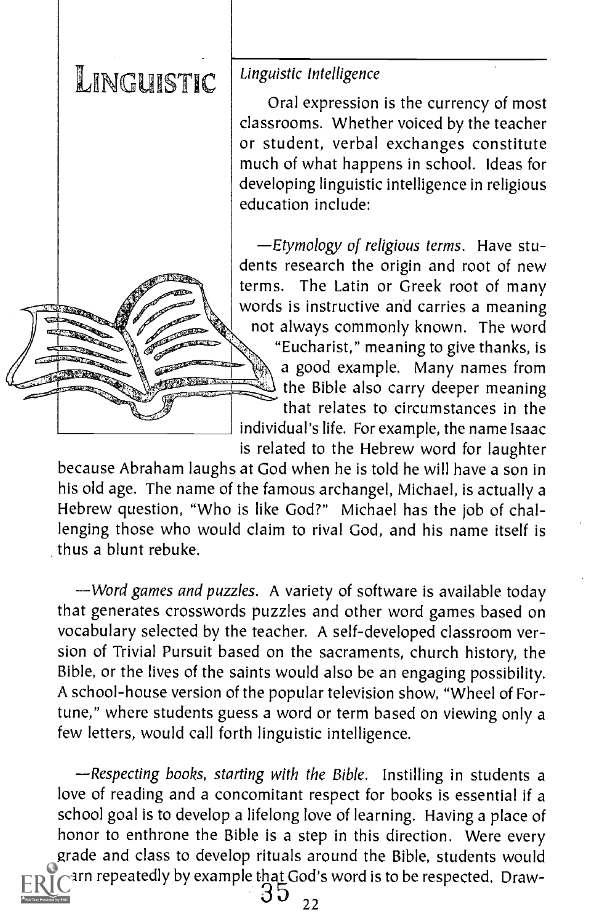#### LINGUISTIC Linguistic Intelligence

Oral expression is the currency of most classrooms. Whether voiced by the teacher or student, verbal exchanges constitute much of what happens in school. Ideas for developing linguistic intelligence in religious education include:

Etymology of religious terms. Have students research the origin and root of new terms. The Latin or Greek root of many words is instructive and carries a meaning not always commonly known. The word "Eucharist," meaning to give thanks, is a good example. Many names from the Bible also carry deeper meaning that relates to circumstances in the individual's life. For example, the name Isaac is related to the Hebrew word for laughter

because Abraham laughs at God when he is told he will have a son in his old age. The name of the famous archangel, Michael, is actually a Hebrew question, "Who is like God?" Michael has the job of challenging those who would claim to rival God, and his name itself is thus a blunt rebuke.

Word games and puzzles. A variety of software is available today that generates crosswords puzzles and other word games based on vocabulary selected by the teacher. A self-developed classroom version of Trivial Pursuit based on the sacraments, church history, the Bible, or the lives of the saints would also be an engaging possibility. A school-house version of the popular television show, "Wheel of Fortune," where students guess a word or term based on viewing only a few letters, would call forth linguistic intelligence.

-Respecting books, starting with the Bible. Instilling in students a love of reading and a concomitant respect for books is essential if a school goal is to develop a lifelong love of learning. Having a place of honor to enthrone the Bible is a step in this direction. Were every grade and class to develop rituals around the Bible, students would arn repeatedly by example that God's word is to be respected. Draw-<br> $35$  $35_{\rm _{22}}$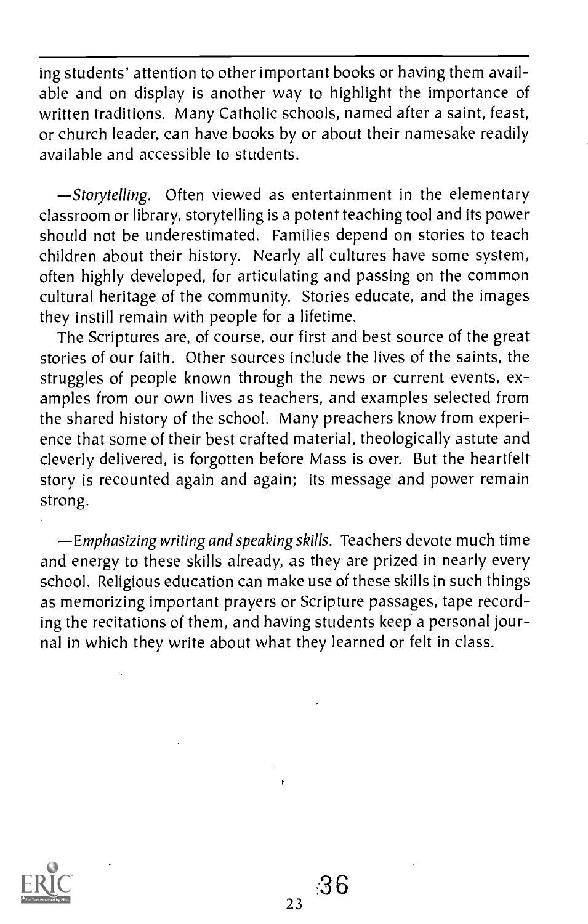ing students' attention to other important books or having them available and on display is another way to highlight the importance of written traditions. Many Catholic schools, named after a saint, feast, or church leader, can have books by or about their namesake readily available and accessible to students.

-Storytelling. Often viewed as entertainment in the elementary classroom or library, storytelling is a potent teaching tool and its power should not be underestimated. Families depend on stories to teach children about their history. Nearly all cultures have some system, often highly developed, for articulating and passing on the common cultural heritage of the community. Stories educate, and the images they instill remain with people for a lifetime.

The Scriptures are, of course, our first and best source of the great stories of our faith. Other sources include the lives of the saints, the struggles of people known through the news or current events, examples from our own lives as teachers, and examples selected from the shared history of the school. Many preachers know from experience that some of their best crafted material, theologically astute and cleverly delivered, is forgotten before Mass is over. But the heartfelt story is recounted again and again; its message and power remain strong.

Emphasizing writing and speaking skills. Teachers devote much time and energy to these skills already, as they are prized in nearly every school. Religious education can make use of these skills in such things as memorizing important prayers or Scripture passages, tape recording the recitations of them, and having students keep a personal journal in which they write about what they learned or felt in class.



 $2<sup>2</sup>$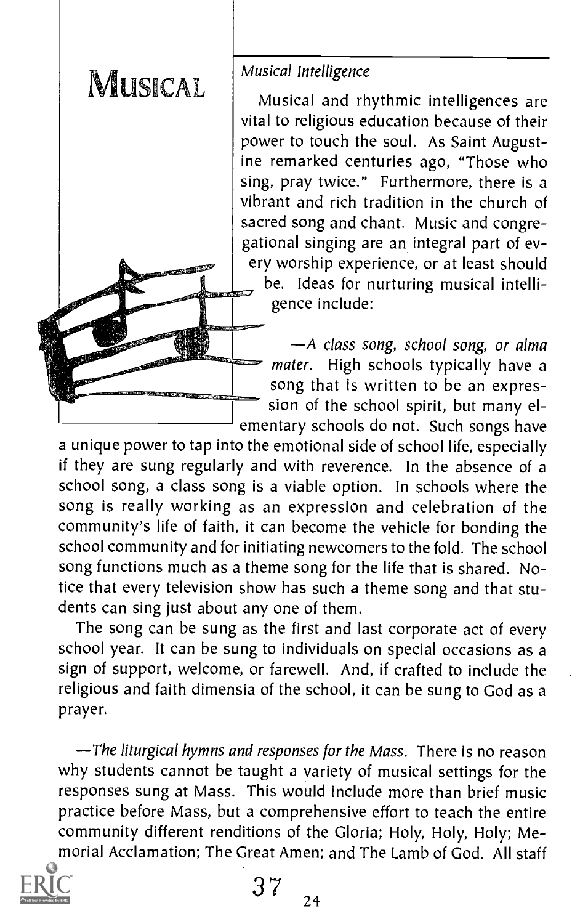

Musical and rhythmic intelligences are vital to religious education because of their power to touch the soul. As Saint Augustine remarked centuries ago, "Those who sing, pray twice." Furthermore, there is a vibrant and rich tradition in the church of sacred song and chant. Music and congregational singing are an integral part of every worship experience, or at least should be. Ideas for nurturing musical intelligence include:

 $-A$  class song, school song, or alma mater. High schools typically have a song that is written to be an expression of the school spirit, but many elementary schools do not. Such songs have

a unique power to tap into the emotional side of school life, especially if they are sung regularly and with reverence. In the absence of a school song, a class song is a viable option. In schools where the song is really working as an expression and celebration of the community's life of faith, it can become the vehicle for bonding the school community and for initiating newcomers to the fold. The school song functions much as a theme song for the life that is shared. Notice that every television show has such a theme song and that students can sing just about any one of them.

The song can be sung as the first and last corporate act of every school year. It can be sung to individuals on special occasions as a sign of support, welcome, or farewell. And, if crafted to include the religious and faith dimensia of the school, it can be sung to God as a prayer.

The liturgical hymns and responses for the Mass. There is no reason why students cannot be taught a variety of musical settings for the responses sung at Mass. This would include more than brief music practice before Mass, but a comprehensive effort to teach the entire community different renditions of the Gloria; Holy, Holy, Holy; Memorial Acclamation; The Great Amen; and The Lamb of God. All staff

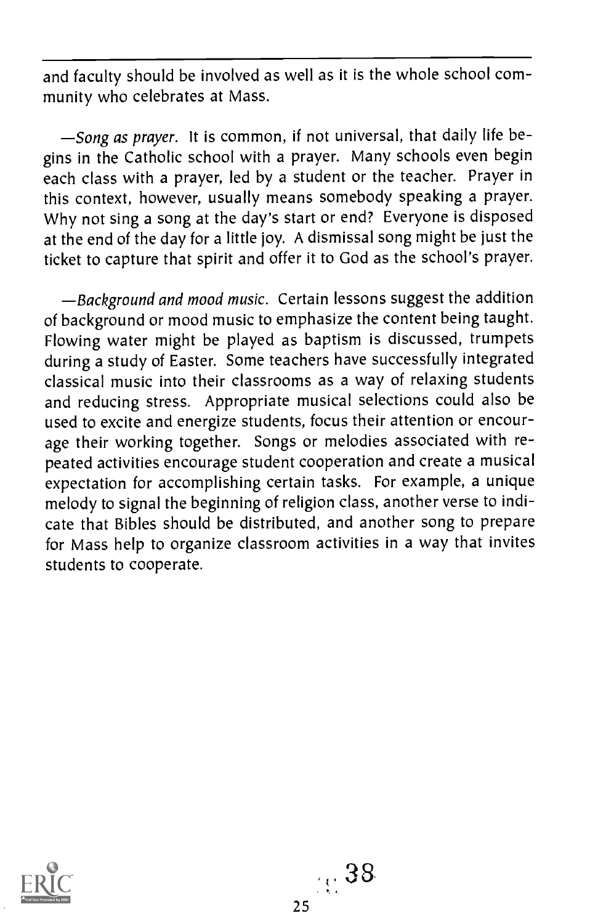and faculty should be involved as well as it is the whole school community who celebrates at Mass.

-Song as prayer. It is common, if not universal, that daily life begins in the Catholic school with a prayer. Many schools even begin each class with a prayer, led by a student or the teacher. Prayer in this context, however, usually means somebody speaking a prayer. Why not sing a song at the day's start or end? Everyone is disposed at the end of the day for a little joy. A dismissal song might be just the ticket to capture that spirit and offer it to God as the school's prayer.

-Background and mood music. Certain lessons suggest the addition of background or mood music to emphasize the content being taught. Flowing water might be played as baptism is discussed, trumpets during a study of Easter. Some teachers have successfully integrated classical music into their classrooms as a way of relaxing students and reducing stress. Appropriate musical selections could also be used to excite and energize students, focus their attention or encourage their working together. Songs or melodies associated with repeated activities encourage student cooperation and create a musical expectation for accomplishing certain tasks. For example, a unique melody to signal the beginning of religion class, another verse to indicate that Bibles should be distributed, and another song to prepare for Mass help to organize classroom activities in a way that invites students to cooperate.

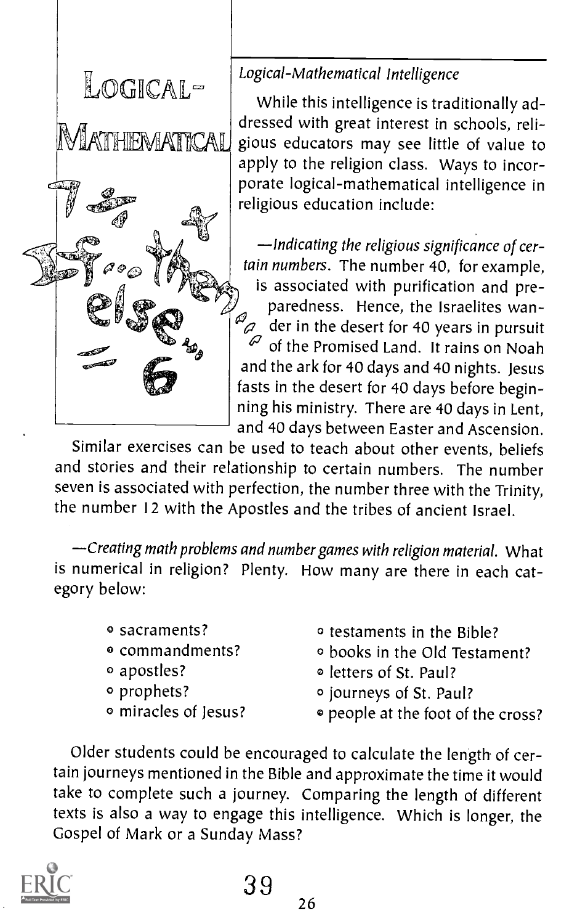

# Logical-Mathematical Intelligence

While this intelligence is traditionally addressed with great interest in schools, religious educators may see little of value to apply to the religion class. Ways to incorporate logical-mathematical intelligence in religious education include:

-Indicating the religious significance of certain numbers. The number 40, for example, is associated with purification and preparedness. Hence, the Israelites wander in the desert for 40 years in pursuit  $\sim$  of the Promised Land. It rains on Noah and the ark for 40 days and 40 nights. Jesus fasts in the desert for 40 days before beginning his ministry. There are 40 days in Lent, and 40 days between Easter and Ascension.

Similar exercises can be used to teach about other events, beliefs and stories and their relationship to certain numbers. The number seven is associated with perfection, the number three with the Trinity, the number I2 with the Apostles and the tribes of ancient Israel.

Creating math problems and number games with religion material. What is numerical in religion? Plenty. How many are there in each category below:

- 
- 
- 
- 
- 
- o sacraments? o testaments in the Bible?
- commandments? books in the Old Testament?
- O apostles? 0 letters of St. Paul?
- o prophets? 0 journeys of St. Paul?
- O miracles of Jesus? 0 people at the foot of the cross?

Older students could be encouraged to calculate the length of certain journeys mentioned in the Bible and approximate the time it would take to complete such a journey. Comparing the length of different texts is also a way to engage this intelligence. Which is longer, the Gospel of Mark or a Sunday Mass?

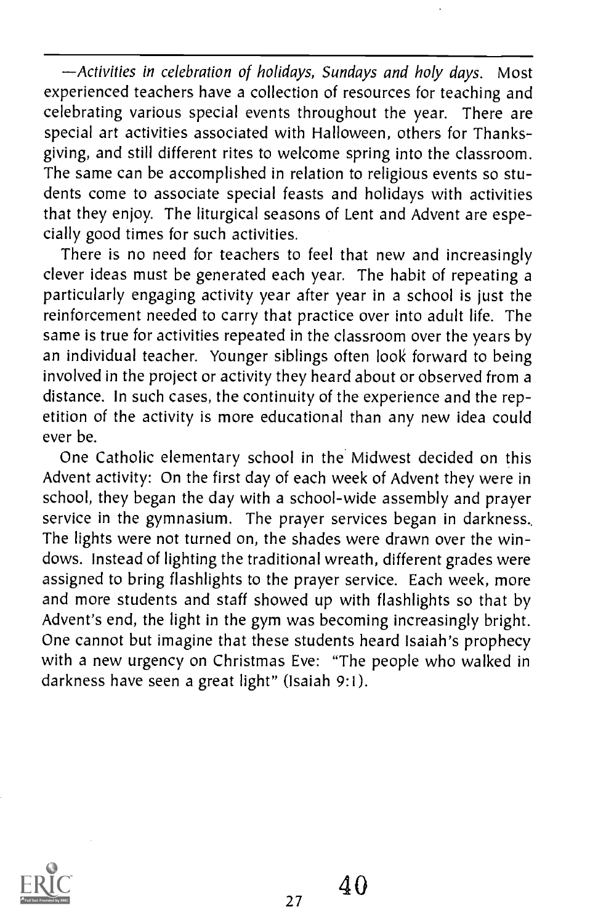Activities in celebration of holidays, Sundays and holy days. Most experienced teachers have a collection of resources for teaching and celebrating various special events throughout the year. There are special art activities associated with Halloween, others for Thanksgiving, and still different rites to welcome spring into the classroom. The same can be accomplished in relation to religious events so students come to associate special feasts and holidays with activities that they enjoy. The liturgical seasons of Lent and Advent are especially good times for such activities.

There is no need for teachers to feel that new and increasingly clever ideas must be generated each year. The habit of repeating a particularly engaging activity year after year in a school is just the reinforcement needed to carry that practice over into adult life. The same is true for activities repeated in the classroom over the years by an individual teacher. Younger siblings often look forward to being involved in the project or activity they heard about or observed from a distance. In such cases, the continuity of the experience and the repetition of the activity is more educational than any new idea could ever be.

One Catholic elementary school in the Midwest decided on this Advent activity: On the first day of each week of Advent they were in school, they began the day with a school-wide assembly and prayer service in the gymnasium. The prayer services began in darkness.. The lights were not turned on, the shades were drawn over the windows. Instead of lighting the traditional wreath, different grades were assigned to bring flashlights to the prayer service. Each week, more and more students and staff showed up with flashlights so that by Advent's end, the light in the gym was becoming increasingly bright. One cannot but imagine that these students heard Isaiah's prophecy with a new urgency on Christmas Eve: "The people who walked in darkness have seen a great light" (Isaiah 9: I).

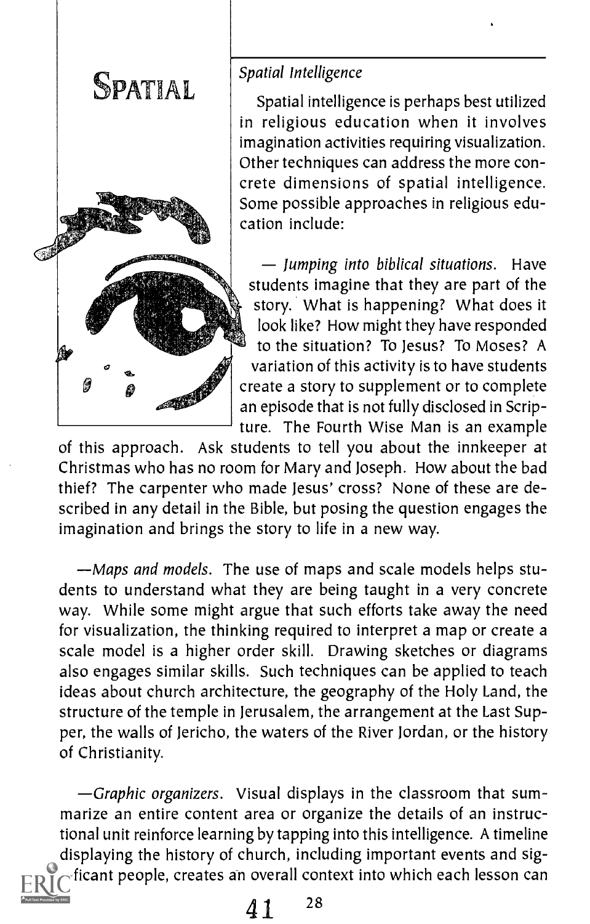# SPATIAL



## Spatial Intelligence

Spatial intelligence is perhaps best utilized in religious education when it involves imagination activities requiring visualization. Other techniques can address the more concrete dimensions of spatial intelligence. Some possible approaches in religious education include:

 $-$  Jumping into biblical situations. Have students imagine that they are part of the story. What is happening? What does it look like? How might they have responded to the situation? To Jesus? To Moses? A variation of this activity is to have students create a story to supplement or to complete an episode that is not fully disclosed in Scripture. The Fourth Wise Man is an example

of this approach. Ask students to tell you about the innkeeper at Christmas who has no room for Mary and Joseph. How about the bad thief? The carpenter who made Jesus' cross? None of these are described in any detail in the Bible, but posing the question engages the imagination and brings the story to life in a new way.

-Maps and models. The use of maps and scale models helps students to understand what they are being taught in a very concrete way. While some might argue that such efforts take away the need for visualization, the thinking required to interpret a map or create a scale model is a higher order skill. Drawing sketches or diagrams also engages similar skills. Such techniques can be applied to teach ideas about church architecture, the geography of the Holy Land, the structure of the temple in Jerusalem, the arrangement at the Last Supper, the walls of Jericho, the waters of the River Jordan, or the history of Christianity.

Graphic organizers. Visual displays in the classroom that summarize an entire content area or organize the details of an instructional unit reinforce learning by tapping into this intelligence. A timeline displaying the history of church, including important events and sigficant people, creates an overall context into which each lesson can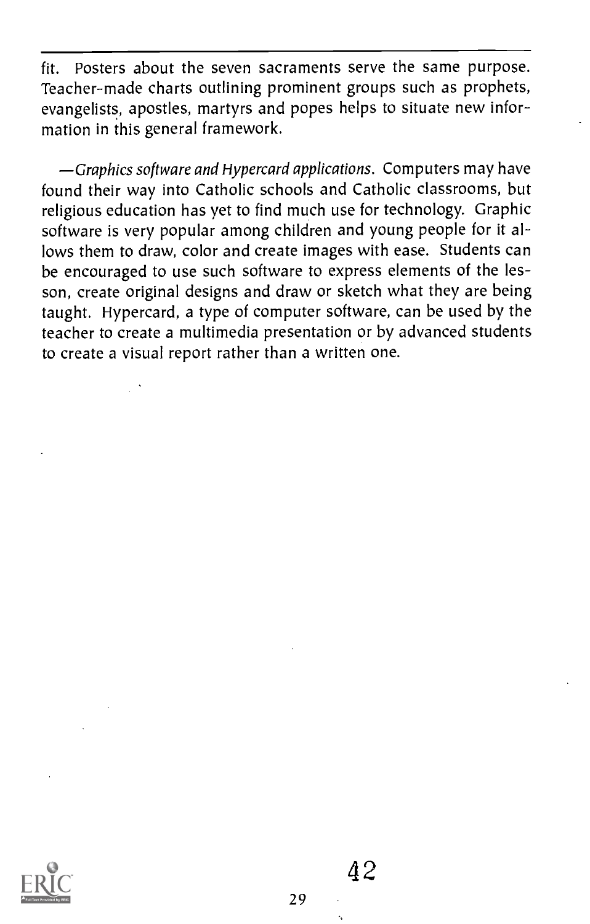fit. Posters about the seven sacraments serve the same purpose. Teacher-made charts outlining prominent groups such as prophets, evangelists, apostles, martyrs and popes helps to situate new information in this general framework.

Graphics software and Hypercard applications. Computers may have found their way into Catholic schools and Catholic classrooms, but religious education has yet to find much use for technology. Graphic software is very popular among children and young people for it allows them to draw, color and create images with ease. Students can be encouraged to use such software to express elements of the lesson, create original designs and draw or sketch what they are being taught. Hypercard, a type of computer software, can be used by the teacher to create a multimedia presentation or by advanced students to create a visual report rather than a written one.

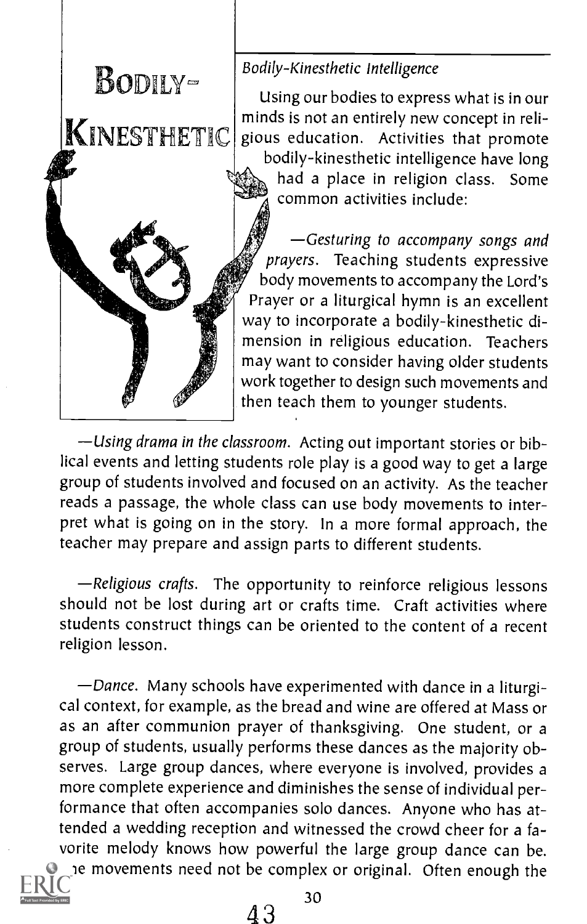# BODILY-

KINESTHETIC

Using our bodies to express what is in our minds is not an entirely new concept in religious education. Activities that promote

Bodily-Kinesthetic Intelligence

bodily-kinesthetic intelligence have long had a place in religion class. Some common activities include:

Gesturing to accompany songs and prayers. Teaching students expressive body movements to accompany the Lord's Prayer or a liturgical hymn is an excellent way to incorporate a bodily-kinesthetic dimension in religious education. Teachers may want to consider having older students work together to design such movements and then teach them to younger students.

-Using drama in the classroom. Acting out important stories or biblical events and letting students role play is a good way to get a large group of students involved and focused on an activity. As the teacher reads a passage, the whole class can use body movements to interpret what is going on in the story. In a more formal approach, the teacher may prepare and assign parts to different students.

-Religious crafts. The opportunity to reinforce religious lessons should not be lost during art or crafts time. Craft activities where students construct things can be oriented to the content of a recent religion lesson.

-Dance. Many schools have experimented with dance in a liturgical context, for example, as the bread and wine are offered at Mass or as an after communion prayer of thanksgiving. One student, or a group of students, usually performs these dances as the majority observes. Large group dances, where everyone is involved, provides a more complete experience and diminishes the sense of individual performance that often accompanies solo dances. Anyone who has attended a wedding reception and witnessed the crowd cheer for a favorite melody knows how powerful the large group dance can be.



The movements need not be complex or original. Often enough the 30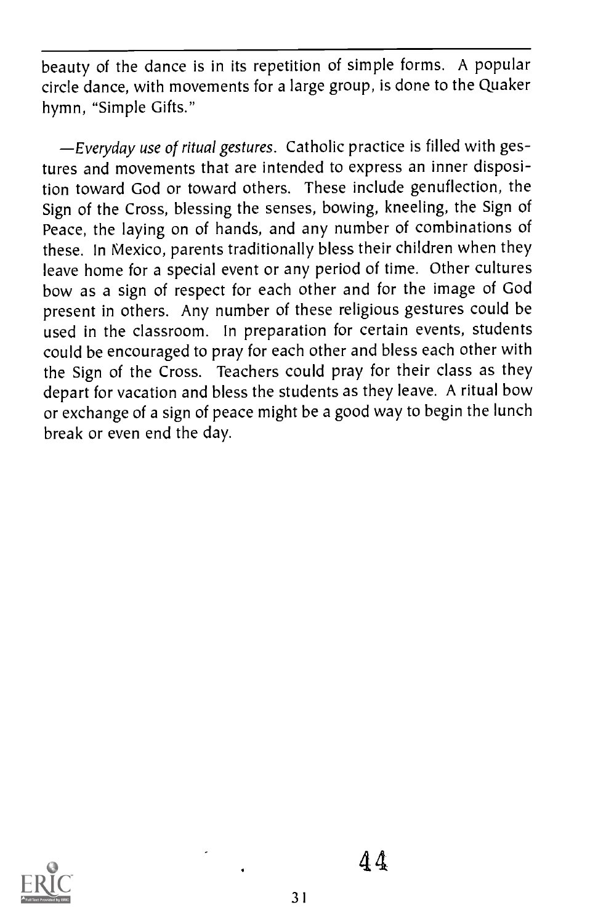beauty of the dance is in its repetition of simple forms. A popular circle dance, with movements for a large group, is done to the Quaker hymn, "Simple Gifts."

Everyday use of ritual gestures. Catholic practice is filled with gestures and movements that are intended to express an inner disposition toward God or toward others. These include genuflection, the Sign of the Cross, blessing the senses, bowing, kneeling, the Sign of Peace, the laying on of hands, and any number of combinations of these. In Mexico, parents traditionally bless their children when they leave home for a special event or any period of time. Other cultures bow as a sign of respect for each other and for the image of God present in others. Any number of these religious gestures could be used in the classroom. In preparation for certain events, students could be encouraged to pray for each other and bless each other with the Sign of the Cross. Teachers could pray for their class as they depart for vacation and bless the students as they leave. A ritual bow or exchange of a sign of peace might be a good way to begin the lunch break or even end the day.

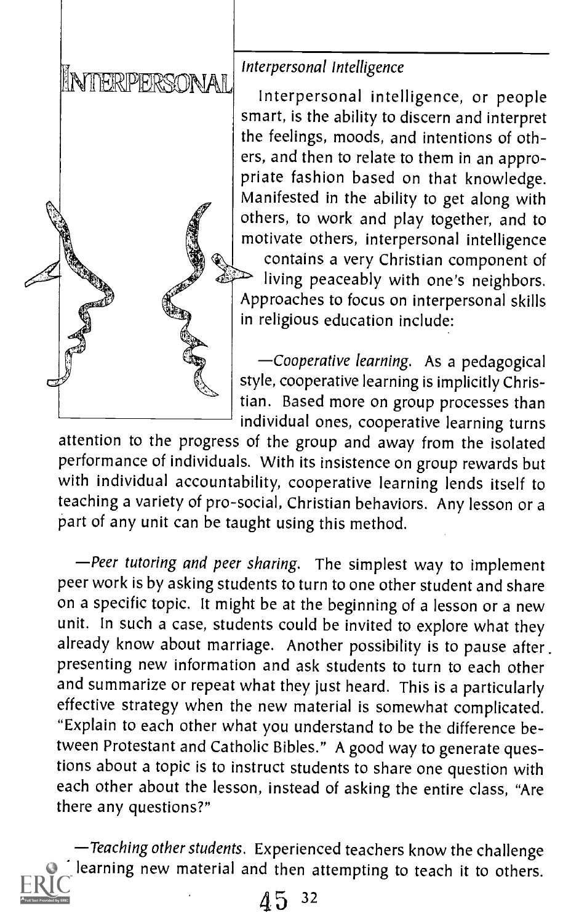

# Interpersonal Intelligence

Interpersonal intelligence, or people smart, is the ability to discern and interpret the feelings, moods, and intentions of others, and then to relate to them in an appropriate fashion based on that knowledge. Manifested in the ability to get along with others, to work and play together, and to motivate others, interpersonal intelligence contains a very Christian component of  $\triangleright$  living peaceably with one's neighbors. Approaches to focus on interpersonal skills in religious education include:

Cooperative learning. As a pedagogical style, cooperative learning is implicitly Christian. Based more on group processes than individual ones, cooperative learning turns

attention to the progress of the group and away from the isolated performance of individuals. With its insistence on group rewards but with individual accountability, cooperative learning lends itself to teaching a variety of pro-social, Christian behaviors. Any lesson or a part of any unit can be taught using this method.

Peer tutoring and peer sharing. The simplest way to implement peer work is by asking students to turn to one other student and share on a specific topic. It might be at the beginning of a lesson or a new unit. In such a case, students could be invited to explore what they already know about marriage. Another possibility is to pause after. presenting new information and ask students to turn to each other and summarize or repeat what they just heard. This is a particularly effective strategy when the new material is somewhat complicated. "Explain to each other what you understand to be the difference between Protestant and Catholic Bibles." A good way to generate questions about a topic is to instruct students to share one question with each other about the lesson, instead of asking the entire class, "Are there any questions?"

Teaching other students. Experienced teachers know the challenge learning new material and then attempting to teach it to others.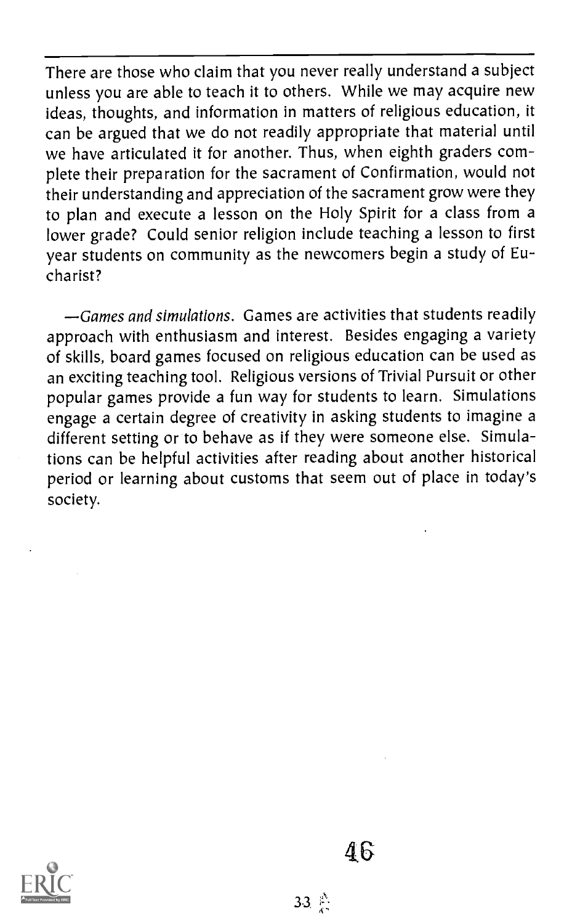There are those who claim that you never really understand a subject unless you are able to teach it to others. While we may acquire new ideas, thoughts, and information in matters of religious education, it can be argued that we do not readily appropriate that material until we have articulated it for another. Thus, when eighth graders complete their preparation for the sacrament of Confirmation, would not their understanding and appreciation of the sacrament grow were they to plan and execute a lesson on the Holy Spirit for a class from a lower grade? Could senior religion include teaching a lesson to first year students on community as the newcomers begin a study of Eucharist?

Games and simulations. Games are activities that students readily approach with enthusiasm and interest. Besides engaging a variety of skills, board games focused on religious education can be used as an exciting teaching tool. Religious versions of Trivial Pursuit or other popular games provide a fun way for students to learn. Simulations engage a certain degree of creativity in asking students to imagine a different setting or to behave as if they were someone else. Simulations can be helpful activities after reading about another historical period or learning about customs that seem out of place in today's society.

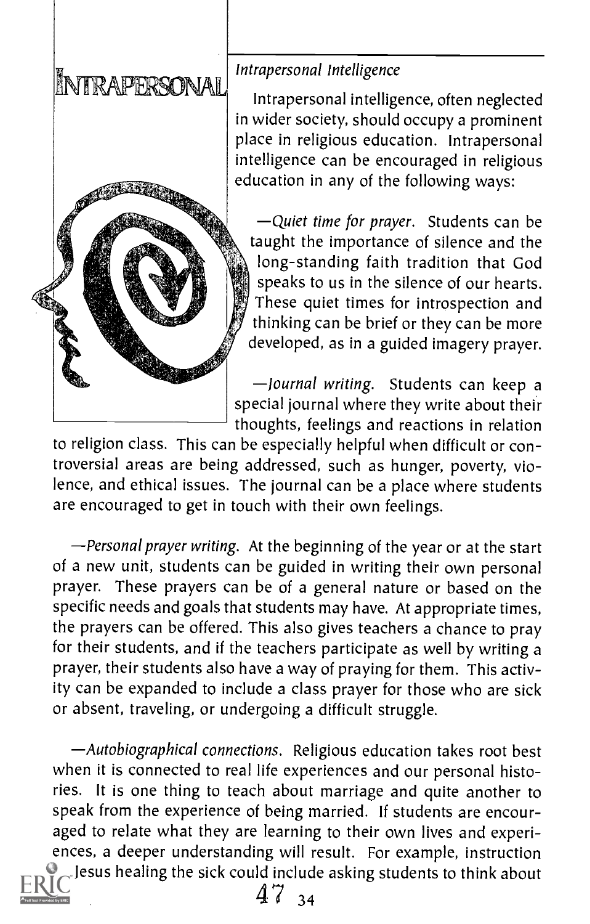#### Intrapersonal Intelligence INTRAPERSONAL

Intrapersonal intelligence, often neglected in wider society, should occupy a prominent place in religious education. Intrapersonal intelligence can be encouraged in religious education in any of the following ways:

-Quiet time for prayer. Students can be taught the importance of silence and the long-standing faith tradition that God speaks to us in the silence of our hearts. These quiet times for introspection and thinking can be brief or they can be more developed, as in a guided imagery prayer.

Journal writing. Students can keep a special journal where they write about their thoughts, feelings and reactions in relation

to religion class. This can be especially helpful when difficult or controversial areas are being addressed, such as hunger, poverty, violence, and ethical issues. The journal can be a place where students are encouraged to get in touch with their own feelings.

-Personal prayer writing. At the beginning of the year or at the start of a new unit, students can be guided in writing their own personal prayer. These prayers can be of a general nature or based on the specific needs and goals that students may have. At appropriate times, the prayers can be offered. This also gives teachers a chance to pray for their students, and if the teachers participate as well by writing a prayer, their students also have a way of praying for them. This activity can be expanded to include a class prayer for those who are sick or absent, traveling, or undergoing a difficult struggle.

Autobiographical connections. Religious education takes root best when it is connected to real life experiences and our personal histories. It is one thing to teach about marriage and quite another to speak from the experience of being married. If students are encouraged to relate what they are learning to their own lives and experiences, a deeper understanding will result. For example, instruction Jesus healing the sick could include asking students to think about 47 <sup>34</sup>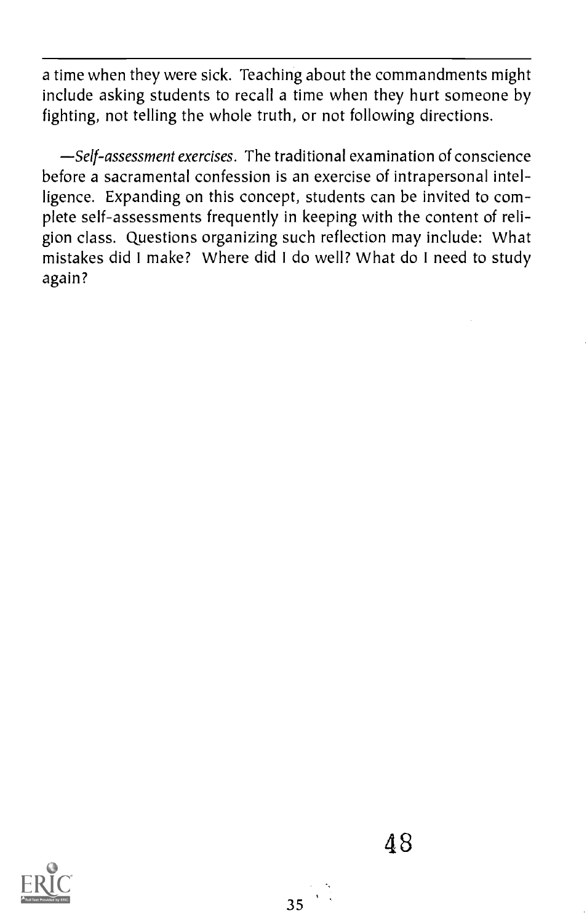a time when they were sick. Teaching about the commandments might include asking students to recall a time when they hurt someone by fighting, not telling the whole truth, or not following directions.

-Self-assessment exercises. The traditional examination of conscience before a sacramental confession is an exercise of intrapersonal intelligence. Expanding on this concept, students can be invited to complete self-assessments frequently in keeping with the content of religion class. Questions organizing such reflection may include: What mistakes did I make? Where did I do well? What do I need to study again?

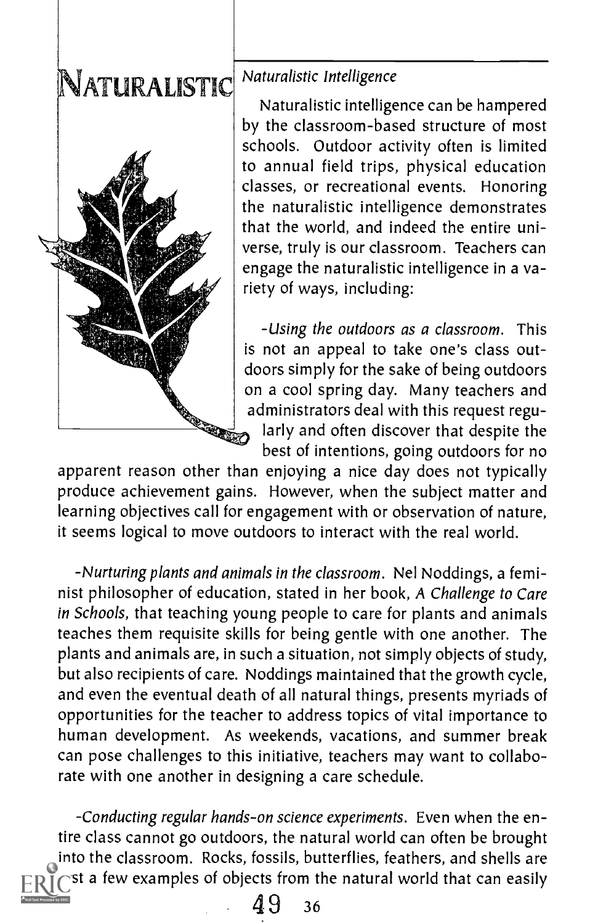NATURALISTIC



## Naturalistic Intelligence

Naturalistic intelligence can be hampered by the classroom-based structure of most schools. Outdoor activity often is limited to annual field trips, physical education classes, or recreational events. Honoring the naturalistic intelligence demonstrates that the world, and indeed the entire universe, truly is our classroom. Teachers can engage the naturalistic intelligence in a variety of ways, including:

-Using the outdoors as a classroom. This is not an appeal to take one's class outdoors simply for the sake of being outdoors on a cool spring day. Many teachers and administrators deal with this request regu-<br>larly and often discover that despite the larly and often discover that despite the best of intentions, going outdoors for no

apparent reason other than enjoying a nice day does not typically produce achievement gains. However, when the subject matter and learning objectives call for engagement with or observation of nature, it seems logical to move outdoors to interact with the real world.

-Nurturing plants and animals in the classroom. Nel Noddings, a feminist philosopher of education, stated in her book, A Challenge to Care in Schools, that teaching young people to care for plants and animals teaches them requisite skills for being gentle with one another. The plants and animals are, in such a situation, not simply objects of study, but also recipients of care. Noddings maintained that the growth cycle, and even the eventual death of all natural things, presents myriads of opportunities for the teacher to address topics of vital importance to human development. As weekends, vacations, and summer break can pose challenges to this initiative, teachers may want to collaborate with one another in designing a care schedule.

-Conducting regular hands-on science experiments. Even when the entire class cannot go outdoors, the natural world can often be brought into the classroom. Rocks, fossils, butterflies, feathers, and shells are st a few examples of objects from the natural world that can easily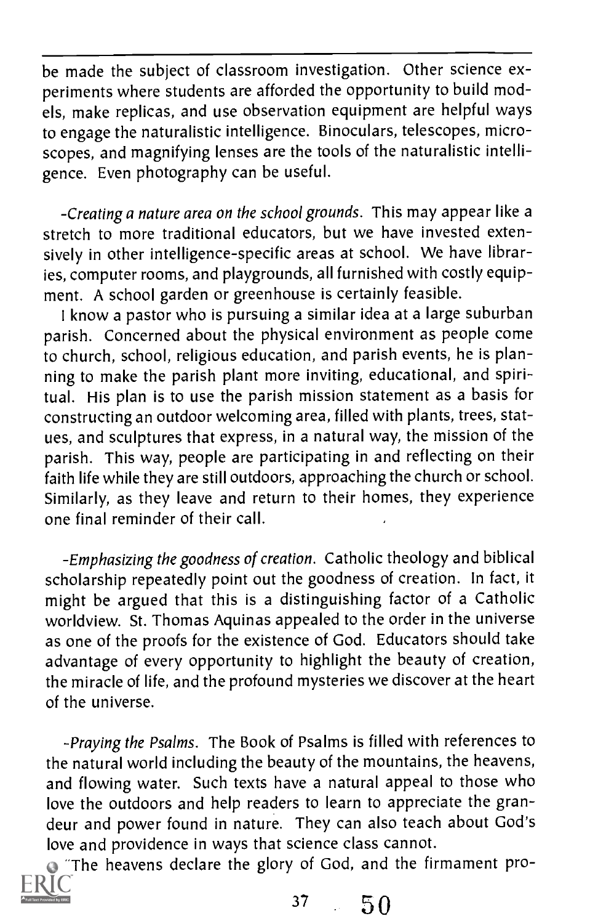be made the subject of classroom investigation. Other science experiments where students are afforded the opportunity to build models, make replicas, and use observation equipment are helpful ways to engage the naturalistic intelligence. Binoculars, telescopes, microscopes, and magnifying lenses are the tools of the naturalistic intelligence. Even photography can be useful.

Creating a nature area on the school grounds. This may appear like a stretch to more traditional educators, but we have invested extensively in other intelligence-specific areas at school. We have libraries, computer rooms, and playgrounds, all furnished with costly equipment. A school garden or greenhouse is certainly feasible.

I know a pastor who is pursuing a similar idea at a large suburban parish. Concerned about the physical environment as people come to church, school, religious education, and parish events, he is planning to make the parish plant more inviting, educational, and spiritual. His plan is to use the parish mission statement as a basis for constructing an outdoor welcoming area, filled with plants, trees, statues, and sculptures that express, in a natural way, the mission of the parish. This way, people are participating in and reflecting on their faith life while they are still outdoors, approaching the church or school. Similarly, as they leave and return to their homes, they experience one final reminder of their call.

Emphasizing the goodness of creation. Catholic theology and biblical scholarship repeatedly point out the goodness of creation. In fact, it might be argued that this is a distinguishing factor of a Catholic worldview. St. Thomas Aquinas appealed to the order in the universe as one of the proofs for the existence of God. Educators should take advantage of every opportunity to highlight the beauty of creation, the miracle of life, and the profound mysteries we discover at the heart of the universe.

Praying the Psalms. The Book of Psalms is filled with references to the natural world including the beauty of the mountains, the heavens, and flowing water. Such texts have a natural appeal to those who love the outdoors and help readers to learn to appreciate the grandeur and power found in nature. They can also teach about God's love and providence in ways that science class cannot.

The heavens declare the glory of God, and the firmament pro- $37 \quad 50$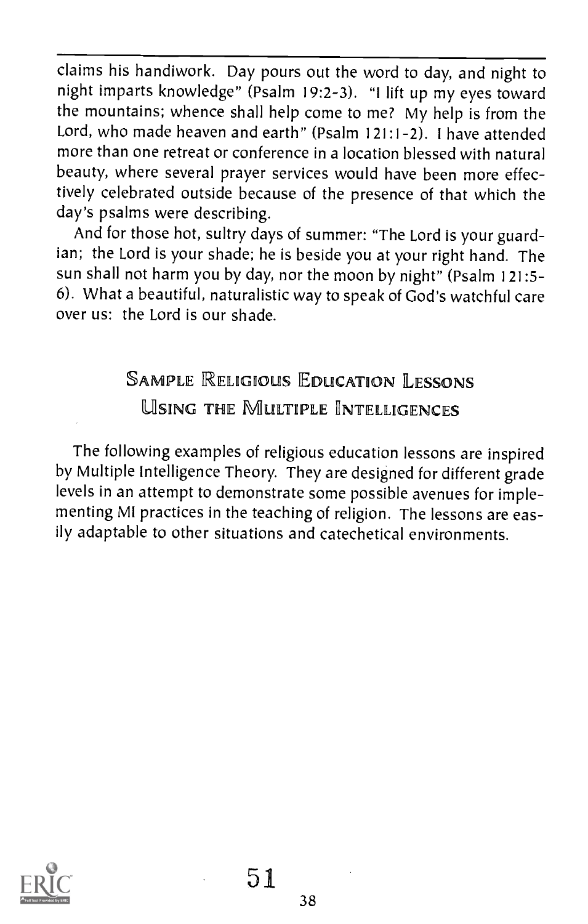claims his handiwork. Day pours out the word to day, and night to night imparts knowledge" (Psalm 19:2-3). "I lift up my eyes toward the mountains; whence shall help come to me? My help is from the Lord, who made heaven and earth" (Psalm 121:1-2). I have attended more than one retreat or conference in a location blessed with natural beauty, where several prayer services would have been more effectively celebrated outside because of the presence of that which the day's psalms were describing.

And for those hot, sultry days of summer: "The Lord is your guardian; the Lord is your shade; he is beside you at your right hand. The sun shall not harm you by day, nor the moon by night" (Psalm 121:5-6). What a beautiful, naturalistic way to speak of God's watchful care over us: the Lord is our shade.

# SAMPLE RELIGIOUS EDUCATION LESSONS USING THE MULTIPLE INTELLIGENCES

The following examples of religious education lessons are inspired by Multiple Intelligence Theory. They are designed for different grade levels in an attempt to demonstrate some possible avenues for implementing MI practices in the teaching of religion. The lessons are easily adaptable to other situations and catechetical environments.

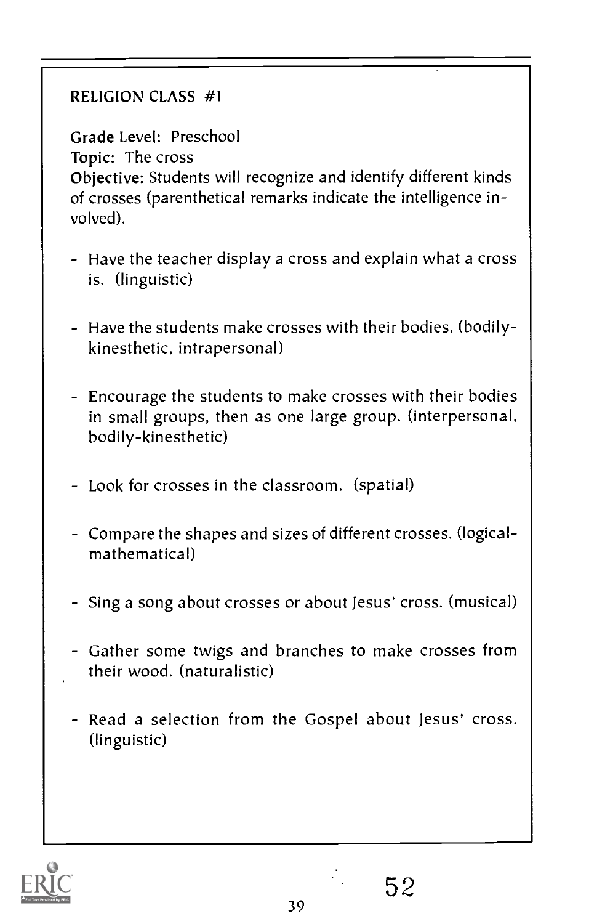Grade Level: Preschool

Topic: The cross

Objective: Students will recognize and identify different kinds of crosses (parenthetical remarks indicate the intelligence involved).

- Have the teacher display a cross and explain what a cross is. (linguistic)
- Have the students make crosses with their bodies. (bodilykinesthetic, intrapersonal)
- Encourage the students to make crosses with their bodies in small groups, then as one large group. (interpersonal, bodily-kinesthetic)
- Look for crosses in the classroom. (spatial)
- Compare the shapes and sizes of different crosses. (logicalmathematical)
- Sing a song about crosses or about Jesus' cross. (musical)
- Gather some twigs and branches to make crosses from their wood. (naturalistic)
- Read a selection from the Gospel about Jesus' cross. (linguistic)

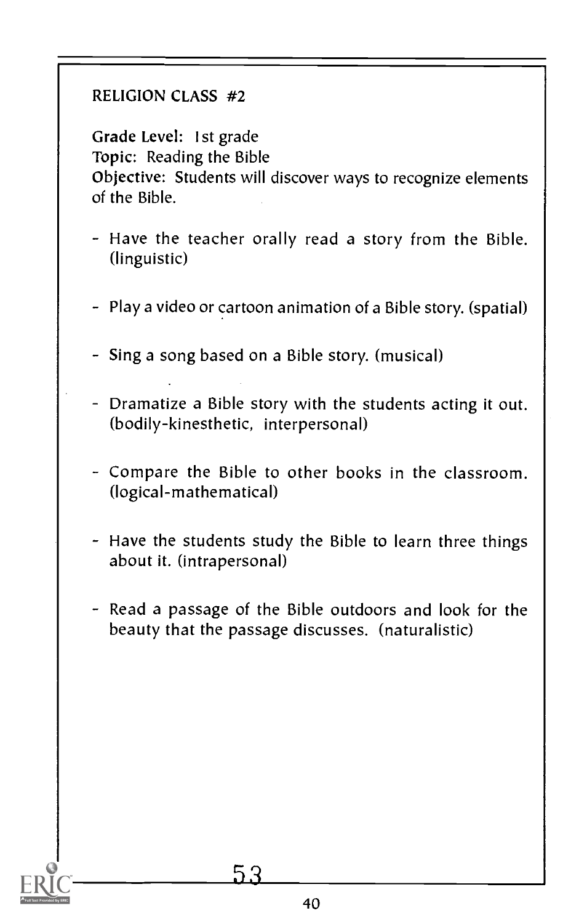Grade Level: 1st grade Topic: Reading the Bible Objective: Students will discover ways to recognize elements of the Bible.

- Have the teacher orally read a story from the Bible. (linguistic)
- Play a video or cartoon animation of a Bible story. (spatial)
- Sing a song based on a Bible story. (musical)
- Dramatize a Bible story with the students acting it out. (bodily-kinesthetic, interpersonal)
- Compare the Bible to other books in the classroom. (logical-mathematical)
- Have the students study the Bible to learn three things about it. (intrapersonal)
- Read a passage of the Bible outdoors and look for the beauty that the passage discusses. (naturalistic)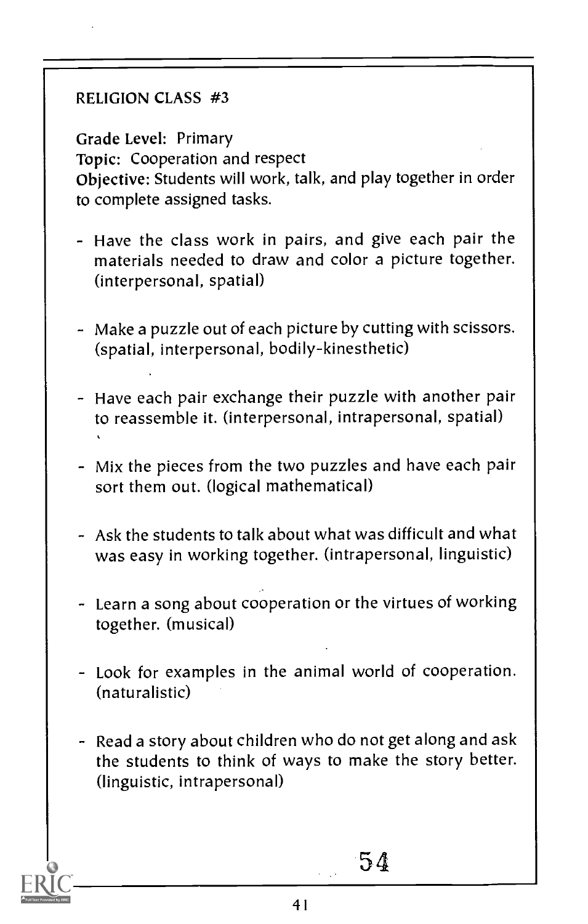Grade Level: Primary Topic: Cooperation and respect Objective: Students will work, talk, and play together in order to complete assigned tasks.

- Have the class work in pairs, and give each pair the materials needed to draw and color a picture together. (interpersonal, spatial)
- Make a puzzle out of each picture by cutting with scissors. (spatial, interpersonal, bodily-kinesthetic)
- Have each pair exchange their puzzle with another pair to reassemble it. (interpersonal, intrapersonal, spatial)
- Mix the pieces from the two puzzles and have each pair sort them out. (logical mathematical)
- Ask the students to talk about what was difficult and what was easy in working together. (intrapersonal, linguistic)
- Learn a song about cooperation or the virtues of working together. (musical)
- Look for examples in the animal world of cooperation. (naturalistic)
- Read a story about children who do not get along and ask the students to think of ways to make the story better. (linguistic, intrapersonal)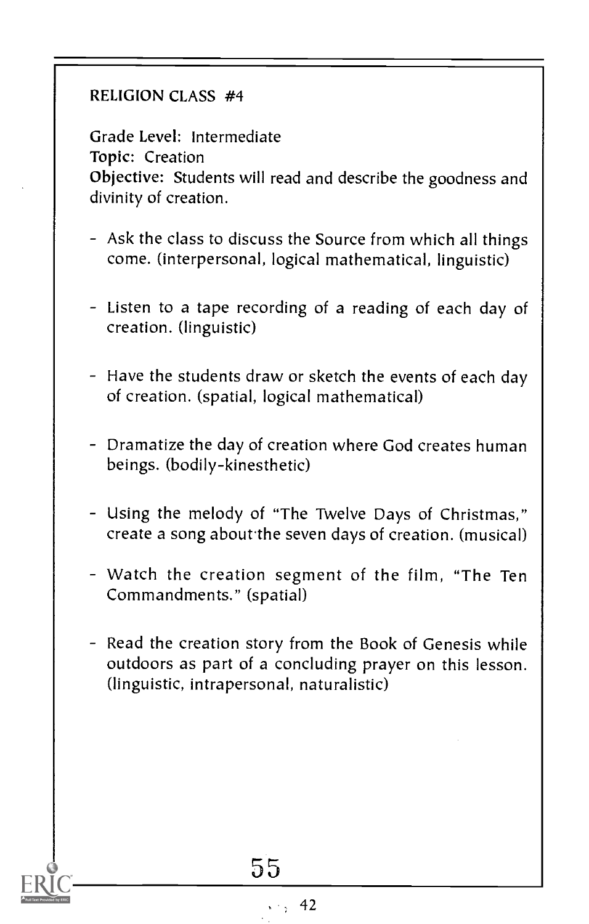Grade Level: Intermediate Topic: Creation Objective: Students will read and describe the goodness and divinity of creation.

- Ask the class to discuss the Source from which all things come. (interpersonal, logical mathematical, linguistic)
- Listen to a tape recording of a reading of each day of creation. (linguistic)
- Have the students draw or sketch the events of each day of creation. (spatial, logical mathematical)
- Dramatize the day of creation where God creates human beings. (bodily-kinesthetic)
- Using the melody of "The Twelve Days of Christmas," create a song about.the seven days of creation. (musical)
- Watch the creation segment of the film, "The Ten Commandments." (spatial)
- Read the creation story from the Book of Genesis while outdoors as part of a concluding prayer on this lesson. (linguistic, intrapersonal, naturalistic)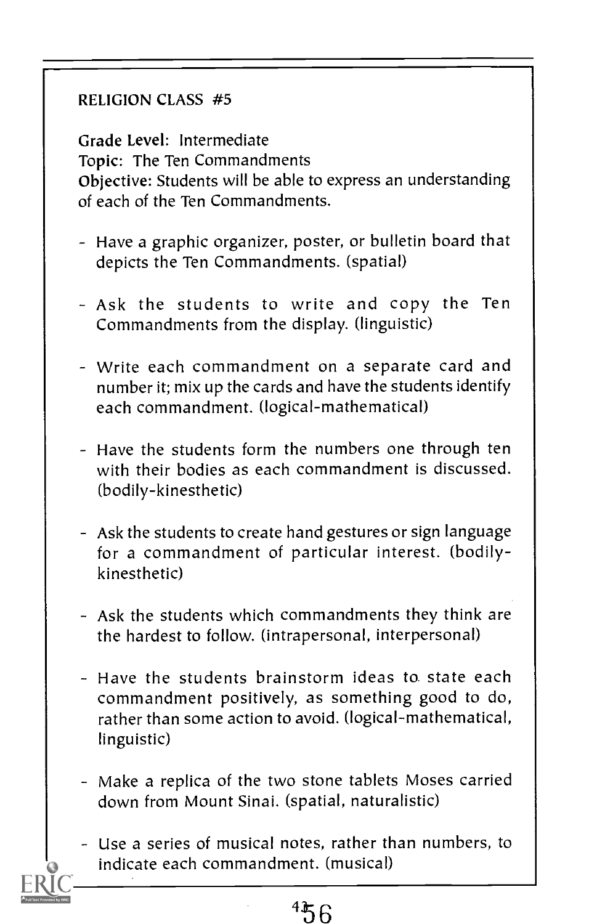Grade Level: Intermediate Topic: The Ten Commandments Objective: Students will be able to express an understanding of each of the Ten Commandments.

- Have a graphic organizer, poster, or bulletin board that depicts the Ten Commandments. (spatial)
- Ask the students to write and copy the Ten Commandments from the display. (linguistic)
- Write each commandment on a separate card and number it; mix up the cards and have the students identify each commandment. (logical-mathematical)
- Have the students form the numbers one through ten with their bodies as each commandment is discussed. (bodily-kinesthetic)
- Ask the students to create hand gestures or sign language for a commandment of particular interest. (bodilykinesthetic)
- Ask the students which commandments they think are the hardest to follow. (intrapersonal, interpersonal)
- Have the students brainstorm ideas to state each commandment positively, as something good to do, rather than some action to avoid. (logical-mathematical, linguistic)
- Make a replica of the two stone tablets Moses carried down from Mount Sinai. (spatial, naturalistic)
- Use a series of musical notes, rather than numbers, to indicate each commandment. (musical)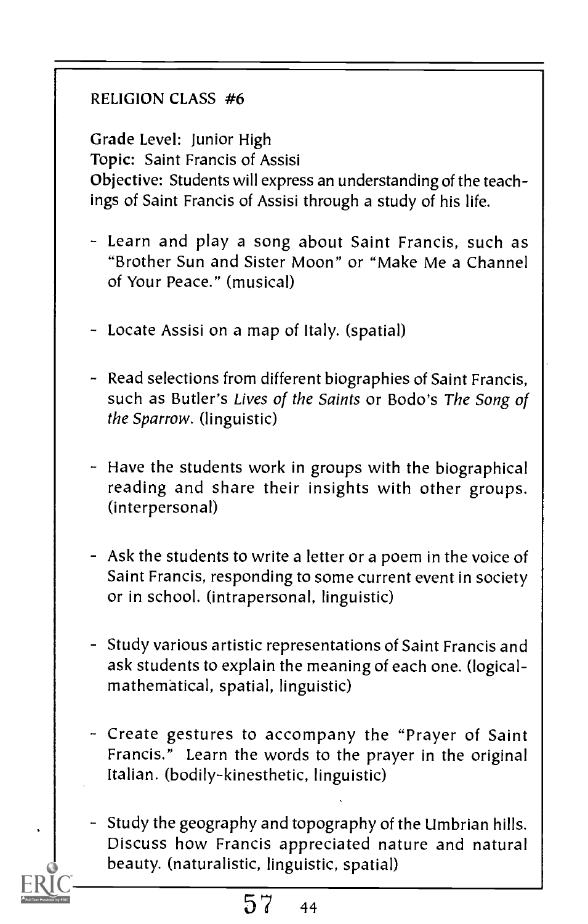Grade Level: Junior High Topic: Saint Francis of Assisi Objective: Students will express an understanding of the teachings of Saint Francis of Assisi through a study of his life.

- Learn and play a song about Saint Francis, such as "Brother Sun and Sister Moon" or "Make Me a Channel of Your Peace." (musical)
- Locate Assisi on a map of Italy. (spatial)
- Read selections from different biographies of Saint Francis, such as Butler's Lives of the Saints or Bodo's The Song of the Sparrow. (linguistic)
- Have the students work in groups with the biographical reading and share their insights with other groups. (interpersonal)
- Ask the students to write a letter or a poem in the voice of Saint Francis, responding to some current event in society or in school. (intrapersonal, linguistic)
- Study various artistic representations of Saint Francis and ask students to explain the meaning of each one. (logicalmathematical, spatial, linguistic)
- Create gestures to accompany the "Prayer of Saint Francis." Learn the words to the prayer in the original Italian. (bodily-kinesthetic, linguistic)
- Study the geography and topography of the Umbrian hills. Discuss how Francis appreciated nature and natural beauty. (naturalistic, linguistic, spatial)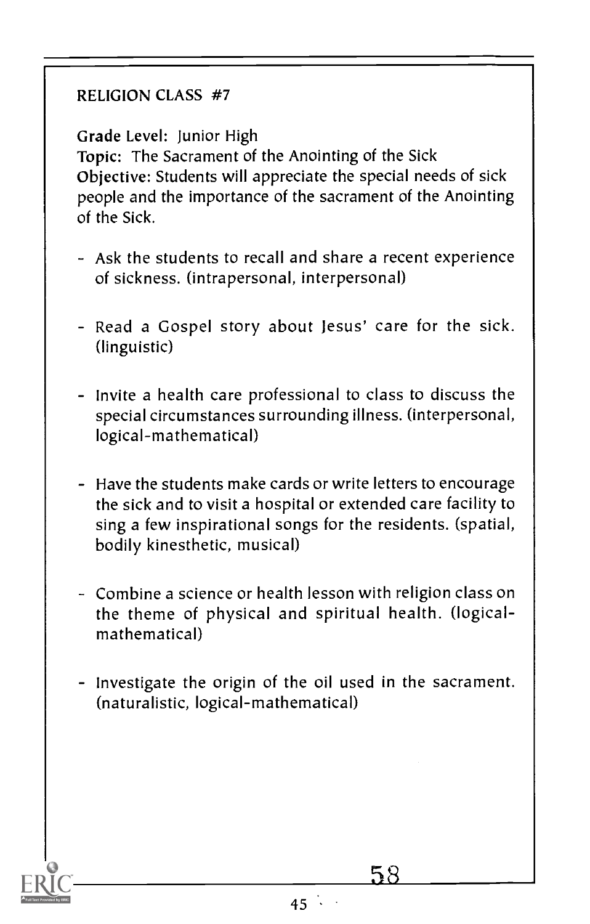Grade Level: Junior High Topic: The Sacrament of the Anointing of the Sick Objective: Students will appreciate the special needs of sick people and the importance of the sacrament of the Anointing of the Sick.

- Ask the students to recall and share a recent experience of sickness. (intrapersonal, interpersonal)
- Read a Gospel story about Jesus' care for the sick. (linguistic)
- Invite a health care professional to class to discuss the special circumstances surrounding illness. (interpersonal, logical-mathematical)
- Have the students make cards or write letters to encourage the sick and to visit a hospital or extended care facility to sing a few inspirational songs for the residents. (spatial, bodily kinesthetic, musical)
- Combine a science or health lesson with religion class on the theme of physical and spiritual health. (logicalmathematical)
- Investigate the origin of the oil used in the sacrament. (naturalistic, logical-mathematical)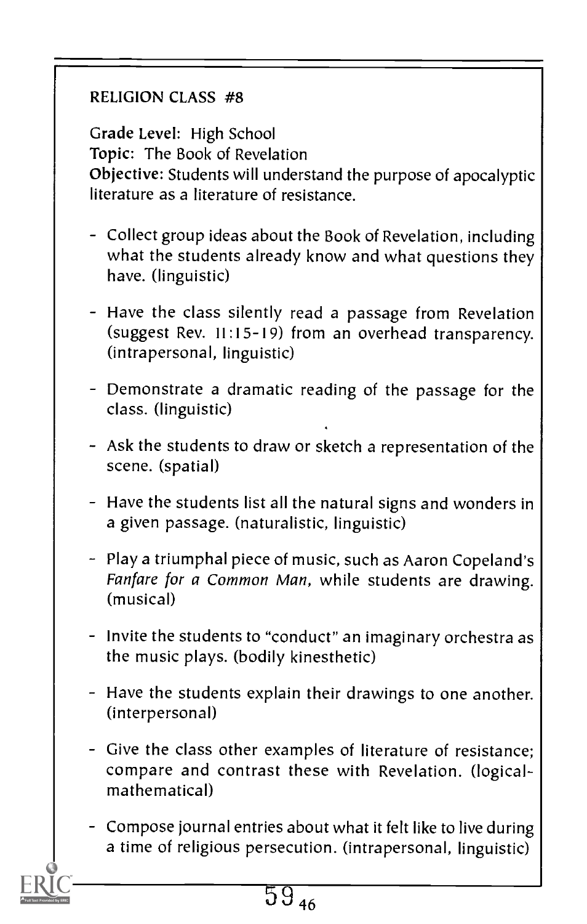Grade Level: High School Topic: The Book of Revelation Objective: Students will understand the purpose of apocalyptic literature as a literature of resistance.

- Collect group ideas about the Book of Revelation, including what the students already know and what questions they have. (linguistic)
- Have the class silently read a passage from Revelation (suggest Rev. 11:15-19) from an overhead transparency. (intrapersonal, linguistic)
- Demonstrate a dramatic reading of the passage for the class. (linguistic)
- Ask the students to draw or sketch a representation of the scene. (spatial)
- Have the students list all the natural signs and wonders in a given passage. (naturalistic, linguistic)
- Play a triumphal piece of music, such as Aaron Copeland's Fanfare for a Common Man, while students are drawing. (musical)
- Invite the students to "conduct" an imaginary orchestra as the music plays. (bodily kinesthetic)
- Have the students explain their drawings to one another. (interpersonal)
- Give the class other examples of literature of resistance; compare and contrast these with Revelation. (logicalmathematical)
- Compose journal entries about what it felt like to live during a time of religious persecution. (intrapersonal, linguistic)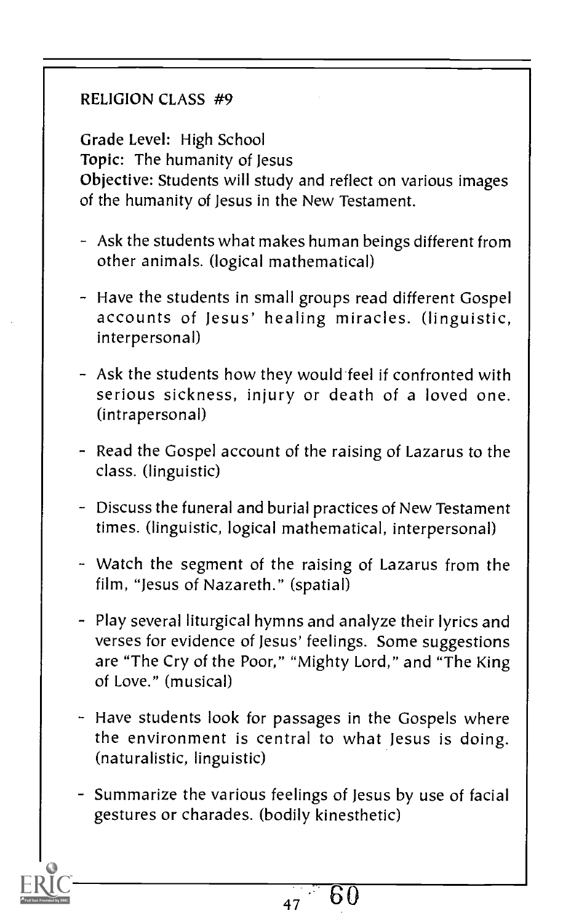Grade Level: High School Topic: The humanity of Jesus Objective: Students will study and reflect on various images of the humanity of Jesus in the New Testament.

- Ask the students what makes human beings different from other animals. (logical mathematical)
- Have the students in small groups read different Gospel accounts of Jesus' healing miracles. (linguistic, interpersonal)
- Ask the students how they would feel if confronted with serious sickness, injury or death of a loved one. (intrapersonal)
- Read the Gospel account of the raising of Lazarus to the class. (linguistic)
- Discuss the funeral and burial practices of New Testament times. (linguistic, logical mathematical, interpersonal)
- Watch the segment of the raising of Lazarus from the film, "Jesus of Nazareth." (spatial)
- Play several liturgical hymns and analyze their lyrics and verses for evidence of Jesus' feelings. Some suggestions are "The Cry of the Poor," "Mighty Lord," and "The King of Love." (musical)
- Have students look for passages in the Gospels where the environment is central to what Jesus is doing. (naturalistic, linguistic)
- Summarize the various feelings of Jesus by use of facial gestures or charades. (bodily kinesthetic)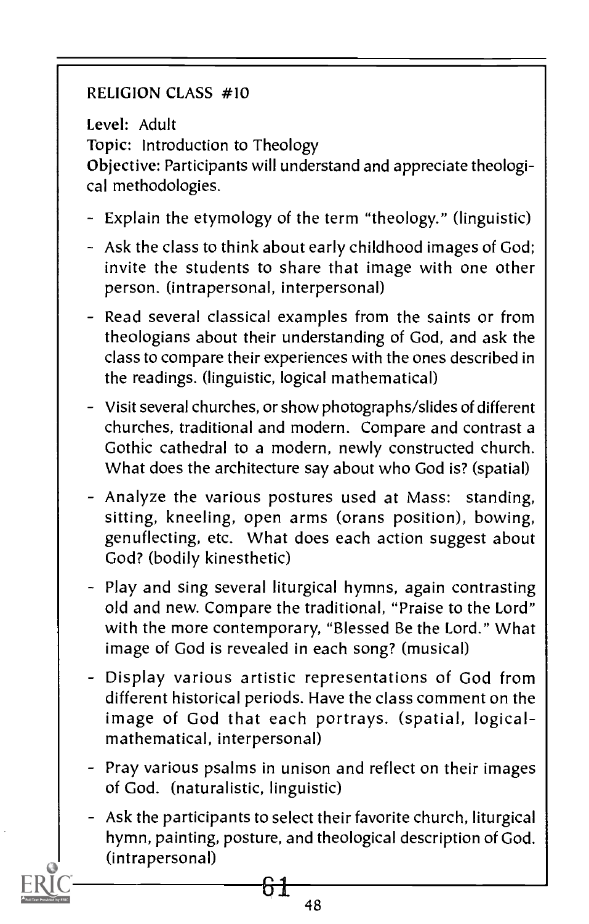Level: Adult Topic: Introduction to Theology Objective: Participants will understand and appreciate theological methodologies.

- Explain the etymology of the term "theology." (linguistic)
- Ask the class to think about early childhood images of God; invite the students to share that image with one other person. (intrapersonal, interpersonal)
- Read several classical examples from the saints or from theologians about their understanding of God, and ask the class to compare their experiences with the ones described in the readings. (linguistic, logical mathematical)
- Visit several churches, or show photographs/slides of different churches, traditional and modern. Compare and contrast a Gothic cathedral to a modern, newly constructed church. What does the architecture say about who God is? (spatial)
- Analyze the various postures used at Mass: standing, sitting, kneeling, open arms (orans position), bowing, genuflecting, etc. What does each action suggest about God? (bodily kinesthetic)
- Play and sing several liturgical hymns, again contrasting old and new. Compare the traditional, "Praise to the Lord" with the more contemporary, "Blessed Be the Lord." What image of God is revealed in each song? (musical)
- Display various artistic representations of God from different historical periods. Have the class comment on the image of God that each portrays. (spatial, logicalmathematical, interpersonal)
- Pray various psalms in unison and reflect on their images of God. (naturalistic, linguistic)
- Ask the participants to select their favorite church, liturgical hymn, painting, posture, and theological description of God. (intrapersonal)

h۳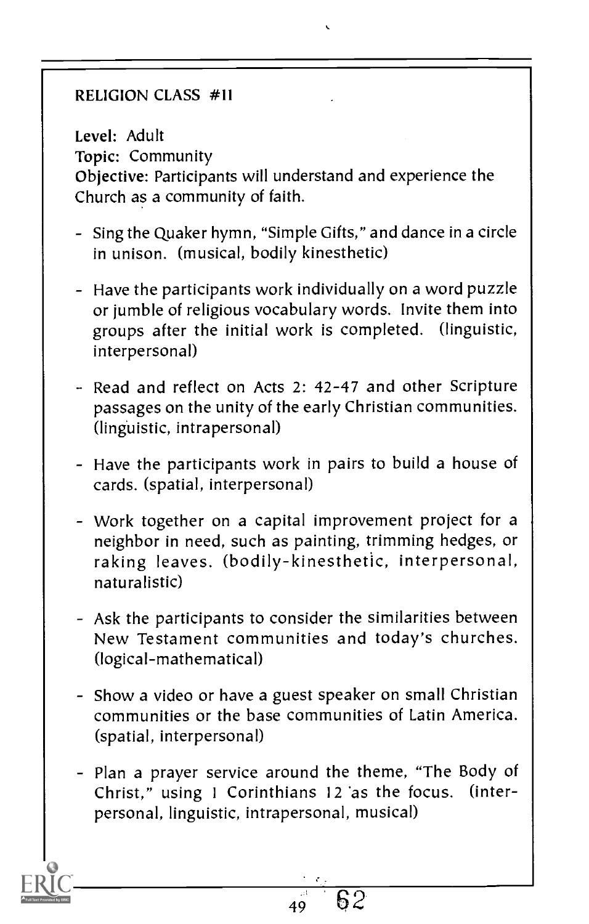Level: Adult

Topic: Community

Objective: Participants will understand and experience the Church as a community of faith.

- Sing the Quaker hymn, "Simple Gifts," and dance in a circle in unison. (musical, bodily kinesthetic)
- Have the participants work individually on a word puzzle or jumble of religious vocabulary words. Invite them into groups after the initial work is completed. (linguistic, interpersonal)
- Read and reflect on Acts 2: 42-47 and other Scripture passages on the unity of the early Christian communities. (linguistic, intrapersonal)
- Have the participants work in pairs to build a house of cards. (spatial, interpersonal)
- Work together on a capital improvement project for a neighbor in need, such as painting, trimming hedges, or raking leaves. (bodily-kinesthetic, interpersonal, naturalistic)
- Ask the participants to consider the similarities between New Testament communities and today's churches. (logical-mathematical)
- Show a video or have a guest speaker on small Christian communities or the base communities of Latin America. (spatial, interpersonal)
- Plan a prayer service around the theme, "The Body of Christ," using <sup>1</sup> Corinthians 12 'as the focus. (interpersonal, linguistic, intrapersonal, musical)

 $49 \t 62$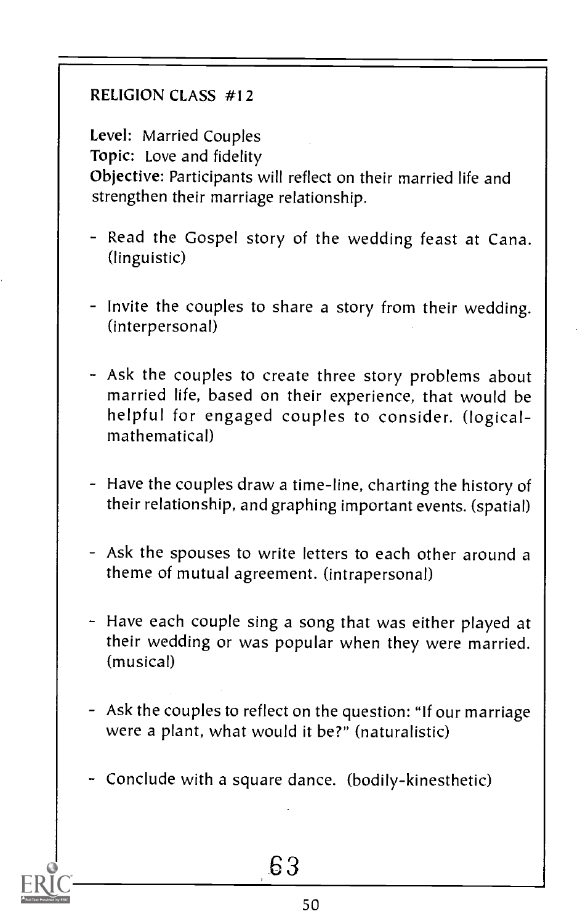Level: Married Couples

Topic: Love and fidelity

Objective: Participants will reflect on their married life and strengthen their marriage relationship.

- Read the Gospel story of the wedding feast at Cana. (linguistic)
- Invite the couples to share a story from their wedding. (interpersonal)
- Ask the couples to create three story problems about married life, based on their experience, that would be helpful for engaged couples to consider. (logicalmathematical)
- Have the couples draw a time-line, charting the history of their relationship, and graphing important events. (spatial)
- Ask the spouses to write letters to each other around a theme of mutual agreement. (intrapersonal)
- Have each couple sing a song that was either played at their wedding or was popular when they were married. (musical)
- Ask the couples to reflect on the question: "If our marriage were a plant, what would it be?" (naturalistic)
- Conclude with a square dance. (bodily-kinesthetic)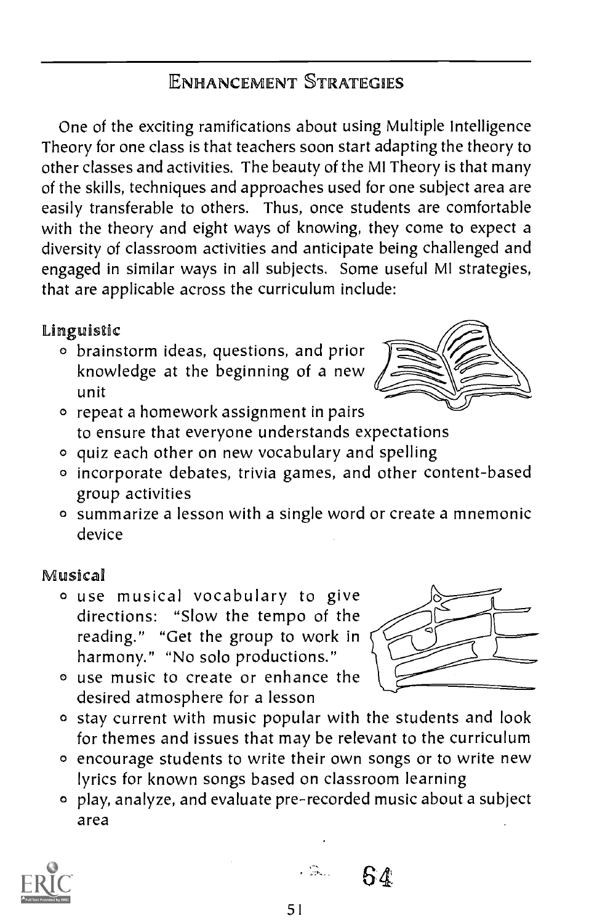# ENHANCEMENT STRATEGRES

One of the exciting ramifications about using Multiple Intelligence Theory for one class is that teachers soon start adapting the theory to other classes and activities. The beauty of the MI Theory is that many of the skills, techniques and approaches used for one subject area are easily transferable to others. Thus, once students are comfortable with the theory and eight ways of knowing, they come to expect a diversity of classroom activities and anticipate being challenged and engaged in similar ways in all subjects. Some useful MI strategies, that are applicable across the curriculum include:

#### Linguistic

o brainstorm ideas, questions, and prior knowledge at the beginning of a new unit



- o repeat a homework assignment in pairs to ensure that everyone understands expectations
- o quiz each other on new vocabulary and spelling
- o incorporate debates, trivia games, and other content-based group activities
- o summarize a lesson with a single word or create a mnemonic device

#### Musical!

- o use musical vocabulary to give directions: "Slow the tempo of the reading." "Get the group to work in harmony." "No solo productions."
- o use music to create or enhance the desired atmosphere for a lesson



- o stay current with music popular with the students and look for themes and issues that may be relevant to the curriculum
- o encourage students to write their own songs or to write new lyrics for known songs based on classroom learning
- o play, analyze, and evaluate pre-recorded music about a subject area



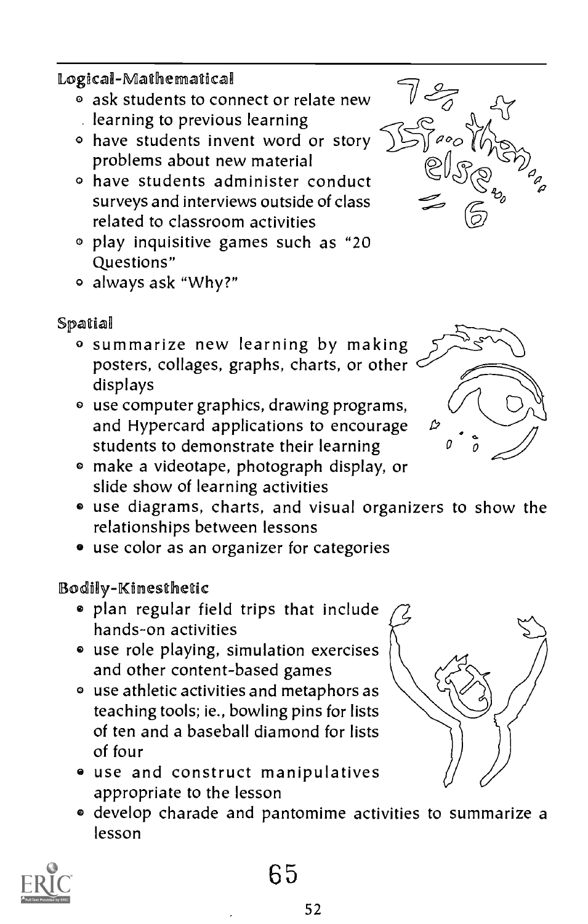## Logical-Mathematical

- ask students to connect or relate new  $\sqrt{a}$
- learning to previous learning
- $\circ$  have students invent word or story  $\int$ problems about new material
- $\circ$  have students administer conduct surveys and interviews outside of class  $\epsilon_{\rm s}$ related to classroom activities O
- o play inquisitive games such as "20 Questions"
- O always ask "Why?"

#### Spatial

- o summarize new learning by making posters, collages, graphs, charts, or other displays
- use computer graphics, drawing programs, and Hypercard applications to encourage  $\mathcal{P}$ students to demonstrate their learning
- O make a videotape, photograph display, or slide show of learning activities
- ® use diagrams, charts, and visual organizers to show the relationships between lessons
- use color as an organizer for categories

#### Bodily-Kinesthetic

- plan regular field trips that include hands-on activities
- use role playing, simulation exercises and other content-based games
- O use athletic activities and metaphors as teaching tools; ie., bowling pins for lists of ten and a baseball diamond for lists of four
- $\bullet$  use and construct manipulatives appropriate to the lesson
- ® develop charade and pantomime activities to summarize alesson









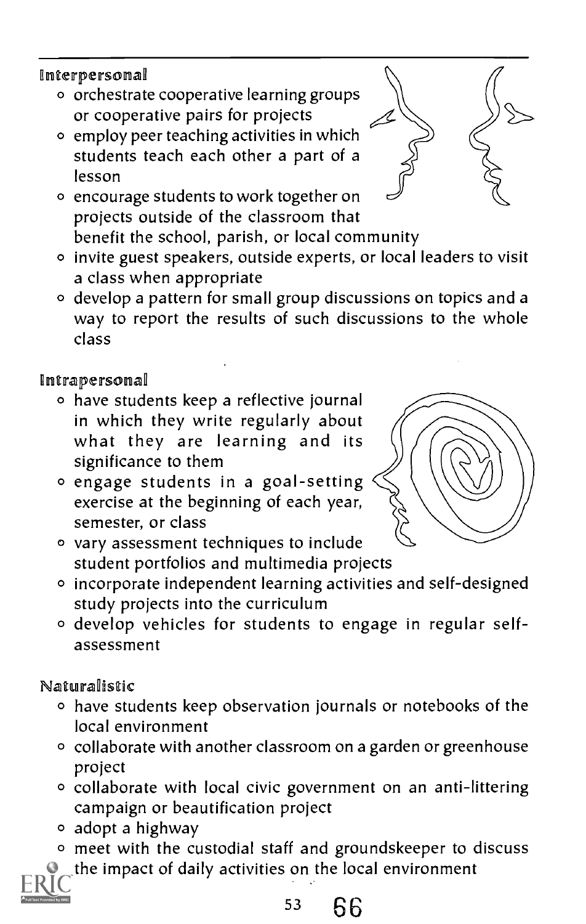Enterpesonail

- o orchestrate cooperative learning groups or cooperative pairs for projects
- o employ peer teaching activities in which students teach each other a part of a lesson
- o encourage students to work together on projects outside of the classroom that benefit the school, parish, or local community
- o invite guest speakers, outside experts, or local leaders to visit a class when appropriate
- o develop a pattern for small group discussions on topics and a way to report the results of such discussions to the whole class

lintrapersonall

- o have students keep a reflective journal in which they write regularly about what they are learning and its significance to them
- o engage students in a goal-setting exercise at the beginning of each year, semester, or class
- o vary assessment techniques to include student portfolios and multimedia projects
- o incorporate independent learning activities and self-designed study projects into the curriculum
- o develop vehicles for students to engage in regular selfassessment

Naturallistic

- o have students keep observation journals or notebooks of the local environment
- o collaborate with another classroom on a garden or greenhouse project
- o collaborate with local civic government on an anti-littering campaign or beautification project
- o adopt a highway
- o meet with the custodial staff and groundskeeper to discuss







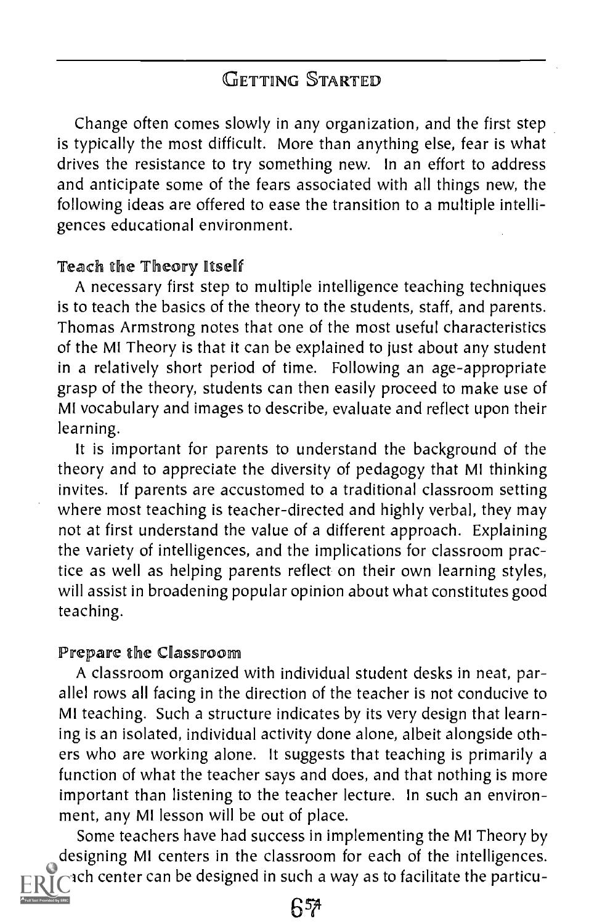# GETTING STARTED

Change often comes slowly in any organization, and the first step is typically the most difficult. More than anything else, fear is what drives the resistance to try something new. In an effort to address and anticipate some of the fears associated with all things new, the following ideas are offered to ease the transition to a multiple intelligences educational environment.

#### Teach the Theory Itself

A necessary first step to multiple intelligence teaching techniques is to teach the basics of the theory to the students, staff, and parents. Thomas Armstrong notes that one of the most useful characteristics of the MI Theory is that it can be explained to just about any student in a relatively short period of time. Following an age-appropriate grasp of the theory, students can then easily proceed to make use of MI vocabulary and images to describe, evaluate and reflect upon their learning.

It is important for parents to understand the background of the theory and to appreciate the diversity of pedagogy that MI thinking invites. If parents are accustomed to a traditional classroom setting where most teaching is teacher-directed and highly verbal, they may not at first understand the value of a different approach. Explaining the variety of intelligences, and the implications for classroom practice as well as helping parents reflect on their own learning styles, will assist in broadening popular opinion about what constitutes good teaching.

#### Prepare the Classroom

A classroom organized with individual student desks in neat, parallel rows all facing in the direction of the teacher is not conducive to MI teaching. Such a structure indicates by its very design that learning is an isolated, individual activity done alone, albeit alongside others who are working alone. It suggests that teaching is primarily a function of what the teacher says and does, and that nothing is more important than listening to the teacher lecture. In such an environment, any MI lesson will be out of place.

Some teachers have had success in implementing the MI Theory by designing MI centers in the classroom for each of the intelligences. Each center can be designed in such a way as to facilitate the particu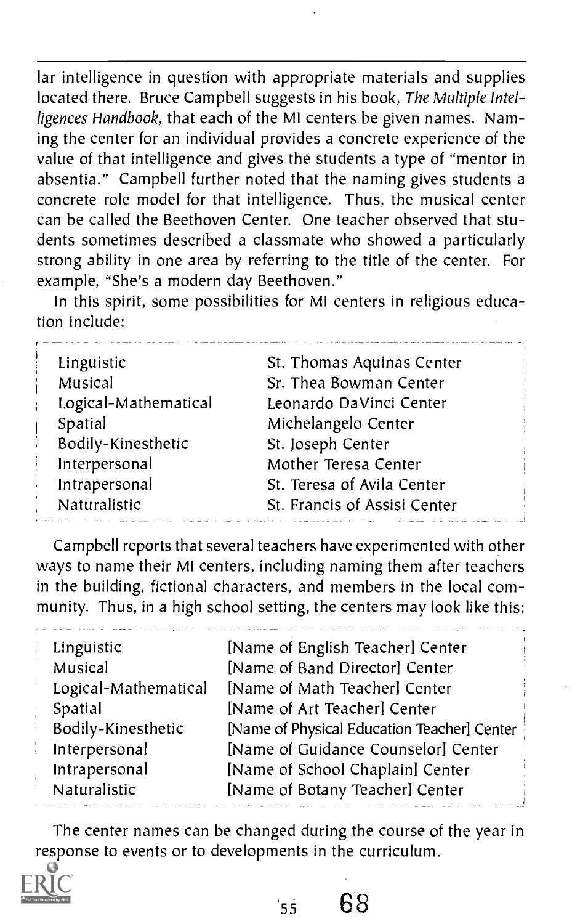lar intelligence in question with appropriate materials and supplies located there. Bruce Campbell suggests in his book, The Multiple Intelligences Handbook, that each of the MI centers be given names. Naming the center for an individual provides a concrete experience of the value of that intelligence and gives the students a type of "mentor in absentia." Campbell further noted that the naming gives students a concrete role model for that intelligence. Thus, the musical center can be called the Beethoven Center. One teacher observed that students sometimes described a classmate who showed a particularly strong ability in one area by referring to the title of the center. For example, "She's a modern day Beethoven."

In this spirit, some possibilities for MI centers in religious education include:

| Linguistic           | St. Thomas Aquinas Center    |
|----------------------|------------------------------|
| Musical              | Sr. Thea Bowman Center       |
| Logical-Mathematical | Leonardo DaVinci Center      |
| Spatial              | Michelangelo Center          |
| Bodily-Kinesthetic   | St. Joseph Center            |
| Interpersonal        | Mother Teresa Center         |
| Intrapersonal        | St. Teresa of Avila Center   |
| Naturalistic         | St. Francis of Assisi Center |

Campbell reports that several teachers have experimented with other ways to name their MI centers, including naming them after teachers in the building, fictional characters, and members in the local community. Thus, in a high school setting, the centers may look like this:

| Linguistic           | [Name of English Teacher] Center            |
|----------------------|---------------------------------------------|
| Musical              | [Name of Band Director] Center              |
| Logical-Mathematical | [Name of Math Teacher] Center               |
| Spatial              | [Name of Art Teacher] Center                |
| Bodily-Kinesthetic   | [Name of Physical Education Teacher] Center |
| Interpersonal        | [Name of Guidance Counselor] Center         |
| Intrapersonal        | [Name of School Chaplain] Center            |
| Naturalistic         | [Name of Botany Teacher] Center             |

The center names can be changed during the course of the year in response to events or to developments in the curriculum.



'55 68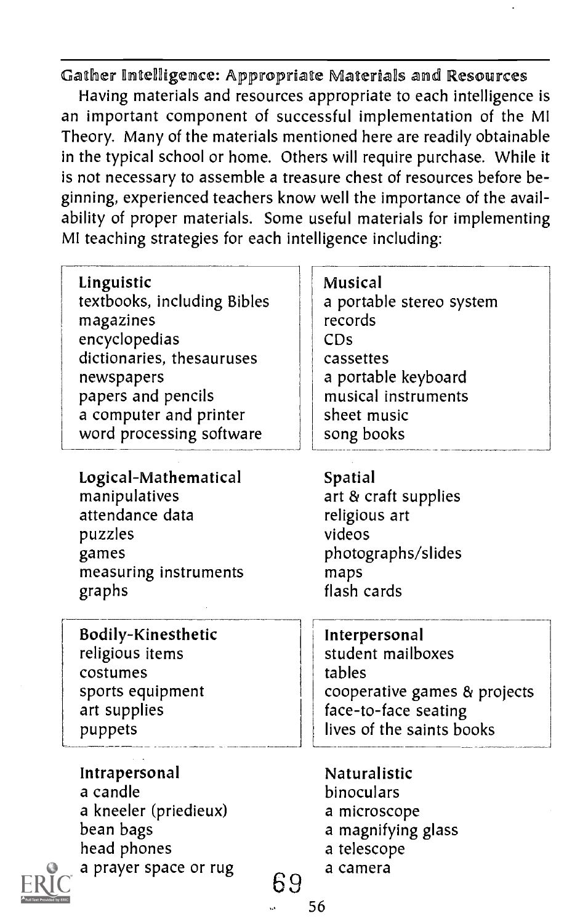Gather Intelligence: Appropriate Materials and Resources

Having materials and resources appropriate to each intelligence is an important component of successful implementation of the MI Theory. Many of the materials mentioned here are readily obtainable in the typical school or home. Others will require purchase. While it is not necessary to assemble a treasure chest of resources before beginning, experienced teachers know well the importance of the availability of proper materials. Some useful materials for implementing MI teaching strategies for each intelligence including:

| Bodily-Kinesthetic          | Interpersonal            |
|-----------------------------|--------------------------|
| graphs                      | flash cards              |
| measuring instruments       | maps                     |
| games                       | photographs/slides       |
| puzzles                     | videos                   |
| attendance data             | religious art            |
| manipulatives               | art & craft supplies     |
| Logical-Mathematical        | Spatial                  |
| word processing software    | song books               |
| a computer and printer      | sheet music              |
| papers and pencils          | musical instruments      |
| newspapers                  | a portable keyboard      |
| dictionaries, thesauruses   | cassettes                |
| encyclopedias               | CDs                      |
| magazines                   | records                  |
| textbooks, including Bibles | a portable stereo system |
| Linguistic                  | Musical                  |

religious items costumes sports equipment art supplies puppets

Intrapersonal a candle a kneeler (priedieux) bean bags head phones a prayer space or rug

lives of the saints books Naturalistic binoculars a microscope a magnifying glass

student mailboxes

face-to-face seating

cooperative games & projects

tables

- a telescope
- a camera



69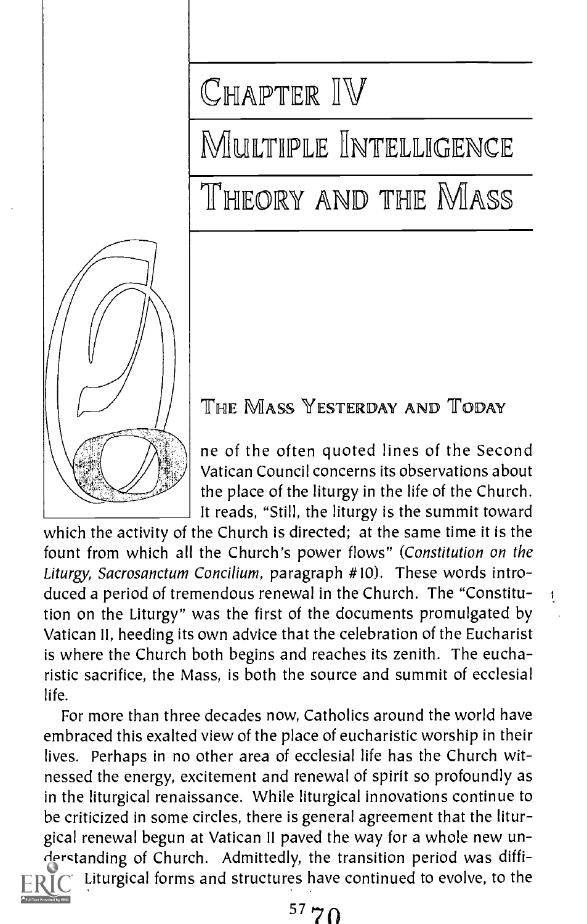CHAPTER IV

Multiple Intelligence

Theory and the Mass



THE MASS YESTERDAY AND TODAY

ne of the often quoted lines of the Second Vatican Council concerns its observations about the place of the liturgy in the life of the Church. It reads, "Still, the liturgy is the summit toward

ŧ

which the activity of the Church is directed; at the same time it is the fount from which all the Church's power flows" (Constitution on the Liturgy, Sacrosanctum Concilium, paragraph #10). These words introduced a period of tremendous renewal in the Church. The "Constitution on the Liturgy" was the first of the documents promulgated by Vatican II, heeding its own advice that the celebration of the Eucharist is where the Church both begins and reaches its zenith. The eucharistic sacrifice, the Mass, is both the source and summit of ecclesial life.

For more than three decades now, Catholics around the world have embraced this exalted view of the place of eucharistic worship in their lives. Perhaps in no other area of ecclesial life has the Church witnessed the energy, excitement and renewal of spirit so profoundly as in the liturgical renaissance. While liturgical innovations continue to be criticized in some circles, there is general agreement that the liturgical renewal begun at Vatican II paved the way for a whole new understanding of Church. Admittedly, the transition period was diffi-



Liturgical forms and structures have continued to evolve, to the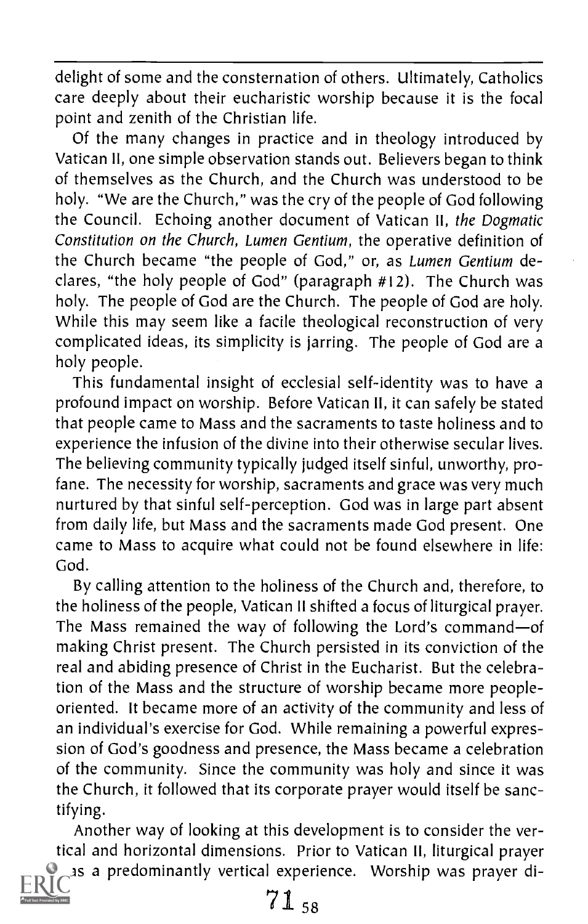delight of some and the consternation of others. Ultimately, Catholics care deeply about their eucharistic worship because it is the focal point and zenith of the Christian life.

Of the many changes in practice and in theology introduced by Vatican II, one simple observation stands out. Believers began to think of themselves as the Church, and the Church was understood to be holy. "We are the Church," was the cry of the people of God following the Council. Echoing another document of Vatican II, the Dogmatic Constitution on the Church, Lumen Gentium, the operative definition of the Church became "the people of God," or, as Lumen Gentium declares, "the holy people of God" (paragraph #12). The Church was holy. The people of God are the Church. The people of God are holy. While this may seem like a facile theological reconstruction of very complicated ideas, its simplicity is jarring. The people of God are a holy people.

This fundamental insight of ecclesial self-identity was to have a profound impact on worship. Before Vatican II, it can safely be stated that people came to Mass and the sacraments to taste holiness and to experience the infusion of the divine into their otherwise secular lives. The believing community typically judged itself sinful, unworthy, profane. The necessity for worship, sacraments and grace was very much nurtured by that sinful self-perception. God was in large part absent from daily life, but Mass and the sacraments made God present. One came to Mass to acquire what could not be found elsewhere in life: God.

By calling attention to the holiness of the Church and, therefore, to the holiness of the people, Vatican II shifted a focus of liturgical prayer. The Mass remained the way of following the Lord's command-of making Christ present. The Church persisted in its conviction of the real and abiding presence of Christ in the Eucharist. But the celebration of the Mass and the structure of worship became more peopleoriented. It became more of an activity of the community and less of an individual's exercise for God. While remaining a powerful expression of God's goodness and presence, the Mass became a celebration of the community. Since the community was holy and since it was the Church, it followed that its corporate prayer would itself be sanctifying.

Another way of looking at this development is to consider the vertical and horizontal dimensions. Prior to Vatican II, liturgical prayer  $\sim$  is a predominantly vertical experience. Worship was prayer di-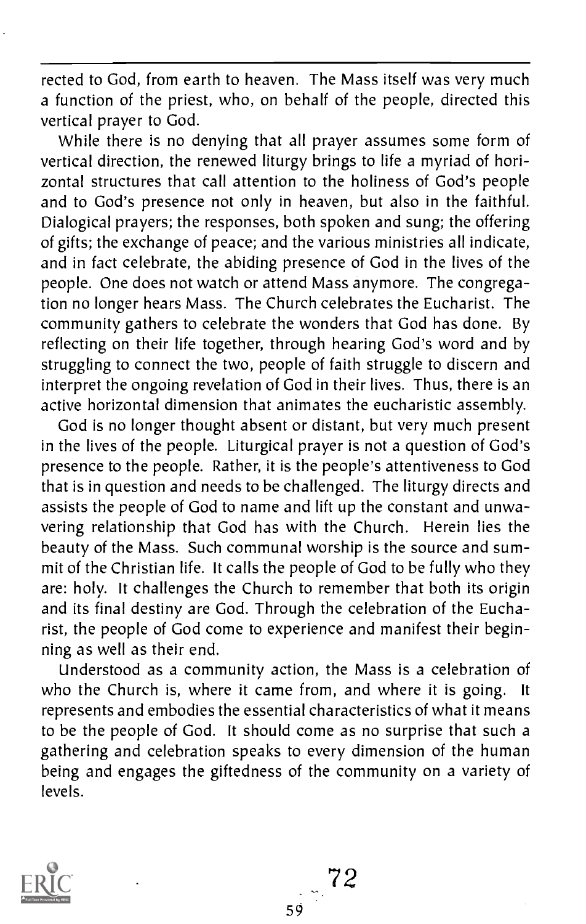rected to God, from earth to heaven. The Mass itself was very much a function of the priest, who, on behalf of the people, directed this vertical prayer to God.

While there is no denying that all prayer assumes some form of vertical direction, the renewed liturgy brings to life a myriad of horizontal structures that call attention to the holiness of God's people and to God's presence not only in heaven, but also in the faithful. Dialogical prayers; the responses, both spoken and sung; the offering of gifts; the exchange of peace; and the various ministries all indicate, and in fact celebrate, the abiding presence of God in the lives of the people. One does not watch or attend Mass anymore. The congregation no longer hears Mass. The Church celebrates the Eucharist. The community gathers to celebrate the wonders that God has done. By reflecting on their life together, through hearing God's word and by struggling to connect the two, people of faith struggle to discern and interpret the ongoing revelation of God in their lives. Thus, there is an active horizontal dimension that animates the eucharistic assembly.

God is no longer thought absent or distant, but very much present in the lives of the people. Liturgical prayer is not a question of God's presence to the people. Rather, it is the people's attentiveness to God that is in question and needs to be challenged. The liturgy directs and assists the people of God to name and lift up the constant and unwavering relationship that God has with the Church. Herein lies the beauty of the Mass. Such communal worship is the source and summit of the Christian life. It calls the people of God to be fully who they are: holy. It challenges the Church to remember that both its origin and its final destiny are God. Through the celebration of the Eucharist, the people of God come to experience and manifest their beginning as well as their end.

Understood as a community action, the Mass is a celebration of who the Church is, where it came from, and where it is going. It represents and embodies the essential characteristics of what it means to be the people of God. It should come as no surprise that such a gathering and celebration speaks to every dimension of the human being and engages the giftedness of the community on a variety of levels.

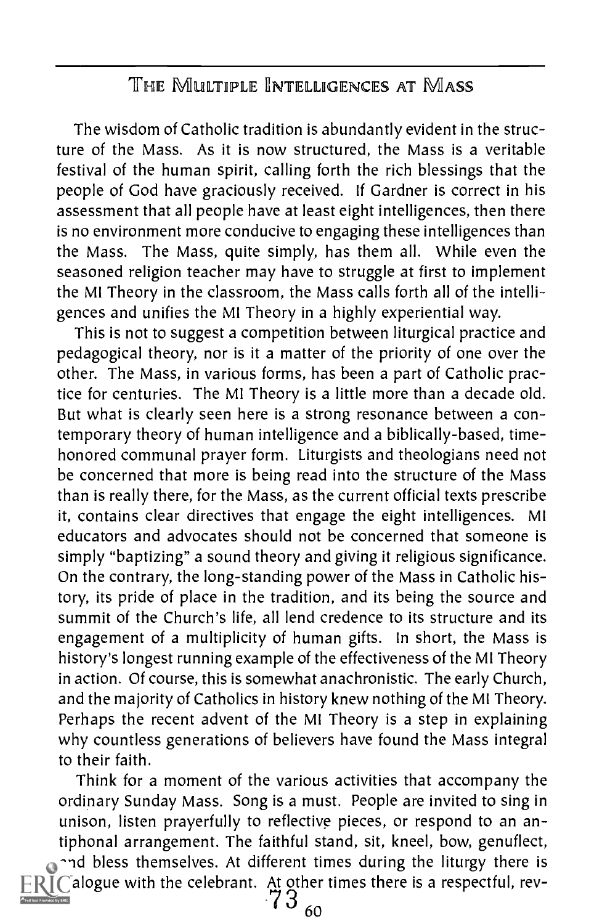# THE MULTIPLE INTELLIGENCES AT MASS

The wisdom of Catholic tradition is abundantly evident in the structure of the Mass. As it is now structured, the Mass is a veritable festival of the human spirit, calling forth the rich blessings that the people of God have graciously received. If Gardner is correct in his assessment that all people have at least eight intelligences, then there is no environment more conducive to engaging these intelligences than<br>the Mass. The Mass, quite simply, has them all. While even the The Mass, quite simply, has them all. While even the seasoned religion teacher may have to struggle at first to implement the MI Theory in the classroom, the Mass calls forth all of the intelligences and unifies the MI Theory in a highly experiential way.

This is not to suggest a competition between liturgical practice and pedagogical theory, nor is it a matter of the priority of one over the other. The Mass, in various forms, has been a part of Catholic practice for centuries. The MI Theory is a little more than a decade old. But what is clearly seen here is a strong resonance between a contemporary theory of human intelligence and a biblically-based, timehonored communal prayer form. Liturgists and theologians need not be concerned that more is being read into the structure of the Mass than is really there, for the Mass, as the current official texts prescribe it, contains clear directives that engage the eight intelligences. MI educators and advocates should not be concerned that someone is simply "baptizing" a sound theory and giving it religious significance. On the contrary, the long-standing power of the Mass in Catholic history, its pride of place in the tradition, and its being the source and summit of the Church's life, all lend credence to its structure and its engagement of a multiplicity of human gifts. In short, the Mass is history's longest running example of the effectiveness of the MI Theory in action. Of course, this is somewhat anachronistic. The early Church, and the majority of Catholics in history knew nothing of the MI Theory. Perhaps the recent advent of the MI Theory is a step in explaining why countless generations of believers have found the Mass integral to their faith.

Think for a moment of the various activities that accompany the ordinary Sunday Mass. Song is a must. People are invited to sing in unison, listen prayerfully to reflective pieces, or respond to an antiphonal arrangement. The faithful stand, sit, kneel, bow, genuflect, and bless themselves. At different times during the liturgy there is  $\bigcap$ alogue with the celebrant. At other times there is a respectful, rev-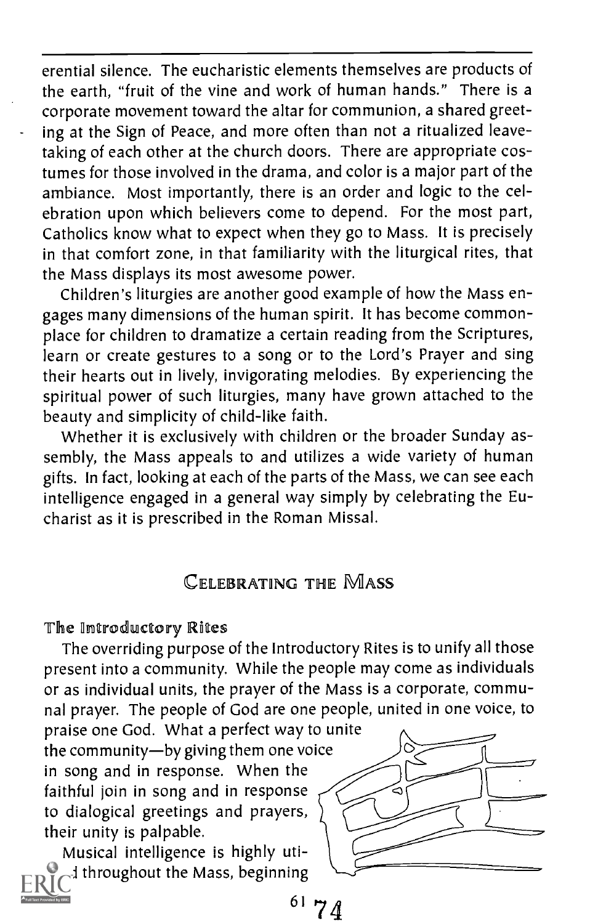erential silence. The eucharistic elements themselves are products of the earth, "fruit of the vine and work of human hands." There is a corporate movement toward the altar for communion, a shared greeting at the Sign of Peace, and more often than not a ritualized leavetaking of each other at the church doors. There are appropriate costumes for those involved in the drama, and color is a major part of the ambiance. Most importantly, there is an order and logic to the celebration upon which believers come to depend. For the most part, Catholics know what to expect when they go to Mass. It is precisely in that comfort zone, in that familiarity with the liturgical rites, that the Mass displays its most awesome power.

Children's liturgies are another good example of how the Mass engages many dimensions of the human spirit. It has become commonplace for children to dramatize a certain reading from the Scriptures, learn or create gestures to a song or to the Lord's Prayer and sing their hearts out in lively, invigorating melodies. By experiencing the spiritual power of such liturgies, many have grown attached to the beauty and simplicity of child-like faith.

Whether it is exclusively with children or the broader Sunday assembly, the Mass appeals to and utilizes a wide variety of human gifts. In fact, looking at each of the parts of the Mass, we can see each intelligence engaged in a general way simply by celebrating the Eucharist as it is prescribed in the Roman Missal.

#### CELEBRATING THE MASS

#### The Introductory Rites

The overriding purpose of the Introductory Rites is to unify all those present into a community. While the people may come as individuals or as individual units, the prayer of the Mass is a corporate, communal prayer. The people of God are one people, united in one voice, to

praise one God. What a perfect way to unite the community-by giving them one voice in song and in response. When the faithful join in song and in response to dialogical greetings and prayers, their unity is palpable.

Musical intelligence is highly uti-I throughout the Mass, beginning



 $6174$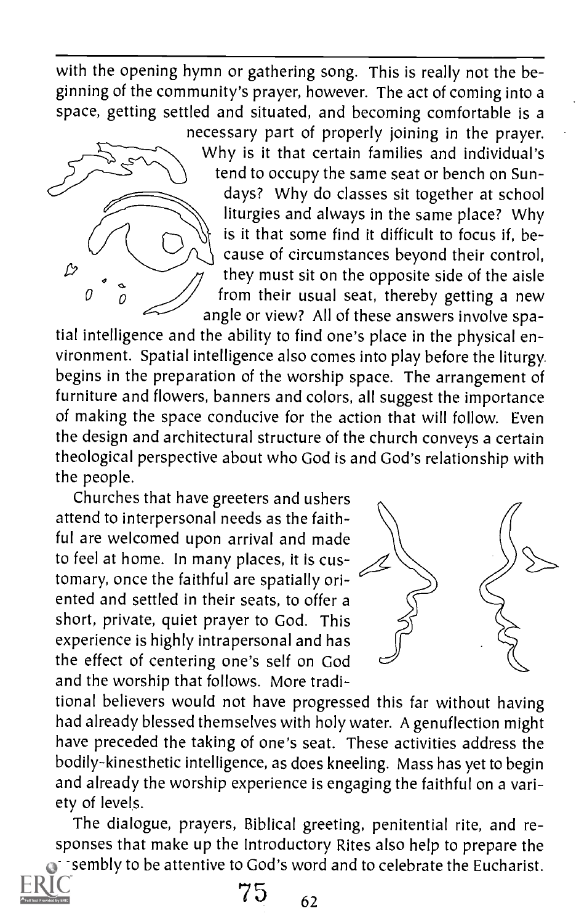with the opening hymn or gathering song. This is really not the beginning of the community's prayer, however. The act of coming into a space, getting settled and situated, and becoming comfortable is a



necessary part of properly joining in the prayer. Why is it that certain families and individual's tend to occupy the same seat or bench on Sundays? Why do classes sit together at school liturgies and always in the same place? Why is it that some find it difficult to focus if, because of circumstances beyond their control, they must sit on the opposite side of the aisle from their usual seat, thereby getting a new angle or view? All of these answers involve spa-

tial intelligence and the ability to find one's place in the physical environment. Spatial intelligence also comes into play before the liturgy. begins in the preparation of the worship space. The arrangement of furniture and flowers, banners and colors, all suggest the importance of making the space conducive for the action that will follow. Even the design and architectural structure of the church conveys a certain theological perspective about who God is and God's relationship with the people.

Churches that have greeters and ushers attend to interpersonal needs as the faithful are welcomed upon arrival and made to feel at home. In many places, it is customary, once the faithful are spatially oriented and settled in their seats, to offer a short, private, quiet prayer to God. This experience is highly intrapersonal and has the effect of centering one's self on God and the worship that follows. More tradi-



tional believers would not have progressed this far without having had already blessed themselves with holy water. A genuflection might have preceded the taking of one's seat. These activities address the bodily-kinesthetic intelligence, as does kneeling. Mass has yet to begin and already the worship experience is engaging the faithful on a variety of levels.

The dialogue, prayers, Biblical greeting, penitential rite, and responses that make up the Introductory Rites also help to prepare the



 $75\frac{62}{ }$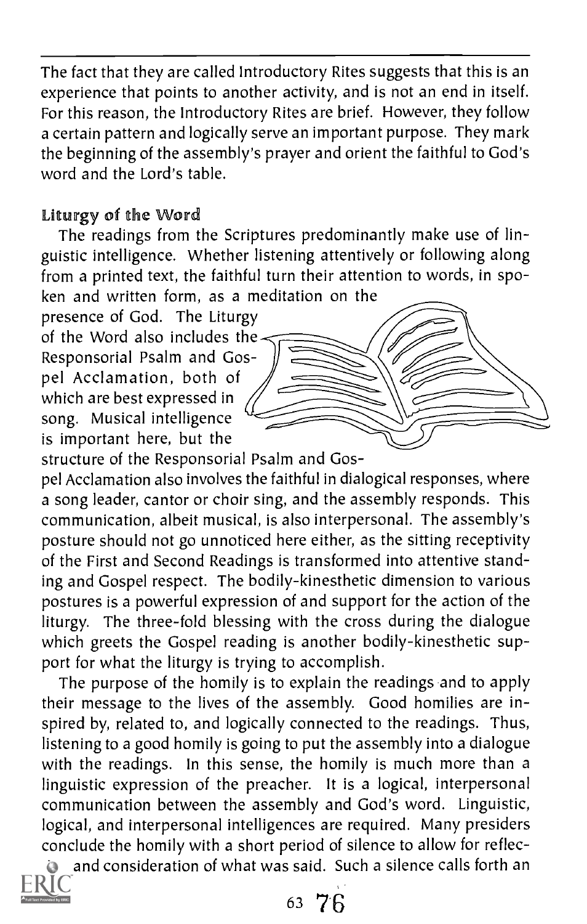The fact that they are called Introductory Rites suggests that this is an experience that points to another activity, and is not an end in itself. For this reason, the Introductory Rites are brief. However, they follow a certain pattern and logically serve an important purpose. They mark the beginning of the assembly's prayer and orient the faithful to God's word and the Lord's table.

#### Liturgy of the Word

The readings from the Scriptures predominantly make use of linguistic intelligence. Whether listening attentively or following along from a printed text, the faithful turn their attention to words, in spoken and written form, as a meditation on the

presence of God. The Liturgy of the Word also includes the Responsorial Psalm and Gospel Acclamation, both of which are best expressed in song. Musical intelligence is important here, but the



structure of the Responsorial Psalm and Gos-

pel Acclamation also involves the faithful in dialogical responses, where a song leader, cantor or choir sing, and the assembly responds. This communication, albeit musical, is also interpersonal. The assembly's posture should not go unnoticed here either, as the sitting receptivity of the First and Second Readings is transformed into attentive standing and Gospel respect. The bodily-kinesthetic dimension to various postures is a powerful expression of and support for the action of the liturgy. The three-fold blessing with the cross during the dialogue which greets the Gospel reading is another bodily-kinesthetic support for what the liturgy is trying to accomplish.

The purpose of the homily is to explain the readings and to apply their message to the lives of the assembly. Good homilies are inspired by, related to, and logically connected to the readings. Thus, listening to a good homily is going to put the assembly into a dialogue with the readings. In this sense, the homily is much more than a linguistic expression of the preacher. It is a logical, interpersonal communication between the assembly and God's word. Linguistic, logical, and interpersonal intelligences are required. Many presiders conclude the homily with a short period of silence to allow for reflecand consideration of what was said. Such a silence calls forth an



63 76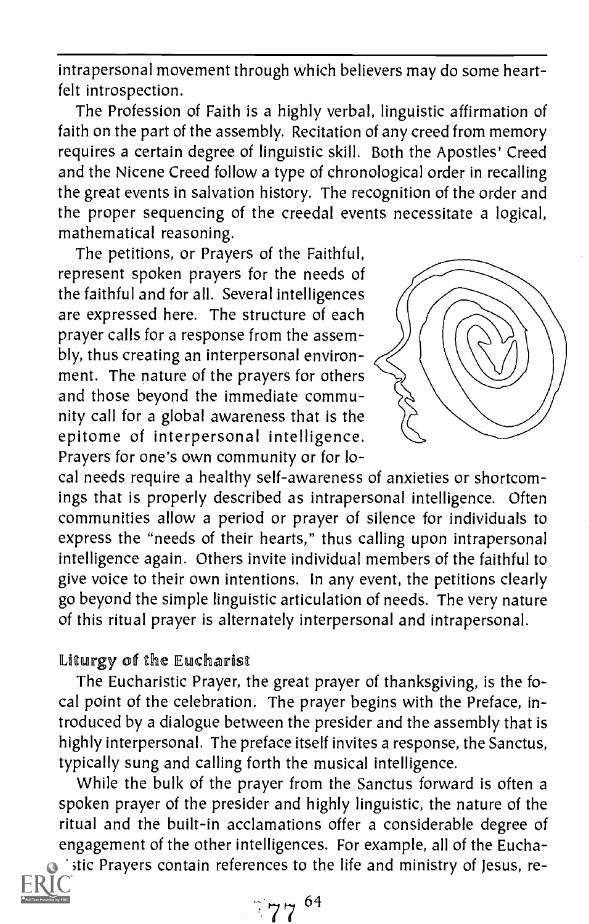intrapersonal movement through which believers may do some heartfelt introspection.

The Profession of Faith is a highly verbal, linguistic affirmation of faith on the part of the assembly. Recitation of any creed from memory requires a certain degree of linguistic skill. Both the Apostles' Creed and the Nicene Creed follow a type of chronological order in recalling the great events in salvation history. The recognition of the order and the proper sequencing of the creedal events necessitate a logical, mathematical reasoning.

The petitions, or Prayers of the Faithful, represent spoken prayers for the needs of the faithful and for all. Several intelligences are expressed here. The structure of each prayer calls for a response from the assembly, thus creating an interpersonal environment. The nature of the prayers for others and those beyond the immediate community call for a global awareness that is the epitome of interpersonal intelligence. Prayers for one's own community or for lo-



cal needs require a healthy self-awareness of anxieties or shortcomings that is properly described as intrapersonal intelligence. Often communities allow a period or prayer of silence for individuals to express the "needs of their hearts," thus calling upon intrapersonal intelligence again. Others invite individual members of the faithful to give voice to their own intentions. In any event, the petitions clearly go beyond the simple linguistic articulation of needs. The very nature of this ritual prayer is alternately interpersonal and intrapersonal.

#### Liturgy of the Eucharist

The Eucharistic Prayer, the great prayer of thanksgiving, is the focal point of the celebration. The prayer begins with the Preface, introduced by a dialogue between the presider and the assembly that is highly interpersonal. The preface itself invites a response, the Sanctus, typically sung and calling forth the musical intelligence.

While the bulk of the prayer from the Sanctus forward is often a spoken prayer of the presider and highly linguistic, the nature of the ritual and the built-in acclamations offer a considerable degree of engagement of the other intelligences. For example, all of the Eucha-

 $\bullet$  'stic Prayers contain references to the life and ministry of Jesus, re- $777^{64}$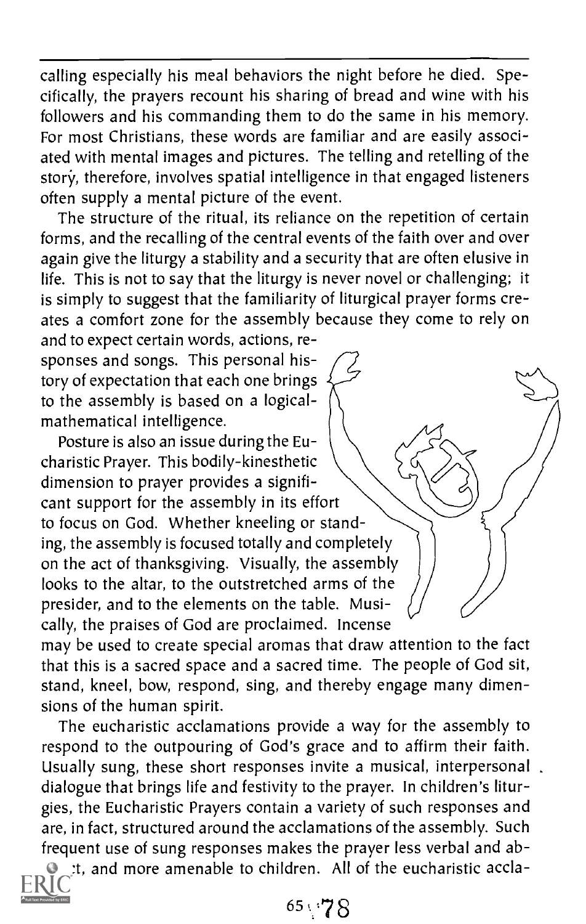calling especially his meal behaviors the night before he died. Specifically, the prayers recount his sharing of bread and wine with his followers and his commanding them to do the same in his memory. For most Christians, these words are familiar and are easily associated with mental images and pictures. The telling and retelling of the story, therefore, involves spatial intelligence in that engaged listeners often supply a mental picture of the event.

The structure of the ritual, its reliance on the repetition of certain forms, and the recalling of the central events of the faith over and over again give the liturgy a stability and a security that are often elusive in life. This is not to say that the liturgy is never novel or challenging; it is simply to suggest that the familiarity of liturgical prayer forms creates a comfort zone for the assembly because they come to rely on and to expect certain words, actions, re-

sponses and songs. This personal history of expectation that each one brings to the assembly is based on a logicalmathematical intelligence.

Posture is also an issue during the Eucharistic Prayer. This bodily-kinesthetic dimension to prayer provides a significant support for the assembly in its effort to focus on God. Whether kneeling or standing, the assembly is focused totally and completely on the act of thanksgiving. Visually, the assembly looks to the altar, to the outstretched arms of the presider, and to the elements on the table. Musically, the praises of God are proclaimed. Incense

may be used to create special aromas that draw attention to the fact that this is a sacred space and a sacred time. The people of God sit, stand, kneel, bow, respond, sing, and thereby engage many dimensions of the human spirit.

The eucharistic acclamations provide a way for the assembly to respond to the outpouring of God's grace and to affirm their faith. Usually sung, these short responses invite a musical, interpersonal dialogue that brings life and festivity to the prayer. In children's liturgies, the Eucharistic Prayers contain a variety of such responses and are, in fact, structured around the acclamations of the assembly. Such frequent use of sung responses makes the prayer less verbal and ab-



 $\cdot$ : t, and more amenable to children. All of the eucharistic accla-

$$
^{65}\backslash\ ^{\ast}78
$$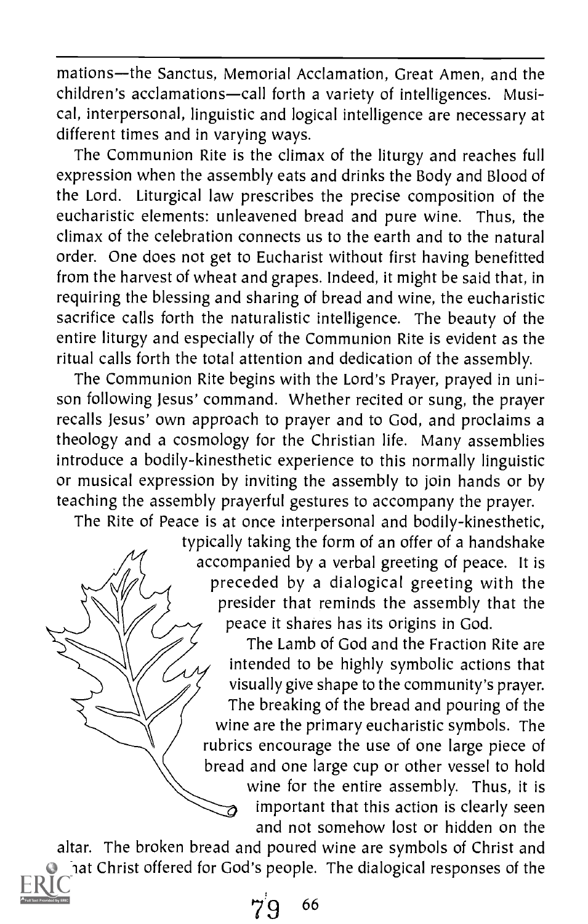mations-the Sanctus, Memorial Acclamation, Great Amen, and the children's acclamations-call forth a variety of intelligences. Musical, interpersonal, linguistic and logical intelligence are necessary at different times and in varying ways.

The Communion Rite is the climax of the liturgy and reaches full expression when the assembly eats and drinks the Body and Blood of the Lord. Liturgical law prescribes the precise composition of the eucharistic elements: unleavened bread and pure wine. Thus, the climax of the celebration connects us to the earth and to the natural order. One does not get to Eucharist without first having benefitted from the harvest of wheat and grapes. Indeed, it might be said that, in requiring the blessing and sharing of bread and wine, the eucharistic sacrifice calls forth the naturalistic intelligence. The beauty of the entire liturgy and especially of the Communion Rite is evident as the ritual calls forth the total attention and dedication of the assembly.

The Communion Rite begins with the Lord's Prayer, prayed in unison following Jesus' command. Whether recited or sung, the prayer recalls Jesus' own approach to prayer and to God, and proclaims a theology and a cosmology for the Christian life. Many assemblies introduce a bodily-kinesthetic experience to this normally linguistic or musical expression by inviting the assembly to join hands or by teaching the assembly prayerful gestures to accompany the prayer.

The Rite of Peace is at once interpersonal and bodily-kinesthetic,

typically taking the form of an offer of a handshake accompanied by a verbal greeting of peace. It is preceded by a dialogical greeting with the presider that reminds the assembly that the peace it shares has its origins in God.

The Lamb of God and the Fraction Rite are intended to be highly symbolic actions that visually give shape to the community's prayer. The breaking of the bread and pouring of the wine are the primary eucharistic symbols. The rubrics encourage the use of one large piece of bread and one large cup or other vessel to hold wine for the entire assembly. Thus, it is important that this action is clearly seen and not somehow lost or hidden on the

altar. The broken bread and poured wine are symbols of Christ and hat Christ offered for God's people. The dialogical responses of the

7.9 66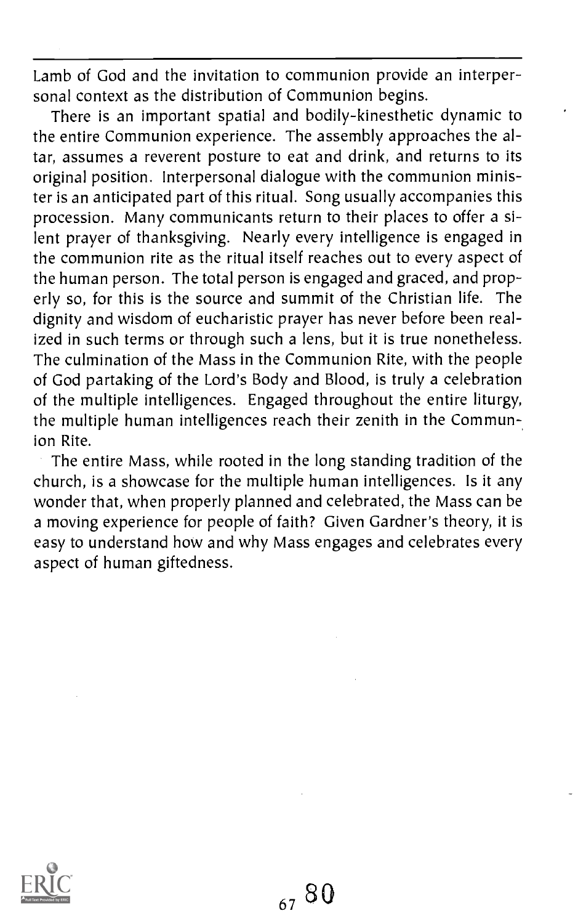Lamb of God and the invitation to communion provide an interpersonal context as the distribution of Communion begins.

There is an important spatial and bodily-kinesthetic dynamic to the entire Communion experience. The assembly approaches the altar, assumes a reverent posture to eat and drink, and returns to its original position. Interpersonal dialogue with the communion minister is an anticipated part of this ritual. Song usually accompanies this procession. Many communicants return to their places to offer a silent prayer of thanksgiving. Nearly every intelligence is engaged in the communion rite as the ritual itself reaches out to every aspect of the human person. The total person is engaged and graced, and properly so, for this is the source and summit of the Christian life. The dignity and wisdom of eucharistic prayer has never before been realized in such terms or through such a lens, but it is true nonetheless. The culmination of the Mass in the Communion Rite, with the people of God partaking of the Lord's Body and Blood, is truly a celebration of the multiple intelligences. Engaged throughout the entire liturgy, the multiple human intelligences reach their zenith in the Communion Rite.

The entire Mass, while rooted in the long standing tradition of the church, is a showcase for the multiple human intelligences. Is it any wonder that, when properly planned and celebrated, the Mass can be a moving experience for people of faith? Given Gardner's theory, it is easy to understand how and why Mass engages and celebrates every aspect of human giftedness.

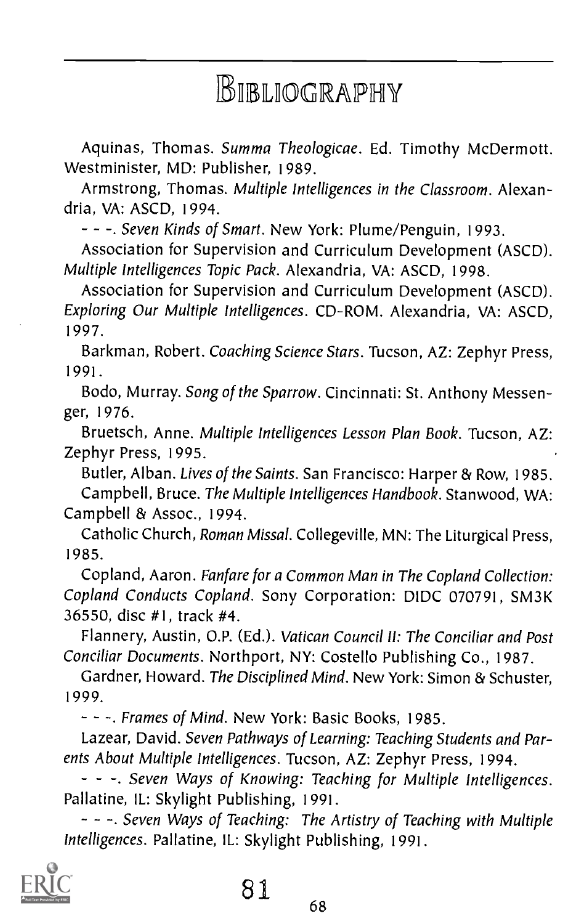## BIBLIOGRAPHY

Aquinas, Thomas. Summa Theologicae. Ed. Timothy McDermott. Westminister, MD: Publisher, 1989.

Armstrong, Thomas. Multiple Intelligences in the Classroom. Alexandria, VA: ASCD, 1994.

-. Seven Kinds of Smart. New York: Plume/Penguin, 1993.

Association for Supervision and Curriculum Development (ASCD). Multiple Intelligences Topic Pack. Alexandria, VA: ASCD, 1998.

Association for Supervision and Curriculum Development (ASCD). Exploring Our Multiple Intelligences. CD-ROM. Alexandria, VA: ASCD, 1997.

Barkman, Robert. Coaching Science Stars. Tucson, AZ: Zephyr Press, 1991.

Bodo, Murray. Song of the Sparrow. Cincinnati: St. Anthony Messenger, 1976.

Bruetsch, Anne. Multiple Intelligences Lesson Plan Book. Tucson, AZ: Zephyr Press, 1995.

Butler, Alban. Lives of the Saints. San Francisco: Harper & Row, 1985. Campbell, Bruce. The Multiple Intelligences Handbook. Stanwood, WA: Campbell & Assoc., 1994.

Catholic Church, Roman Missal. Collegeville, MN: The Liturgical Press, 1985.

Copland, Aaron. Fanfare for a Common Man in The Copland Collection: Copland Conducts Copland. Sony Corporation: DIDC 070791, SM3K 36550, disc #1, track #4.

Flannery, Austin, O.P. (Ed.). Vatican Council II: The Conciliar and Post Conciliar Documents. Northport, NY: Costello Publishing Co., 1987.

Gardner, Howard. The Disciplined Mind. New York: Simon & Schuster, 1999.

-. Frames of Mind. New York: Basic Books, 1985.

Lazear, David. Seven Pathways of Learning: Teaching Students and Parents About Multiple Intelligences. Tucson, AZ: Zephyr Press, 1994.

- - -. Seven Ways of Knowing: Teaching for Multiple Intelligences. Pallatine, IL: Skylight Publishing, 1991.

-. Seven Ways of Teaching: The Artistry of Teaching with Multiple Intelligences. Pallatine, IL: Skylight Publishing, 1991.

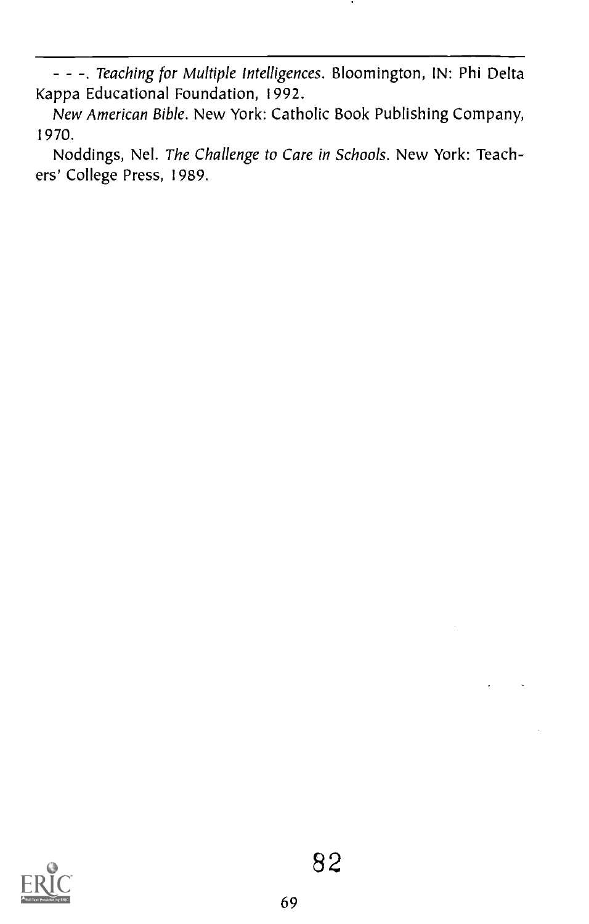- - -. Teaching for Multiple Intelligences. Bloomington, IN: Phi Delta Kappa Educational Foundation, 1992.

New American Bible. New York: Catholic Book Publishing Company, 1970.

Noddings, Nel. The Challenge to Care in Schools. New York: Teachers' College Press, 1989.

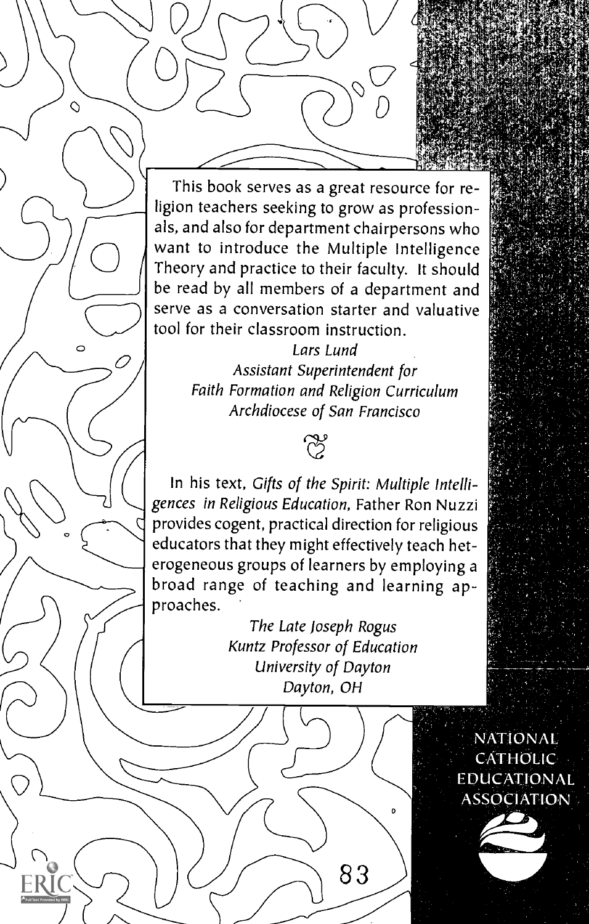This book serves as a great resource for religion teachers seeking to grow as professionals, and also for department chairpersons who want to introduce the Multiple Intelligence Theory and practice to their faculty. It should be read by all members of a department and serve as a conversation starter and valuative tool for their classroom instruction.

 $\Diamond$ 

Lars Lund Assistant Superintendent for Faith Formation and Religion Curriculum Archdiocese of San Francisco

In his text, Gifts of the Spirit: Multiple Intelligences in Religious Education, Father Ron Nuzzi provides cogent, practical direction for religious educators that they might effectively teach heterogeneous groups of learners by employing a broad range of teaching and learning approaches.

> The Late Joseph Rogus Kuntz Professor of Education University of Dayton Dayton, OH

> > 83

**NATIONAL** CATHOLIC **EDUCATIONAL ASSOCIATION**